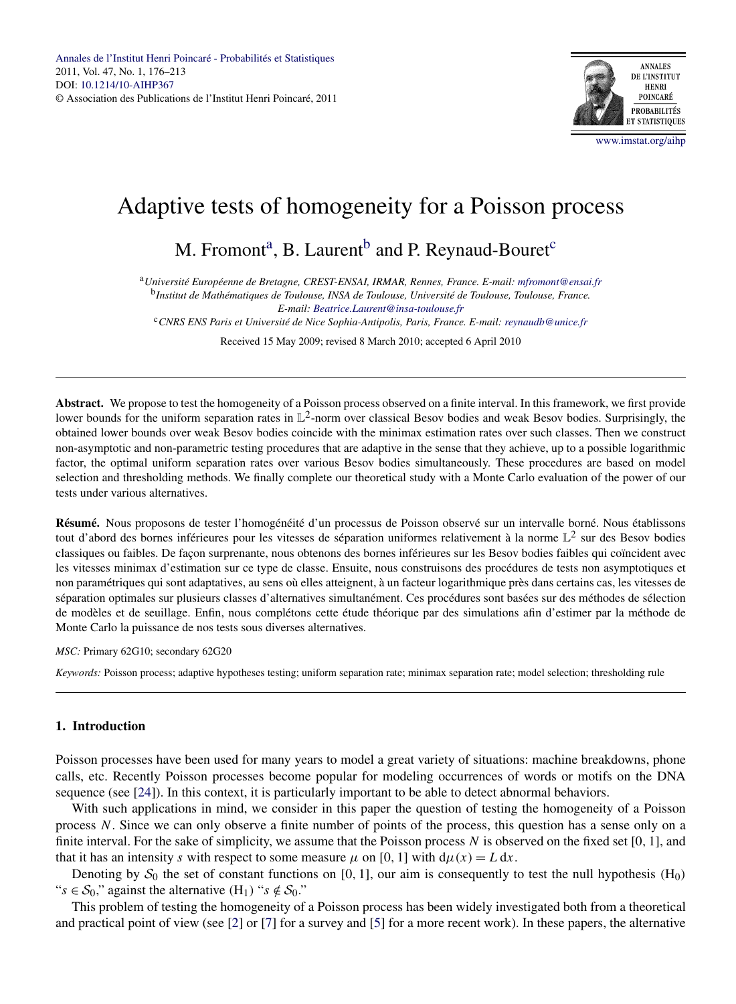

# Adaptive tests of homogeneity for a Poisson process

M. Fromont<sup>a</sup>, B. Laurent<sup>b</sup> and P. Reynaud-Bouret<sup>c</sup>

<sup>a</sup>*Université Européenne de Bretagne, CREST-ENSAI, IRMAR, Rennes, France. E-mail: [mfromont@ensai.fr](mailto:mfromont@ensai.fr)*

<sup>b</sup>*Institut de Mathématiques de Toulouse, INSA de Toulouse, Université de Toulouse, Toulouse, France. E-mail: [Beatrice.Laurent@insa-toulouse.fr](mailto:Beatrice.Laurent@insa-toulouse.fr)*

<sup>c</sup>*CNRS ENS Paris et Université de Nice Sophia-Antipolis, Paris, France. E-mail: [reynaudb@unice.fr](mailto:reynaudb@unice.fr)*

Received 15 May 2009; revised 8 March 2010; accepted 6 April 2010

**Abstract.** We propose to test the homogeneity of a Poisson process observed on a finite interval. In this framework, we first provide lower bounds for the uniform separation rates in  $\mathbb{L}^2$ -norm over classical Besov bodies and weak Besov bodies. Surprisingly, the obtained lower bounds over weak Besov bodies coincide with the minimax estimation rates over such classes. Then we construct non-asymptotic and non-parametric testing procedures that are adaptive in the sense that they achieve, up to a possible logarithmic factor, the optimal uniform separation rates over various Besov bodies simultaneously. These procedures are based on model selection and thresholding methods. We finally complete our theoretical study with a Monte Carlo evaluation of the power of our tests under various alternatives.

**Résumé.** Nous proposons de tester l'homogénéité d'un processus de Poisson observé sur un intervalle borné. Nous établissons tout d'abord des bornes inférieures pour les vitesses de séparation uniformes relativement à la norme  $\mathbb{L}^2$  sur des Besov bodies classiques ou faibles. De façon surprenante, nous obtenons des bornes inférieures sur les Besov bodies faibles qui coïncident avec les vitesses minimax d'estimation sur ce type de classe. Ensuite, nous construisons des procédures de tests non asymptotiques et non paramétriques qui sont adaptatives, au sens où elles atteignent, à un facteur logarithmique près dans certains cas, les vitesses de séparation optimales sur plusieurs classes d'alternatives simultanément. Ces procédures sont basées sur des méthodes de sélection de modèles et de seuillage. Enfin, nous complétons cette étude théorique par des simulations afin d'estimer par la méthode de Monte Carlo la puissance de nos tests sous diverses alternatives.

*MSC:* Primary 62G10; secondary 62G20

*Keywords:* Poisson process; adaptive hypotheses testing; uniform separation rate; minimax separation rate; model selection; thresholding rule

## **1. Introduction**

Poisson processes have been used for many years to model a great variety of situations: machine breakdowns, phone calls, etc. Recently Poisson processes become popular for modeling occurrences of words or motifs on the DNA sequence (see [\[24\]](#page-37-0)). In this context, it is particularly important to be able to detect abnormal behaviors.

With such applications in mind, we consider in this paper the question of testing the homogeneity of a Poisson process *N*. Since we can only observe a finite number of points of the process, this question has a sense only on a finite interval. For the sake of simplicity, we assume that the Poisson process *N* is observed on the fixed set [0*,* 1], and that it has an intensity *s* with respect to some measure  $\mu$  on [0, 1] with  $d\mu(x) = L dx$ .

Denoting by  $S_0$  the set of constant functions on [0, 1], our aim is consequently to test the null hypothesis  $(H_0)$ " $s \in S_0$ ," against the alternative  $(H_1)$  " $s \notin S_0$ ."

This problem of testing the homogeneity of a Poisson process has been widely investigated both from a theoretical and practical point of view (see [\[2\]](#page-36-0) or [\[7\]](#page-36-0) for a survey and [\[5\]](#page-36-0) for a more recent work). In these papers, the alternative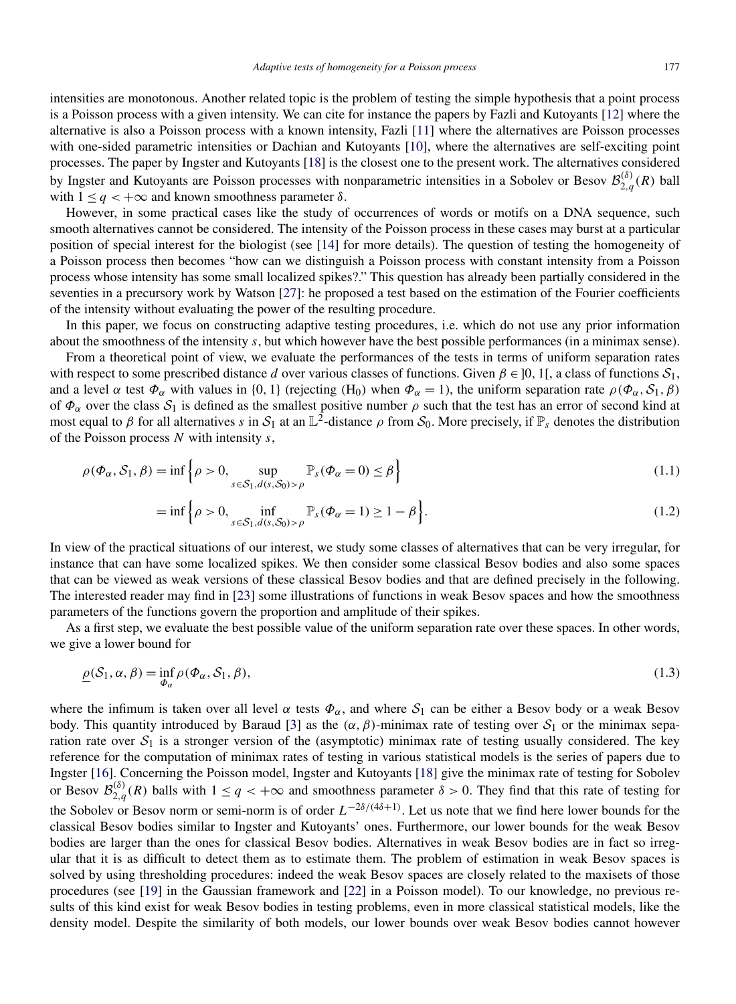<span id="page-1-0"></span>intensities are monotonous. Another related topic is the problem of testing the simple hypothesis that a point process is a Poisson process with a given intensity. We can cite for instance the papers by Fazli and Kutoyants [\[12\]](#page-36-0) where the alternative is also a Poisson process with a known intensity, Fazli [\[11\]](#page-36-0) where the alternatives are Poisson processes with one-sided parametric intensities or Dachian and Kutoyants [\[10\]](#page-36-0), where the alternatives are self-exciting point processes. The paper by Ingster and Kutoyants [\[18\]](#page-36-0) is the closest one to the present work. The alternatives considered by Ingster and Kutoyants are Poisson processes with nonparametric intensities in a Sobolev or Besov  $\mathcal{B}_{2,q}^{(\delta)}(R)$  ball with  $1 \leq q \leq +\infty$  and known smoothness parameter  $\delta$ .

However, in some practical cases like the study of occurrences of words or motifs on a DNA sequence, such smooth alternatives cannot be considered. The intensity of the Poisson process in these cases may burst at a particular position of special interest for the biologist (see [\[14\]](#page-36-0) for more details). The question of testing the homogeneity of a Poisson process then becomes "how can we distinguish a Poisson process with constant intensity from a Poisson process whose intensity has some small localized spikes?." This question has already been partially considered in the seventies in a precursory work by Watson [\[27\]](#page-37-0): he proposed a test based on the estimation of the Fourier coefficients of the intensity without evaluating the power of the resulting procedure.

In this paper, we focus on constructing adaptive testing procedures, i.e. which do not use any prior information about the smoothness of the intensity *s*, but which however have the best possible performances (in a minimax sense).

From a theoretical point of view, we evaluate the performances of the tests in terms of uniform separation rates with respect to some prescribed distance *d* over various classes of functions. Given  $\beta \in [0, 1]$ , a class of functions  $S_1$ , and a level  $\alpha$  test  $\Phi_{\alpha}$  with values in {0, 1} (rejecting (H<sub>0</sub>) when  $\Phi_{\alpha} = 1$ ), the uniform separation rate  $\rho(\Phi_{\alpha}, S_1, \beta)$ of  $\Phi_\alpha$  over the class  $S_1$  is defined as the smallest positive number  $\rho$  such that the test has an error of second kind at most equal to *β* for all alternatives *s* in  $S_1$  at an  $\mathbb{L}^2$ -distance *ρ* from  $S_0$ . More precisely, if  $\mathbb{P}_s$  denotes the distribution of the Poisson process *N* with intensity *s*,

$$
\rho(\Phi_{\alpha}, S_1, \beta) = \inf \left\{ \rho > 0, \sup_{s \in S_1, d(s, S_0) > \rho} \mathbb{P}_s(\Phi_{\alpha} = 0) \le \beta \right\}
$$
\n(1.1)

$$
= \inf \left\{ \rho > 0, \inf_{s \in \mathcal{S}_1, d(s, \mathcal{S}_0) > \rho} \mathbb{P}_s(\Phi_\alpha = 1) \ge 1 - \beta \right\}.
$$
 (1.2)

In view of the practical situations of our interest, we study some classes of alternatives that can be very irregular, for instance that can have some localized spikes. We then consider some classical Besov bodies and also some spaces that can be viewed as weak versions of these classical Besov bodies and that are defined precisely in the following. The interested reader may find in [\[23\]](#page-37-0) some illustrations of functions in weak Besov spaces and how the smoothness parameters of the functions govern the proportion and amplitude of their spikes.

As a first step, we evaluate the best possible value of the uniform separation rate over these spaces. In other words, we give a lower bound for

$$
\underline{\rho}(\mathcal{S}_1, \alpha, \beta) = \inf_{\Phi_{\alpha}} \rho(\Phi_{\alpha}, \mathcal{S}_1, \beta),\tag{1.3}
$$

where the infimum is taken over all level  $\alpha$  tests  $\Phi_{\alpha}$ , and where  $S_1$  can be either a Besov body or a weak Besov body. This quantity introduced by Baraud [\[3\]](#page-36-0) as the  $(\alpha, \beta)$ -minimax rate of testing over  $S_1$  or the minimax separation rate over  $S_1$  is a stronger version of the (asymptotic) minimax rate of testing usually considered. The key reference for the computation of minimax rates of testing in various statistical models is the series of papers due to Ingster [\[16\]](#page-36-0). Concerning the Poisson model, Ingster and Kutoyants [\[18\]](#page-36-0) give the minimax rate of testing for Sobolev or Besov  $\mathcal{B}_{2,q}^{(\delta)}(R)$  balls with  $1 \le q < +\infty$  and smoothness parameter  $\delta > 0$ . They find that this rate of testing for the Sobolev or Besov norm or semi-norm is of order *L*−2*δ/(*4*δ*+1*)* . Let us note that we find here lower bounds for the classical Besov bodies similar to Ingster and Kutoyants' ones. Furthermore, our lower bounds for the weak Besov bodies are larger than the ones for classical Besov bodies. Alternatives in weak Besov bodies are in fact so irregular that it is as difficult to detect them as to estimate them. The problem of estimation in weak Besov spaces is solved by using thresholding procedures: indeed the weak Besov spaces are closely related to the maxisets of those procedures (see [\[19\]](#page-36-0) in the Gaussian framework and [\[22\]](#page-37-0) in a Poisson model). To our knowledge, no previous results of this kind exist for weak Besov bodies in testing problems, even in more classical statistical models, like the density model. Despite the similarity of both models, our lower bounds over weak Besov bodies cannot however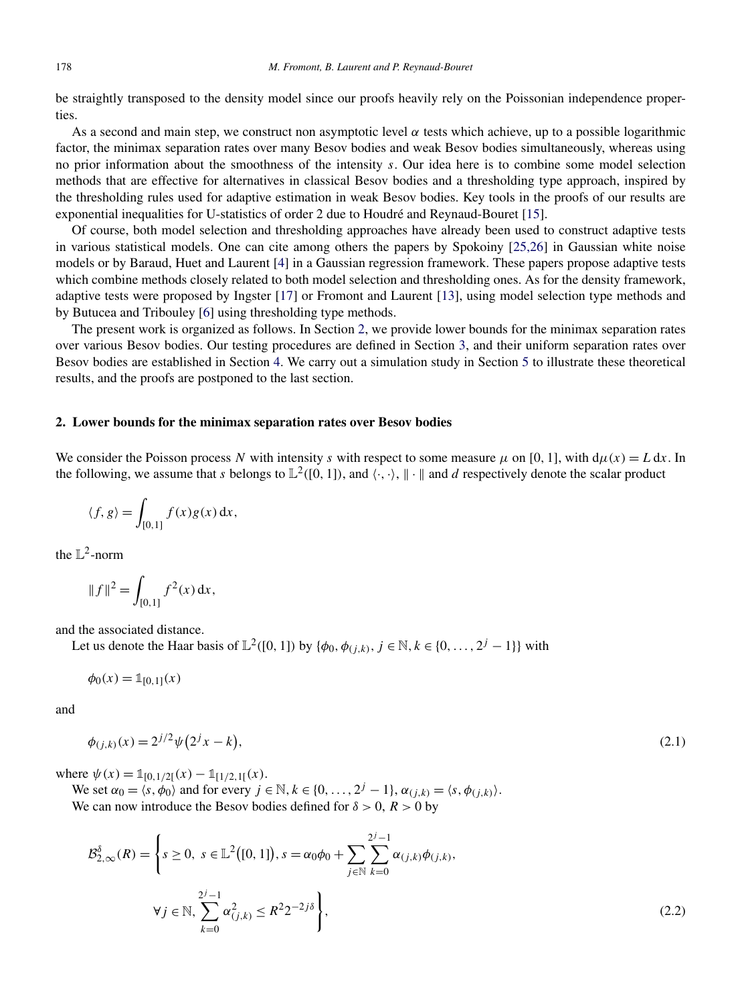<span id="page-2-0"></span>be straightly transposed to the density model since our proofs heavily rely on the Poissonian independence properties.

As a second and main step, we construct non asymptotic level *α* tests which achieve, up to a possible logarithmic factor, the minimax separation rates over many Besov bodies and weak Besov bodies simultaneously, whereas using no prior information about the smoothness of the intensity *s*. Our idea here is to combine some model selection methods that are effective for alternatives in classical Besov bodies and a thresholding type approach, inspired by the thresholding rules used for adaptive estimation in weak Besov bodies. Key tools in the proofs of our results are exponential inequalities for U-statistics of order 2 due to Houdré and Reynaud-Bouret [\[15\]](#page-36-0).

Of course, both model selection and thresholding approaches have already been used to construct adaptive tests in various statistical models. One can cite among others the papers by Spokoiny [\[25,26\]](#page-37-0) in Gaussian white noise models or by Baraud, Huet and Laurent [\[4\]](#page-36-0) in a Gaussian regression framework. These papers propose adaptive tests which combine methods closely related to both model selection and thresholding ones. As for the density framework, adaptive tests were proposed by Ingster [\[17\]](#page-36-0) or Fromont and Laurent [\[13\]](#page-36-0), using model selection type methods and by Butucea and Tribouley [\[6\]](#page-36-0) using thresholding type methods.

The present work is organized as follows. In Section 2, we provide lower bounds for the minimax separation rates over various Besov bodies. Our testing procedures are defined in Section [3,](#page-4-0) and their uniform separation rates over Besov bodies are established in Section [4.](#page-8-0) We carry out a simulation study in Section [5](#page-11-0) to illustrate these theoretical results, and the proofs are postponed to the last section.

## **2. Lower bounds for the minimax separation rates over Besov bodies**

We consider the Poisson process N with intensity *s* with respect to some measure  $\mu$  on [0, 1], with  $d\mu(x) = L dx$ . In the following, we assume that *s* belongs to  $\mathbb{L}^2([0, 1])$ , and  $\langle \cdot, \cdot \rangle$ ,  $\|\cdot\|$  and *d* respectively denote the scalar product

$$
\langle f, g \rangle = \int_{[0,1]} f(x)g(x) \, \mathrm{d}x,
$$

the  $\mathbb{L}^2$ -norm

$$
||f||^2 = \int_{[0,1]} f^2(x) \, \mathrm{d}x,
$$

and the associated distance.

Let us denote the Haar basis of  $\mathbb{L}^2([0, 1])$  by { $\phi_0, \phi_{(i,k)}$ , *j* ∈ N, *k* ∈ {0, ..., 2<sup>*j*</sup> − 1}} with

$$
\phi_0(x) = \mathbb{1}_{[0,1]}(x)
$$

and

$$
\phi_{(j,k)}(x) = 2^{j/2} \psi(2^j x - k),\tag{2.1}
$$

where  $\psi(x) = \mathbb{1}_{[0,1/2]}(x) - \mathbb{1}_{[1/2,1]}(x)$ .

We set  $\alpha_0 = \langle s, \phi_0 \rangle$  and for every  $j \in \mathbb{N}, k \in \{0, \ldots, 2^j - 1\}, \alpha_{(j,k)} = \langle s, \phi_{(j,k)} \rangle$ . We can now introduce the Besov bodies defined for  $\delta > 0$ ,  $R > 0$  by

$$
\mathcal{B}_{2,\infty}^{\delta}(R) = \left\{ s \ge 0, \ s \in \mathbb{L}^{2}([0,1]), s = \alpha_0 \phi_0 + \sum_{j \in \mathbb{N}} \sum_{k=0}^{2^{j}-1} \alpha_{(j,k)} \phi_{(j,k)}, \forall j \in \mathbb{N}, \sum_{k=0}^{2^{j}-1} \alpha_{(j,k)}^{2} \le R^2 2^{-2j\delta} \right\},
$$
\n(2.2)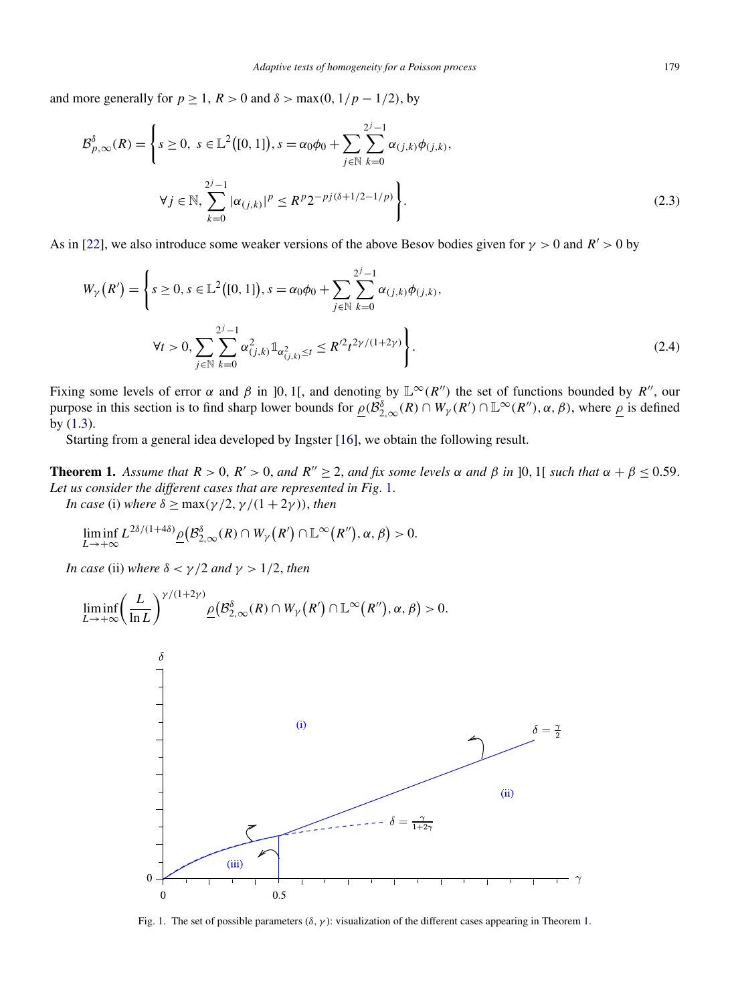<span id="page-3-0"></span>and more generally for  $p \ge 1$ ,  $R > 0$  and  $\delta > \max(0, 1/p - 1/2)$ , by

$$
\mathcal{B}_{p,\infty}^{\delta}(R) = \left\{ s \ge 0, \ s \in \mathbb{L}^{2}([0,1]), s = \alpha_0 \phi_0 + \sum_{j \in \mathbb{N}} \sum_{k=0}^{2^{j}-1} \alpha_{(j,k)} \phi_{(j,k)}, \forall j \in \mathbb{N}, \sum_{k=0}^{2^{j}-1} |\alpha_{(j,k)}|^p \le R^p 2^{-pj(\delta+1/2-1/p)} \right\}.
$$
\n(2.3)

As in [\[22\]](#page-37-0), we also introduce some weaker versions of the above Besov bodies given for  $\gamma > 0$  and  $R' > 0$  by

$$
W_{\gamma}(R') = \left\{ s \ge 0, s \in \mathbb{L}^{2}([0, 1]), s = \alpha_0 \phi_0 + \sum_{j \in \mathbb{N}} \sum_{k=0}^{2^{j}-1} \alpha_{(j,k)} \phi_{(j,k)}, \forall t > 0, \sum_{j \in \mathbb{N}} \sum_{k=0}^{2^{j}-1} \alpha_{(j,k)}^{2} \mathbb{1}_{\alpha_{(j,k)}^{2} \le t} \le R'^{2} t^{2\gamma/(1+2\gamma)} \right\}.
$$
\n(2.4)

Fixing some levels of error  $\alpha$  and  $\beta$  in ]0, 1[, and denoting by  $\mathbb{L}^{\infty}(R'')$  the set of functions bounded by  $R''$ , our purpose in this section is to find sharp lower bounds for  $\rho(\overline{B}_{2,\infty}^{\delta}(R) \cap W_{\gamma}(R') \cap \mathbb{L}^{\infty}(R'')$ ,  $\alpha, \beta$ ), where  $\rho$  is defined by [\(1.3\)](#page-1-0).

Starting from a general idea developed by Ingster [\[16\]](#page-36-0), we obtain the following result.

**Theorem 1.** Assume that  $R > 0$ ,  $R' > 0$ , and  $R'' \ge 2$ , and fix some levels  $\alpha$  and  $\beta$  in [0, 1] such that  $\alpha + \beta \le 0.59$ . *Let us consider the different cases that are represented in Fig*. 1.

*In case* (i) *where*  $\delta \ge \max(\gamma/2, \gamma/(1+2\gamma))$ *, then* 

$$
\liminf_{L\to+\infty}L^{2\delta/(1+4\delta)}\underline{\rho}(\mathcal{B}_{2,\infty}^{\delta}(R)\cap W_{\gamma}(R')\cap \mathbb{L}^{\infty}(R''),\alpha,\beta)>0.
$$

*In case* (ii) *where*  $\delta < \gamma/2$  *and*  $\gamma > 1/2$ *, then* 

$$
\liminf_{L\to+\infty}\left(\frac{L}{\ln L}\right)^{\gamma/(1+2\gamma)}\underline{\rho}\big(\mathcal{B}_{2,\infty}^{\delta}(R)\cap W_{\gamma}\big(R'\big)\cap \mathbb{L}^{\infty}\big(R''\big),\alpha,\beta\big)>0.
$$



Fig. 1. The set of possible parameters (*δ,γ* ): visualization of the different cases appearing in Theorem 1.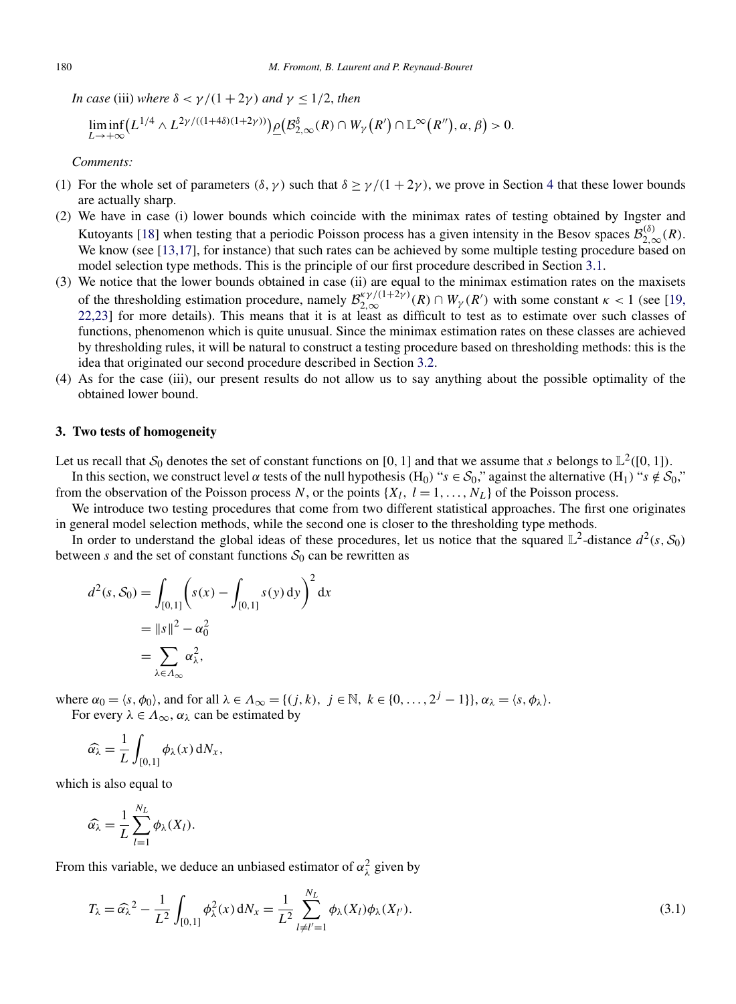<span id="page-4-0"></span>*In case* (iii) *where*  $\delta < \gamma/(1+2\gamma)$  *and*  $\gamma \leq 1/2$ *, then* 

$$
\liminf_{L\to+\infty}\bigl(L^{1/4}\wedge L^{2\gamma/((1+4\delta)(1+2\gamma))}\bigr)\underline{\rho}\bigl(\mathcal{B}_{2,\infty}^{\delta}(R)\cap W_{\gamma}\bigl(R'\bigr)\cap \mathbb L^{\infty}\bigl(R''\bigr),\alpha,\beta\bigr)>0.
$$

*Comments:*

- (1) For the whole set of parameters  $(\delta, \gamma)$  such that  $\delta \geq \gamma/(1+2\gamma)$ , we prove in Section [4](#page-8-0) that these lower bounds are actually sharp.
- (2) We have in case (i) lower bounds which coincide with the minimax rates of testing obtained by Ingster and Kutoyants [\[18\]](#page-36-0) when testing that a periodic Poisson process has a given intensity in the Besov spaces  $\mathcal{B}_{2,\infty}^{(\delta)}(R)$ . We know (see [\[13,17\]](#page-36-0), for instance) that such rates can be achieved by some multiple testing procedure based on model selection type methods. This is the principle of our first procedure described in Section [3.1.](#page-5-0)
- (3) We notice that the lower bounds obtained in case (ii) are equal to the minimax estimation rates on the maxisets of the thresholding estimation procedure, namely  $\mathcal{B}_{2,\infty}^{\kappa \gamma/(1+2\gamma)}(R) \cap W_{\gamma}(R')$  with some constant  $\kappa < 1$  (see [\[19,](#page-36-0) [22,23\]](#page-36-0) for more details). This means that it is at least as difficult to test as to estimate over such classes of functions, phenomenon which is quite unusual. Since the minimax estimation rates on these classes are achieved by thresholding rules, it will be natural to construct a testing procedure based on thresholding methods: this is the idea that originated our second procedure described in Section [3.2.](#page-6-0)
- (4) As for the case (iii), our present results do not allow us to say anything about the possible optimality of the obtained lower bound.

#### **3. Two tests of homogeneity**

Let us recall that  $S_0$  denotes the set of constant functions on [0, 1] and that we assume that *s* belongs to  $\mathbb{L}^2([0, 1])$ .

In this section, we construct level *α* tests of the null hypothesis (H<sub>0</sub>) "*s* ∈ S<sub>0</sub>," against the alternative (H<sub>1</sub>) "*s* ∉ S<sub>0</sub>," from the observation of the Poisson process *N*, or the points  $\{X_l, l = 1, ..., N_L\}$  of the Poisson process.

We introduce two testing procedures that come from two different statistical approaches. The first one originates in general model selection methods, while the second one is closer to the thresholding type methods.

In order to understand the global ideas of these procedures, let us notice that the squared  $\mathbb{L}^2$ -distance  $d^2(s, S_0)$ between *s* and the set of constant functions  $S_0$  can be rewritten as

$$
d^{2}(s, S_{0}) = \int_{[0,1]} \left( s(x) - \int_{[0,1]} s(y) dy \right)^{2} dx
$$
  
=  $||s||^{2} - \alpha_{0}^{2}$   
=  $\sum_{\lambda \in \Lambda_{\infty}} \alpha_{\lambda}^{2}$ ,

where  $\alpha_0 = \langle s, \phi_0 \rangle$ , and for all  $\lambda \in \Lambda_\infty = \{(j, k), j \in \mathbb{N}, k \in \{0, \ldots, 2^j - 1\}\}, \alpha_\lambda = \langle s, \phi_\lambda \rangle$ . For every  $\lambda \in \Lambda_{\infty}$ ,  $\alpha_{\lambda}$  can be estimated by

$$
\widehat{\alpha_\lambda} = \frac{1}{L} \int_{[0,1]} \phi_\lambda(x) dN_x,
$$

which is also equal to

$$
\widehat{\alpha_{\lambda}} = \frac{1}{L} \sum_{l=1}^{N_L} \phi_{\lambda}(X_l).
$$

From this variable, we deduce an unbiased estimator of  $\alpha_{\lambda}^2$  given by

$$
T_{\lambda} = \widehat{\alpha_{\lambda}}^2 - \frac{1}{L^2} \int_{[0,1]} \phi_{\lambda}^2(x) dN_x = \frac{1}{L^2} \sum_{l \neq l'=1}^{N_L} \phi_{\lambda}(X_l) \phi_{\lambda}(X_{l'}).
$$
 (3.1)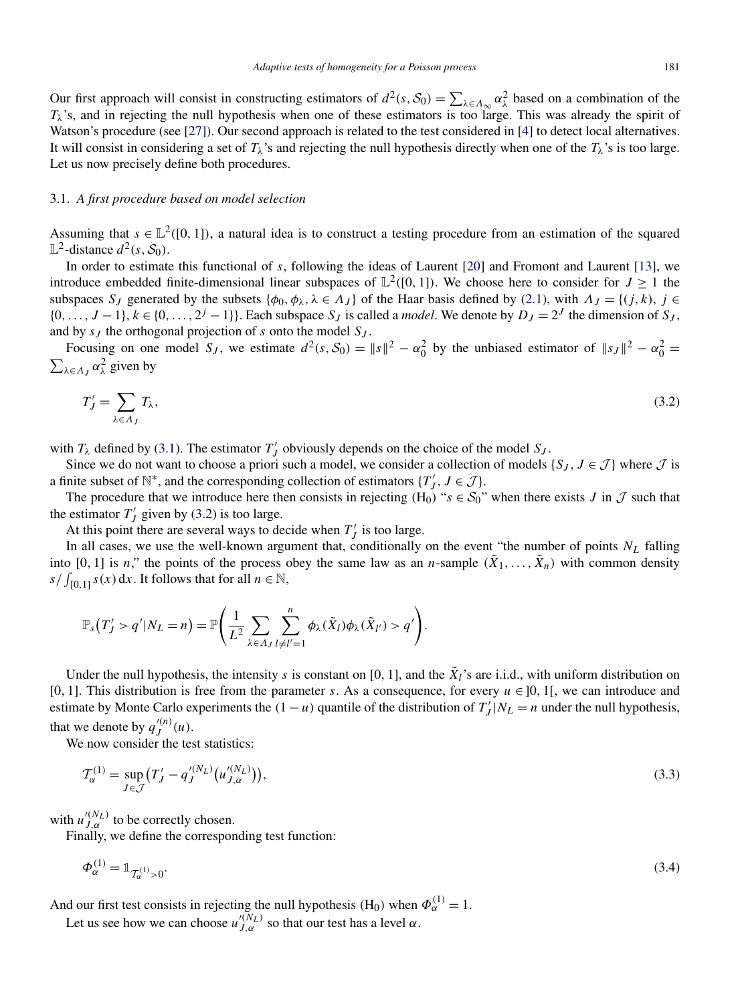<span id="page-5-0"></span>Our first approach will consist in constructing estimators of  $d^2(s, S_0) = \sum_{\lambda \in \Lambda_\infty} \alpha_\lambda^2$  based on a combination of the  $T_{\lambda}$ 's, and in rejecting the null hypothesis when one of these estimators is too large. This was already the spirit of Watson's procedure (see [\[27\]](#page-37-0)). Our second approach is related to the test considered in [\[4\]](#page-36-0) to detect local alternatives. It will consist in considering a set of  $T_\lambda$ 's and rejecting the null hypothesis directly when one of the  $T_\lambda$ 's is too large. Let us now precisely define both procedures.

#### 3.1. *A first procedure based on model selection*

Assuming that  $s \in L^2([0, 1])$ , a natural idea is to construct a testing procedure from an estimation of the squared  $\mathbb{L}^2$ -distance  $d^2(s, \mathcal{S}_0)$ .

In order to estimate this functional of *s*, following the ideas of Laurent [\[20\]](#page-36-0) and Fromont and Laurent [\[13\]](#page-36-0), we introduce embedded finite-dimensional linear subspaces of  $\mathbb{L}^2([0,1])$ . We choose here to consider for  $J \ge 1$  the subspaces *S<sub>J</sub>* generated by the subsets  $\{\phi_0, \phi_\lambda, \lambda \in \Lambda_J\}$  of the Haar basis defined by [\(2.1\)](#page-2-0), with  $\Lambda_J = \{(j, k), j \in \Lambda_J\}$  $\{0,\ldots,J-1\}, k \in \{0,\ldots,2^j-1\}\}.$  Each subspace  $S_J$  is called a *model*. We denote by  $D_J = 2^J$  the dimension of  $S_J$ and by *sJ* the orthogonal projection of *s* onto the model *SJ* .

Focusing on one model *S<sub>J</sub>*, we estimate  $d^2(s, S_0) = ||s||^2 - \alpha_0^2$  by the unbiased estimator of  $||s_J||^2 - \alpha_0^2 = \sum_{k=0}^{\infty} a_k \alpha_k^2$  given by  $\lambda$ ∈*Λ<sub>J</sub>*  $\alpha_{\lambda}^{2}$  given by

$$
T'_J = \sum_{\lambda \in \Lambda_J} T_\lambda,\tag{3.2}
$$

with  $T_{\lambda}$  defined by [\(3.1\)](#page-4-0). The estimator  $T'_{J}$  obviously depends on the choice of the model  $S_{J}$ .

Since we do not want to choose a priori such a model, we consider a collection of models  $\{S_J, J \in \mathcal{J}\}\$  where  $\mathcal J$  is a finite subset of  $\mathbb{N}^*$ , and the corresponding collection of estimators  $\{T'_j, J \in \mathcal{J}\}\$ .

The procedure that we introduce here then consists in rejecting  $(H_0)$  " $s \in S_0$ " when there exists *J* in  $J$  such that the estimator  $T'_J$  given by (3.2) is too large.

At this point there are several ways to decide when  $T'_J$  is too large.

In all cases, we use the well-known argument that, conditionally on the event "the number of points  $N<sub>L</sub>$  falling into [0, 1] is *n*," the points of the process obey the same law as an *n*-sample  $(\tilde{X}_1, \ldots, \tilde{X}_n)$  with common density  $s / \int_{[0,1]} s(x) dx$ . It follows that for all  $n \in \mathbb{N}$ ,

$$
\mathbb{P}_{s}\big(T'_{J} > q'|N_{L} = n\big) = \mathbb{P}\Bigg(\frac{1}{L^{2}}\sum_{\lambda \in \Lambda_{J}}\sum_{l \neq l'=1}^{n} \phi_{\lambda}(\tilde{X}_{l})\phi_{\lambda}(\tilde{X}_{l'}) > q'\Bigg).
$$

Under the null hypothesis, the intensity *s* is constant on [0, 1], and the  $\tilde{X}_l$ 's are i.i.d., with uniform distribution on [0*,* 1]. This distribution is free from the parameter *s*. As a consequence, for every *u* ∈]0*,* 1[, we can introduce and estimate by Monte Carlo experiments the  $(1 - u)$  quantile of the distribution of  $T'_j | N_L = n$  under the null hypothesis, that we denote by  $q_J^{\prime(n)}(u)$ .

We now consider the test statistics:

$$
\mathcal{T}_{\alpha}^{(1)} = \sup_{J \in \mathcal{J}} (T'_J - q'^{(N_L)}_J(u'^{(N_L)}_{J,\alpha})),\tag{3.3}
$$

with  $u'_{J,\alpha}^{(N_L)}$  to be correctly chosen.

Finally, we define the corresponding test function:

$$
\Phi_{\alpha}^{(1)} = \mathbb{1}_{\mathcal{T}_{\alpha}^{(1)} > 0}.\tag{3.4}
$$

And our first test consists in rejecting the null hypothesis  $(H_0)$  when  $\Phi_{\alpha}^{(1)} = 1$ .

Let us see how we can choose  $u_{J,\alpha}^{\prime(N_L)}$  so that our test has a level  $\alpha$ .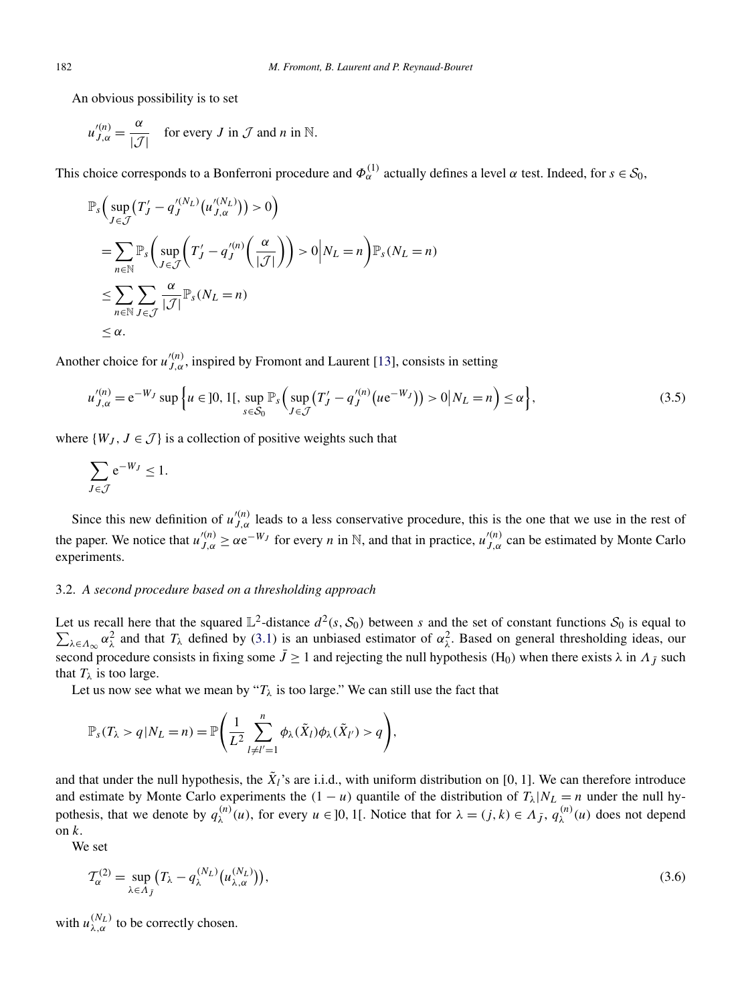<span id="page-6-0"></span>An obvious possibility is to set

$$
u_{J,\alpha}^{\prime(n)} = \frac{\alpha}{|\mathcal{J}|}
$$
 for every  $J$  in  $\mathcal{J}$  and  $n$  in  $\mathbb{N}$ .

This choice corresponds to a Bonferroni procedure and  $\Phi_{\alpha}^{(1)}$  actually defines a level  $\alpha$  test. Indeed, for  $s \in \mathcal{S}_0$ ,

$$
\mathbb{P}_{s} \Big( \sup_{J \in \mathcal{J}} \big( T'_{J} - q'_{J}^{(N_{L})} (u'_{J,\alpha}^{(N_{L})} ) \big) > 0 \Big)
$$
\n
$$
= \sum_{n \in \mathbb{N}} \mathbb{P}_{s} \Big( \sup_{J \in \mathcal{J}} \bigg( T'_{J} - q'_{J}^{(n)} \bigg( \frac{\alpha}{|\mathcal{J}|} \bigg) \bigg) > 0 \Big| N_{L} = n \Big) \mathbb{P}_{s} (N_{L} = n)
$$
\n
$$
\leq \sum_{n \in \mathbb{N}} \sum_{J \in \mathcal{J}} \frac{\alpha}{|\mathcal{J}|} \mathbb{P}_{s} (N_{L} = n)
$$
\n
$$
\leq \alpha.
$$

Another choice for  $u_{J,\alpha}^{\prime(n)}$ , inspired by Fromont and Laurent [\[13\]](#page-36-0), consists in setting

$$
u_{J,\alpha}^{\prime(n)} = e^{-W_J} \sup \left\{ u \in [0, 1[, \sup_{s \in S_0} \mathbb{P}_s \left( \sup_{J \in \mathcal{J}} (T_J' - q_J^{\prime(n)}(u e^{-W_J})) > 0 \middle| N_L = n \right) \le \alpha \right\},\tag{3.5}
$$

where  $\{W_J, J \in \mathcal{J}\}\$ is a collection of positive weights such that

$$
\sum_{J \in \mathcal{J}} e^{-W_J} \le 1.
$$

Since this new definition of  $u_{J,\alpha}^{\prime(n)}$  leads to a less conservative procedure, this is the one that we use in the rest of the paper. We notice that  $u'_{J,\alpha} \geq \alpha e^{-W_J}$  for every *n* in N, and that in practice,  $u'_{J,\alpha}$  can be estimated by Monte Carlo experiments.

#### 3.2. *A second procedure based on a thresholding approach*

Let us recall here that the squared  $\mathbb{L}^2$ -distance  $d^2$ Let us recall here that the squared  $\mathbb{L}^2$ -distance  $d^2(s, S_0)$  between *s* and the set of constant functions  $S_0$  is equal to  $\sum_{\lambda \in \Lambda} \alpha^2$  and that  $T_{\lambda}$  defined by (3.1) is an unbiased estimator of  $\alpha^2$ . Ba  $\lambda \in A_{\infty}$  *α*<sub> $\lambda$ </sub><sup>2</sup> and that *T*<sub> $\lambda$ </sub> defined by [\(3.1\)](#page-4-0) is an unbiased estimator of *α*<sub> $\lambda$ </sub><sup>2</sup>. Based on general thresholding ideas, our second procedure consists in fixing some  $\bar{J} \ge 1$  and rejecting the null hypothesis  $(H_0)$  when there exists  $\lambda$  in  $\Lambda_{\bar{J}}$  such that  $T_{\lambda}$  is too large.

Let us now see what we mean by " $T_{\lambda}$  is too large." We can still use the fact that

$$
\mathbb{P}_s(T_\lambda > q | N_L = n) = \mathbb{P}\Bigg(\frac{1}{L^2} \sum_{l \neq l' = 1}^n \phi_\lambda(\tilde{X}_l) \phi_\lambda(\tilde{X}_{l'}) > q\Bigg),
$$

and that under the null hypothesis, the  $\tilde{X}_l$ 's are i.i.d., with uniform distribution on [0, 1]. We can therefore introduce and estimate by Monte Carlo experiments the  $(1 - u)$  quantile of the distribution of  $T_{\lambda}|N_L = n$  under the null hypothesis, that we denote by  $q_{\lambda}^{(n)}(u)$ , for every  $u \in ]0,1[$ . Notice that for  $\lambda = (j,k) \in \Lambda_{\bar{J}}, q_{\lambda}^{(n)}(u)$  does not depend on *k*.

We set

$$
\mathcal{T}_{\alpha}^{(2)} = \sup_{\lambda \in \Lambda_{\bar{J}}} \left( T_{\lambda} - q_{\lambda}^{(N_L)} \left( u_{\lambda, \alpha}^{(N_L)} \right) \right),\tag{3.6}
$$

with  $u_{\lambda,\alpha}^{(N_L)}$  to be correctly chosen.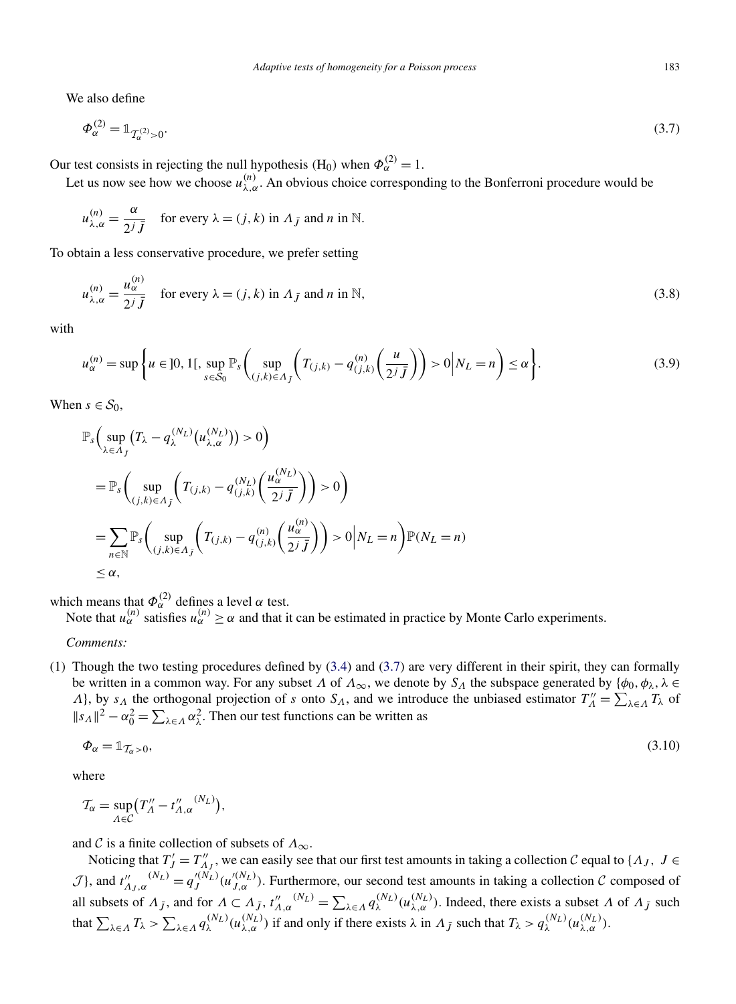<span id="page-7-0"></span>We also define

$$
\Phi_{\alpha}^{(2)} = \mathbb{1}_{\mathcal{T}_{\alpha}^{(2)} > 0}.\tag{3.7}
$$

Our test consists in rejecting the null hypothesis  $(H_0)$  when  $\Phi_{\alpha}^{(2)} = 1$ .

Let us now see how we choose  $u_{\lambda,\alpha}^{(n)}$ . An obvious choice corresponding to the Bonferroni procedure would be

$$
u_{\lambda,\alpha}^{(n)} = \frac{\alpha}{2^j \bar{J}}
$$
 for every  $\lambda = (j,k)$  in  $\Lambda_{\bar{J}}$  and *n* in N.

To obtain a less conservative procedure, we prefer setting

$$
u_{\lambda,\alpha}^{(n)} = \frac{u_{\alpha}^{(n)}}{2^{j}\bar{J}}
$$
 for every  $\lambda = (j,k)$  in  $\Lambda_{\bar{J}}$  and *n* in N, (3.8)

with

$$
u_{\alpha}^{(n)} = \sup \left\{ u \in [0, 1[, \sup_{s \in S_0} \mathbb{P}_s \left( \sup_{(j,k) \in A_j} \left( T_{(j,k)} - q_{(j,k)}^{(n)} \left( \frac{u}{2^j \bar{J}} \right) \right) > 0 \middle| N_L = n \right) \le \alpha \right\}.
$$
 (3.9)

When  $s \in \mathcal{S}_0$ ,

$$
\mathbb{P}_{s}\Big(\sup_{\lambda \in \Lambda_{\tilde{J}}} \big(T_{\lambda} - q_{\lambda}^{(N_{L})}(u_{\lambda,\alpha}^{(N_{L})})\big) > 0\Big)
$$
\n
$$
= \mathbb{P}_{s}\Big(\sup_{(j,k)\in\Lambda_{\tilde{J}}} \bigg(T_{(j,k)} - q_{(j,k)}^{(N_{L})}\bigg(\frac{u_{\alpha}^{(N_{L})}}{2^{j}\bar{J}}\bigg)\bigg) > 0\Big)
$$
\n
$$
= \sum_{n\in\mathbb{N}} \mathbb{P}_{s}\Big(\sup_{(j,k)\in\Lambda_{\tilde{J}}} \bigg(T_{(j,k)} - q_{(j,k)}^{(n)}\bigg(\frac{u_{\alpha}^{(n)}}{2^{j}\bar{J}}\bigg)\bigg) > 0\Big| N_{L} = n\Big) \mathbb{P}(N_{L} = n)
$$
\n
$$
\leq \alpha,
$$

which means that  $\Phi_{\alpha}^{(2)}$  defines a level  $\alpha$  test.

Note that  $u_\alpha^{(n)}$  satisfies  $u_\alpha^{(n)} \ge \alpha$  and that it can be estimated in practice by Monte Carlo experiments.

#### *Comments:*

(1) Though the two testing procedures defined by [\(3.4\)](#page-5-0) and (3.7) are very different in their spirit, they can formally be written in a common way. For any subset *Λ* of  $\Lambda_{\infty}$ , we denote by  $S_{\Lambda}$  the subspace generated by { $\phi_0$ ,  $\phi_\lambda$ ,  $\lambda \in$ *Λ*}, by *s<sub>Λ</sub>* the orthogonal projection of *s* onto *S<sub>Λ</sub>*, and we introduce the unbiased estimator  $T''_A = \sum_{\lambda \in A} T_\lambda$  of  $||s_A||^2 - \alpha_0^2 = \sum_{\lambda \in A} \alpha_\lambda^2$ . Then our test functions can be written as

$$
\Phi_{\alpha} = \mathbb{1}_{\mathcal{T}_{\alpha} > 0},\tag{3.10}
$$

where

$$
\mathcal{T}_{\alpha} = \sup_{\Lambda \in \mathcal{C}} (T_{\Lambda}'' - t_{\Lambda,\alpha}''^{(N_L)}),
$$

and C is a finite collection of subsets of *Λ*∞.

Noticing that  $T'_J = T''_{J_J}$ , we can easily see that our first test amounts in taking a collection C equal to { $\Lambda_J$ ,  $J \in$  $\mathcal{J}$ , and  $t''_{\Delta_J,\alpha}$   $N_L$  =  $q''_J$   $(u''_{J,\alpha}$ . Furthermore, our second test amounts in taking a collection C composed of all subsets of  $\Lambda_{\bar{J}}$ , and for  $\Lambda \subset \Lambda_{\bar{J}}$ ,  $t''_{\Lambda,\alpha}^{(N_L)} = \sum_{\lambda \in \Lambda} q_{\lambda}^{(N_L)}(u_{\lambda,\alpha}^{(N_L)})$ . Indeed, there exists a subset  $\Lambda$  of  $\Lambda_{\bar{J}}$  such that  $\sum_{\lambda \in \Lambda} T_{\lambda} > \sum_{\lambda \in \Lambda} q_{\lambda}^{(N_L)}(u_{\lambda,\alpha}^{(N_L)})$  if and only if there exists  $\lambda$  in  $\Lambda_{\tilde{J}}$  such that  $T_{\lambda} > q_{\lambda}^{(N_L)}(u_{\lambda,\alpha}^{(N_L)})$ .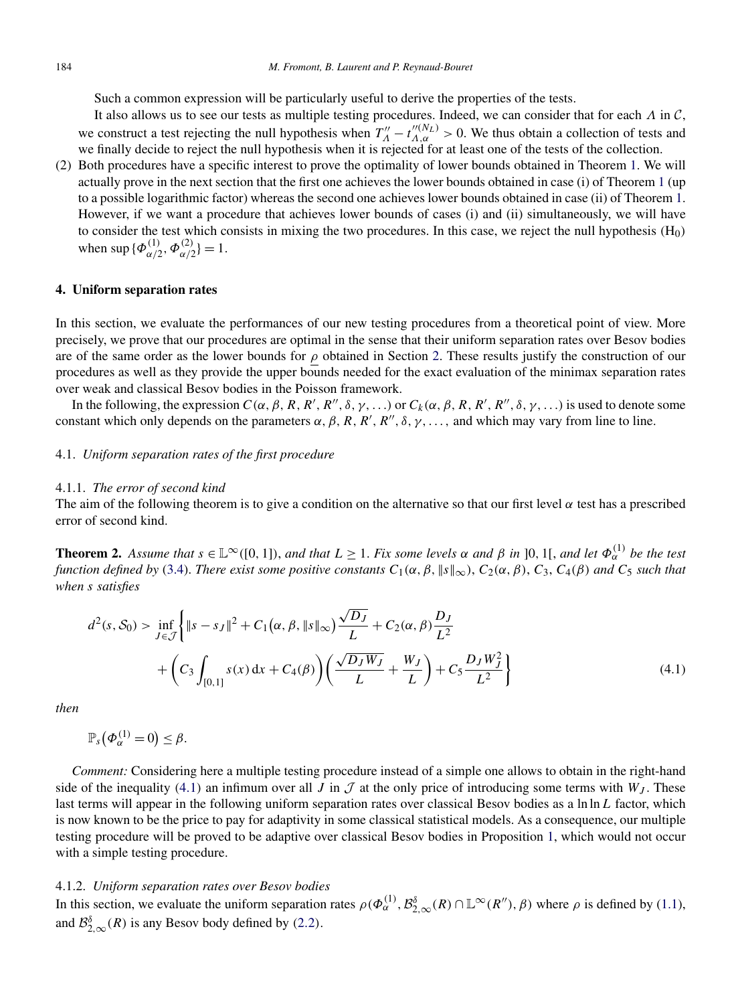Such a common expression will be particularly useful to derive the properties of the tests.

<span id="page-8-0"></span>It also allows us to see our tests as multiple testing procedures. Indeed, we can consider that for each *Λ* in C, we construct a test rejecting the null hypothesis when  $T''_A - t''^{(N_L)}_{A,\alpha} > 0$ . We thus obtain a collection of tests and we finally decide to reject the null hypothesis when it is rejected for at least one of the tests of the collection.

(2) Both procedures have a specific interest to prove the optimality of lower bounds obtained in Theorem [1.](#page-3-0) We will actually prove in the next section that the first one achieves the lower bounds obtained in case (i) of Theorem [1](#page-3-0) (up to a possible logarithmic factor) whereas the second one achieves lower bounds obtained in case (ii) of Theorem [1.](#page-3-0) However, if we want a procedure that achieves lower bounds of cases (i) and (ii) simultaneously, we will have to consider the test which consists in mixing the two procedures. In this case, we reject the null hypothesis *(*H0*)* when sup  $\{\Phi_{\alpha/2}^{(1)}, \Phi_{\alpha/2}^{(2)}\} = 1.$ 

# **4. Uniform separation rates**

In this section, we evaluate the performances of our new testing procedures from a theoretical point of view. More precisely, we prove that our procedures are optimal in the sense that their uniform separation rates over Besov bodies are of the same order as the lower bounds for *ρ* obtained in Section [2.](#page-2-0) These results justify the construction of our procedures as well as they provide the upper bounds needed for the exact evaluation of the minimax separation rates over weak and classical Besov bodies in the Poisson framework.

In the following, the expression  $C(\alpha, \beta, R, R', R'', \delta, \gamma, ...)$  or  $C_k(\alpha, \beta, R, R', R'', \delta, \gamma, ...)$  is used to denote some constant which only depends on the parameters  $\alpha$ ,  $\beta$ ,  $R$ ,  $R'$ ,  $R''$ ,  $\delta$ ,  $\gamma$ , ..., and which may vary from line to line.

## 4.1. *Uniform separation rates of the first procedure*

#### 4.1.1. *The error of second kind*

The aim of the following theorem is to give a condition on the alternative so that our first level  $\alpha$  test has a prescribed error of second kind.

**Theorem 2.** Assume that  $s \in \mathbb{L}^{\infty}([0, 1])$ , and that  $L \ge 1$ . Fix some levels  $\alpha$  and  $\beta$  in [0, 1[, and let  $\Phi_{\alpha}^{(1)}$  be the test *function defined by* [\(3.4\)](#page-5-0). *There exist some positive constants*  $C_1(\alpha, \beta, \|\mathbf{s}\|_{\infty})$ ,  $C_2(\alpha, \beta)$ ,  $C_3$ ,  $C_4(\beta)$  *and*  $C_5$  *such that when s satisfies*

$$
d^{2}(s, S_{0}) > \inf_{J \in \mathcal{J}} \left\{ \|s - s_{J}\|^{2} + C_{1}(\alpha, \beta, \|s\|_{\infty}) \frac{\sqrt{D_{J}}}{L} + C_{2}(\alpha, \beta) \frac{D_{J}}{L^{2}} + \left(C_{3} \int_{[0,1]} s(x) dx + C_{4}(\beta)\right) \left(\frac{\sqrt{D_{J}W_{J}}}{L} + \frac{W_{J}}{L}\right) + C_{5} \frac{D_{J}W_{J}^{2}}{L^{2}}\right\}
$$
(4.1)

*then*

 $\mathbb{P}_s(\Phi_\alpha^{(1)}=0)\leq \beta.$ 

*Comment:* Considering here a multiple testing procedure instead of a simple one allows to obtain in the right-hand side of the inequality (4.1) an infimum over all *J* in  $J$  at the only price of introducing some terms with  $W_J$ . These last terms will appear in the following uniform separation rates over classical Besov bodies as a ln ln*L* factor, which is now known to be the price to pay for adaptivity in some classical statistical models. As a consequence, our multiple testing procedure will be proved to be adaptive over classical Besov bodies in Proposition [1,](#page-9-0) which would not occur with a simple testing procedure.

#### 4.1.2. *Uniform separation rates over Besov bodies*

In this section, we evaluate the uniform separation rates  $\rho(\Phi_{\alpha}^{(1)}, \mathcal{B}_{2,\infty}^{\delta}(R) \cap \mathbb{L}^{\infty}(R'')$ ,  $\beta$ ) where  $\rho$  is defined by [\(1.1\)](#page-1-0), and  $\mathcal{B}_{2,\infty}^{\delta}(R)$  $\mathcal{B}_{2,\infty}^{\delta}(R)$  $\mathcal{B}_{2,\infty}^{\delta}(R)$  is any Besov body defined by (2.2).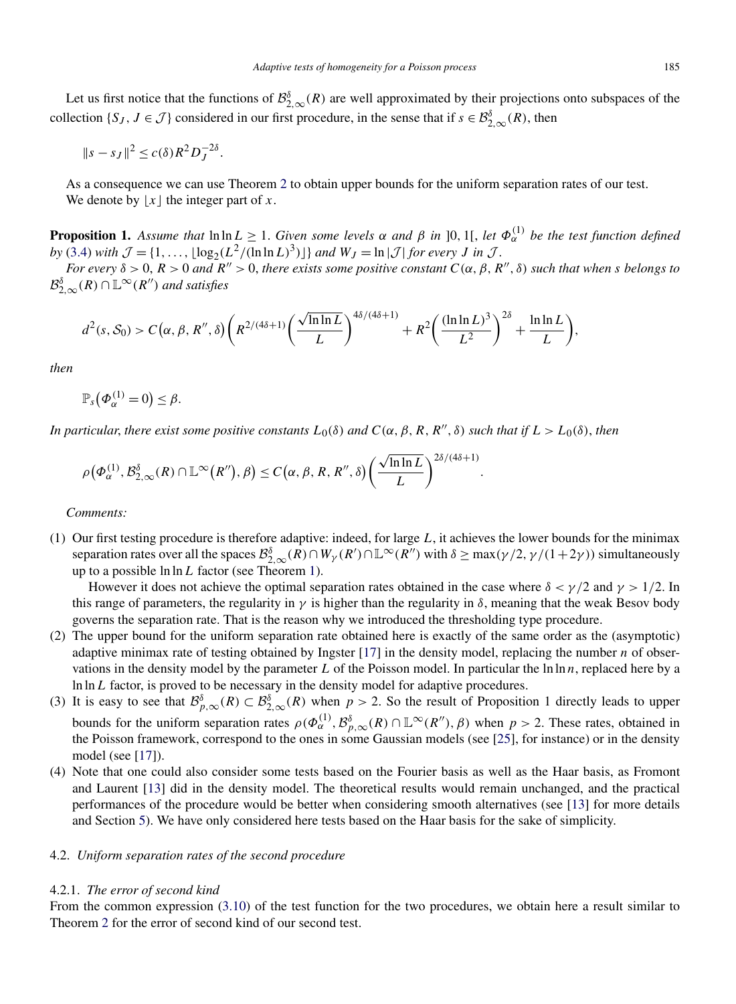<span id="page-9-0"></span>Let us first notice that the functions of  $\mathcal{B}_{2,\infty}^{\delta}(R)$  are well approximated by their projections onto subspaces of the collection  $\{S_J, J \in \mathcal{J}\}\)$  considered in our first procedure, in the sense that if  $s \in \mathcal{B}_{2,\infty}^{\delta}(R)$ , then

$$
||s - s_J||^2 \le c(\delta) R^2 D_J^{-2\delta}.
$$

As a consequence we can use Theorem [2](#page-8-0) to obtain upper bounds for the uniform separation rates of our test. We denote by  $|x|$  the integer part of x.

**Proposition 1.** *Assume that*  $\ln \ln L \geq 1$ *. Given some levels*  $\alpha$  *and*  $\beta$  *in* [0, 1[, *let*  $\Phi_{\alpha}^{(1)}$  *be the test function defined by* [\(3.4\)](#page-5-0) *with*  $\mathcal{J} = \{1, \ldots, \lfloor \log_2(L^2/(\ln \ln L)^3) \rfloor\}$  *and*  $W_J = \ln |\mathcal{J}|$  *for every J in*  $\mathcal{J}$ .

*For every*  $\delta > 0$ ,  $R > 0$  and  $R'' > 0$ , there exists some positive constant  $C(\alpha, \beta, R'', \delta)$  such that when *s* belongs to  $\mathcal{B}^{\delta}_{2,\infty}(R) \cap \mathbb{L}^{\infty}(R'')$  and satisfies

$$
d^2(s, S_0) > C(\alpha, \beta, R'', \delta) \left( R^{2/(4\delta+1)} \left( \frac{\sqrt{\ln \ln L}}{L} \right)^{4\delta/(4\delta+1)} + R^2 \left( \frac{(\ln \ln L)^3}{L^2} \right)^{2\delta} + \frac{\ln \ln L}{L} \right),
$$

*then*

$$
\mathbb{P}_s\big(\varPhi_\alpha^{(1)}=0\big)\leq\beta.
$$

*In particular, there exist some positive constants*  $L_0(\delta)$  *and*  $C(\alpha, \beta, R, R'', \delta)$  *such that if*  $L > L_0(\delta)$ *, then* 

$$
\rho(\Phi_{\alpha}^{(1)}, \mathcal{B}_{2,\infty}^{\delta}(R) \cap \mathbb{L}^{\infty}(R''), \beta) \leq C(\alpha, \beta, R, R'', \delta) \left(\frac{\sqrt{\ln \ln L}}{L}\right)^{2\delta/(4\delta+1)}.
$$

*Comments:*

(1) Our first testing procedure is therefore adaptive: indeed, for large *L*, it achieves the lower bounds for the minimax separation rates over all the spaces  $\mathcal{B}_{2,\infty}^{\delta}(R) \cap W_{\gamma}(R') \cap \mathbb{L}^{\infty}(R'')$  with  $\delta \ge \max(\gamma/2, \gamma/(1+2\gamma))$  simultaneously up to a possible ln ln*L* factor (see Theorem [1\)](#page-3-0).

However it does not achieve the optimal separation rates obtained in the case where  $\delta < \gamma/2$  and  $\gamma > 1/2$ . In this range of parameters, the regularity in  $\gamma$  is higher than the regularity in  $\delta$ , meaning that the weak Besov body governs the separation rate. That is the reason why we introduced the thresholding type procedure.

- (2) The upper bound for the uniform separation rate obtained here is exactly of the same order as the (asymptotic) adaptive minimax rate of testing obtained by Ingster [\[17\]](#page-36-0) in the density model, replacing the number *n* of observations in the density model by the parameter  $L$  of the Poisson model. In particular the  $\ln \ln n$ , replaced here by a ln ln*L* factor, is proved to be necessary in the density model for adaptive procedures.
- (3) It is easy to see that  $\mathcal{B}_{p,\infty}^{\delta}(R) \subset \mathcal{B}_{2,\infty}^{\delta}(R)$  when  $p > 2$ . So the result of Proposition 1 directly leads to upper bounds for the uniform separation rates  $\rho(\Phi_{\alpha}^{(1)}, \mathcal{B}_{p,\infty}^{\delta}(R) \cap \mathbb{L}^{\infty}(R'')$ ,  $\beta)$  when  $p > 2$ . These rates, obtained in the Poisson framework, correspond to the ones in some Gaussian models (see [\[25\]](#page-37-0), for instance) or in the density model (see [\[17\]](#page-36-0)).
- (4) Note that one could also consider some tests based on the Fourier basis as well as the Haar basis, as Fromont and Laurent [\[13\]](#page-36-0) did in the density model. The theoretical results would remain unchanged, and the practical performances of the procedure would be better when considering smooth alternatives (see [\[13\]](#page-36-0) for more details and Section [5\)](#page-11-0). We have only considered here tests based on the Haar basis for the sake of simplicity.

#### 4.2. *Uniform separation rates of the second procedure*

#### 4.2.1. *The error of second kind*

From the common expression [\(3.10\)](#page-7-0) of the test function for the two procedures, we obtain here a result similar to Theorem [2](#page-8-0) for the error of second kind of our second test.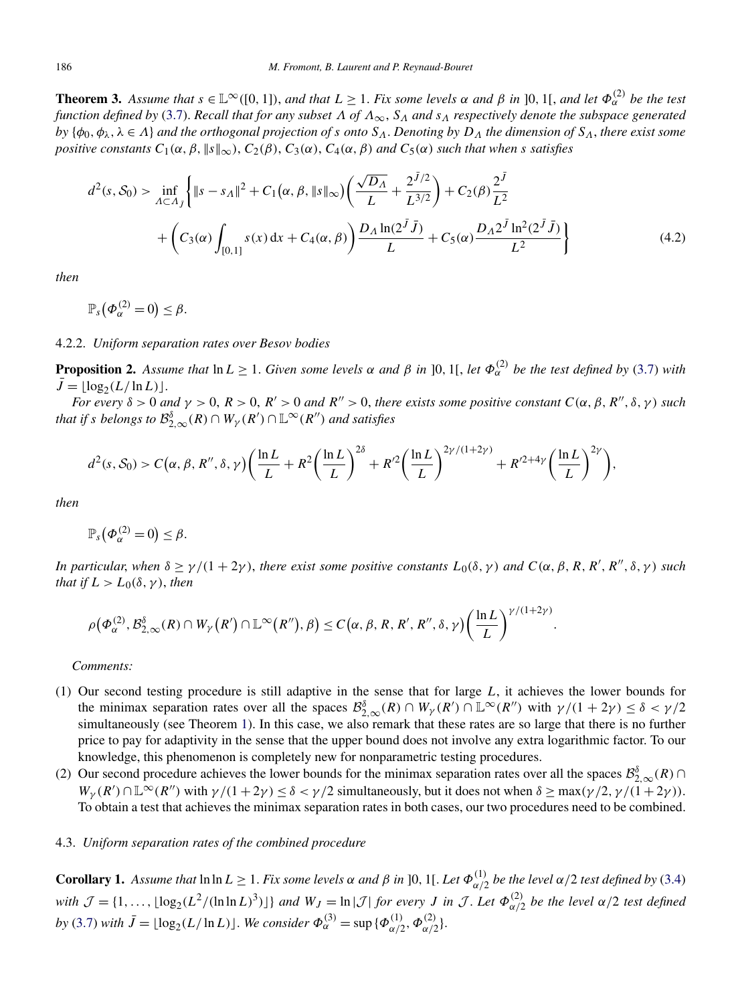<span id="page-10-0"></span>**Theorem 3.** Assume that  $s \in \mathbb{L}^{\infty}([0, 1])$ , and that  $L \ge 1$ . Fix some levels  $\alpha$  and  $\beta$  in [0, 1], and let  $\Phi_{\alpha}^{(2)}$  be the test *function defined by* [\(3.7\)](#page-7-0). *Recall that for any subset Λ of Λ*∞, *SΛ and sΛ respectively denote the subspace generated by*  ${φ_0, φ_λ, λ ∈ Λ}$  *and the orthogonal projection of s onto*  $S_Λ$ *. Denoting by*  $D_Λ$  *the dimension of*  $S_Λ$ *, there exist some positive constants*  $C_1(\alpha, \beta, ||s||_{\infty})$ ,  $C_2(\beta)$ ,  $C_3(\alpha)$ ,  $C_4(\alpha, \beta)$  *and*  $C_5(\alpha)$  *such that when s satisfies* 

$$
d^{2}(s, S_{0}) > \inf_{A \subset A_{\tilde{J}}} \left\{ \|s - s_{A}\|^{2} + C_{1}(\alpha, \beta, \|s\|_{\infty}) \left( \frac{\sqrt{D_{A}}}{L} + \frac{2^{\tilde{J}/2}}{L^{3/2}} \right) + C_{2}(\beta) \frac{2^{\tilde{J}}}{L^{2}} + \left( C_{3}(\alpha) \int_{[0,1]} s(x) dx + C_{4}(\alpha, \beta) \right) \frac{D_{A} \ln(2^{\tilde{J}} \tilde{J})}{L} + C_{5}(\alpha) \frac{D_{A} 2^{\tilde{J}} \ln^{2}(2^{\tilde{J}} \tilde{J})}{L^{2}} \right\}
$$
(4.2)

*then*

 $\mathbb{P}_s\left(\Phi_\alpha^{(2)}=0\right)\leq\beta.$ 

# 4.2.2. *Uniform separation rates over Besov bodies*

**Proposition 2.** Assume that  $\ln L \ge 1$ . Given some levels  $\alpha$  and  $\beta$  in [0, 1[, let  $\Phi_{\alpha}^{(2)}$  be the test defined by [\(3.7\)](#page-7-0) with  $\bar{J} = |\log_2(L/\ln L)|$ .

*For every*  $\delta > 0$  *and*  $\gamma > 0$ ,  $R > 0$ ,  $R' > 0$  *and*  $R'' > 0$ , *there exists some positive constant*  $C(\alpha, \beta, R'', \delta, \gamma)$  *such that if s belongs to*  $\mathcal{B}^{\delta}_{2,\infty}(R) \cap W_{\gamma}(R') \cap \mathbb{L}^{\infty}(R'')$  *and satisfies* 

$$
d^2(s, S_0) > C(\alpha, \beta, R'', \delta, \gamma) \bigg( \frac{\ln L}{L} + R^2 \bigg( \frac{\ln L}{L} \bigg)^{2\delta} + R'^2 \bigg( \frac{\ln L}{L} \bigg)^{2\gamma/(1+2\gamma)} + R'^{2+4\gamma} \bigg( \frac{\ln L}{L} \bigg)^{2\gamma} \bigg),
$$

*then*

$$
\mathbb{P}_s\big(\varPhi_\alpha^{(2)}=0\big)\leq\beta.
$$

*In particular, when*  $\delta \ge \gamma/(1+2\gamma)$ *, there exist some positive constants*  $L_0(\delta, \gamma)$  *and*  $C(\alpha, \beta, R, R', R'', \delta, \gamma)$  *such that if*  $L > L_0(\delta, \gamma)$ *, then* 

$$
\rho(\Phi_\alpha^{(2)}, \mathcal{B}_{2,\infty}^{\delta}(R) \cap W_\gamma(R') \cap \mathbb{L}^\infty(R''), \beta) \leq C(\alpha, \beta, R, R', R'', \delta, \gamma) \left(\frac{\ln L}{L}\right)^{\gamma/(1+2\gamma)}.
$$

*Comments:*

- (1) Our second testing procedure is still adaptive in the sense that for large *L*, it achieves the lower bounds for the minimax separation rates over all the spaces  $\mathcal{B}_{2,\infty}^{\delta}(R) \cap W_{\gamma}(R') \cap \mathbb{L}^{\infty}(R'')$  with  $\gamma/(1+2\gamma) \leq \delta < \gamma/2$ simultaneously (see Theorem [1\)](#page-3-0). In this case, we also remark that these rates are so large that there is no further price to pay for adaptivity in the sense that the upper bound does not involve any extra logarithmic factor. To our knowledge, this phenomenon is completely new for nonparametric testing procedures.
- (2) Our second procedure achieves the lower bounds for the minimax separation rates over all the spaces  $\mathcal{B}_{2,\infty}^{\delta}(R) \cap$  $W_{\gamma}(R') \cap \mathbb{L}^{\infty}(R'')$  with  $\gamma/(1+2\gamma) \leq \delta < \gamma/2$  simultaneously, but it does not when  $\delta \geq \max(\gamma/2, \gamma/(1+2\gamma))$ . To obtain a test that achieves the minimax separation rates in both cases, our two procedures need to be combined.

## 4.3. *Uniform separation rates of the combined procedure*

**Corollary 1.** Assume that  $\ln \ln L \ge 1$ . Fix some levels  $\alpha$  and  $\beta$  in [0, 1[. Let  $\Phi_{\alpha/2}^{(1)}$  be the level  $\alpha/2$  test defined by [\(3.4\)](#page-5-0) with  $\mathcal{J} = \{1, ..., \lfloor \log_2(L^2/(\ln \ln L)^3) \rfloor\}$  and  $W_J = \ln |\mathcal{J}|$  for every J in J. Let  $\Phi_{\alpha/2}^{(2)}$  be the level  $\alpha/2$  test defined *by* [\(3.7\)](#page-7-0) *with*  $\bar{J} = \lfloor \log_2(L/\ln L) \rfloor$ . *We consider*  $\Phi_{\alpha}^{(3)} = \sup \{ \Phi_{\alpha/2}^{(1)}, \Phi_{\alpha/2}^{(2)} \}$ .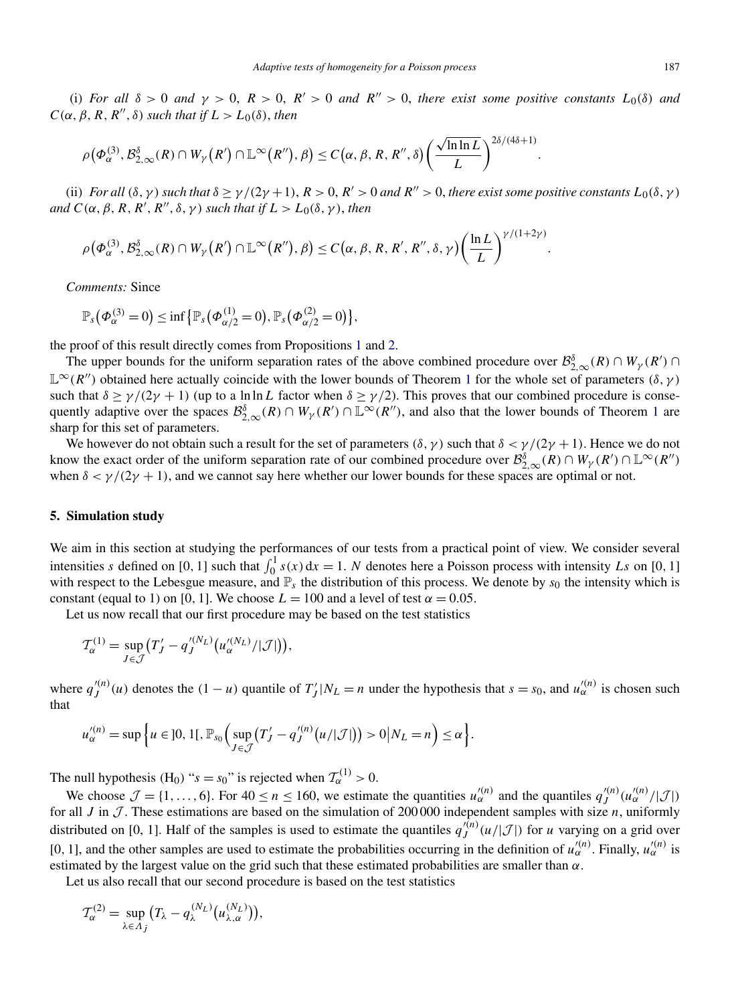<span id="page-11-0"></span>(i) For all  $\delta > 0$  and  $\gamma > 0$ ,  $R > 0$ ,  $R' > 0$  and  $R'' > 0$ , there exist some positive constants  $L_0(\delta)$  and  $C(\alpha, \beta, R, R'', \delta)$  *such that if*  $L > L_0(\delta)$ *, then* 

$$
\rho(\Phi_{\alpha}^{(3)}, \mathcal{B}_{2,\infty}^{\delta}(R) \cap W_{\gamma}(R') \cap \mathbb{L}^{\infty}(R''), \beta) \leq C(\alpha, \beta, R, R'', \delta) \bigg(\frac{\sqrt{\ln \ln L}}{L}\bigg)^{2\delta/(4\delta+1)}.
$$

(ii) For all  $(\delta, \gamma)$  such that  $\delta \ge \gamma/(2\gamma + 1)$ ,  $R > 0$ ,  $R' > 0$  and  $R'' > 0$ , there exist some positive constants  $L_0(\delta, \gamma)$  $and C(\alpha, \beta, R, R', R'', \delta, \gamma)$  *such that if*  $L > L_0(\delta, \gamma)$ *, then* 

*γ/(*1+2*γ)*

$$
\rho(\Phi_{\alpha}^{(3)},\mathcal{B}_{2,\infty}^{\delta}(R)\cap W_{\gamma}(R')\cap \mathbb{L}^{\infty}(R''),\beta)\leq C(\alpha,\beta,R,R',R'',\delta,\gamma)\bigg(\frac{\ln L}{L}\bigg)^{\gamma/(1+2\gamma)}.
$$

*Comments:* Since

$$
\mathbb{P}_s(\Phi_\alpha^{(3)}=0)\leq \inf \big\{\mathbb{P}_s(\Phi_{\alpha/2}^{(1)}=0),\mathbb{P}_s(\Phi_{\alpha/2}^{(2)}=0)\big\},\,
$$

the proof of this result directly comes from Propositions [1](#page-9-0) and [2.](#page-10-0)

The upper bounds for the uniform separation rates of the above combined procedure over  $\mathcal{B}^{\delta}_{2,\infty}(R) \cap W_{\gamma}(R') \cap$  $\mathbb{L}^{\infty}(R'')$  obtained here actually coincide with the lower bounds of Theorem [1](#page-3-0) for the whole set of parameters  $(\delta, \gamma)$ such that  $\delta \ge \gamma/(2\gamma + 1)$  (up to a ln ln L factor when  $\delta \ge \gamma/2$ ). This proves that our combined procedure is consequently adaptive over the spaces  $\mathcal{B}_{2,\infty}^{\delta}(R) \cap W_{\gamma}(R') \cap \mathbb{L}^{\infty}(R'')$ , and also that the lower bounds of Theorem [1](#page-3-0) are sharp for this set of parameters.

We however do not obtain such a result for the set of parameters  $(\delta, \gamma)$  such that  $\delta < \gamma/(2\gamma + 1)$ . Hence we do not know the exact order of the uniform separation rate of our combined procedure over  $\mathcal{B}^{\delta}_{2,\infty}(R) \cap W_{\gamma}(R') \cap \mathbb{L}^{\infty}(R'')$ when  $\delta < \gamma/(2\gamma + 1)$ , and we cannot say here whether our lower bounds for these spaces are optimal or not.

#### **5. Simulation study**

We aim in this section at studying the performances of our tests from a practical point of view. We consider several intensities *s* defined on [0, 1] such that  $\int_0^1 s(x) dx = 1$ . *N* denotes here a Poisson process with intensity *Ls* on [0, 1] with respect to the Lebesgue measure, and  $\mathbb{P}_s$  the distribution of this process. We denote by  $s_0$  the intensity which is constant (equal to 1) on [0, 1]. We choose  $L = 100$  and a level of test  $\alpha = 0.05$ .

Let us now recall that our first procedure may be based on the test statistics

$$
\mathcal{T}_{\alpha}^{(1)} = \sup_{J \in \mathcal{J}} (T'_J - q'^{(N_L)}_J(u'^{(N_L)}_\alpha / |\mathcal{J}|)),
$$

where  $q_J''^{(n)}(u)$  denotes the  $(1-u)$  quantile of  $T_J'|N_L=n$  under the hypothesis that  $s = s_0$ , and  $u_\alpha'^{(n)}$  is chosen such that

$$
u'^{(n)}_{\alpha} = \sup \Big\{ u \in ]0,1[,\mathbb{P}_{s_0}\Big(\sup_{J \in \mathcal{J}} (T'_J - q'^{(n)}_J(u/|\mathcal{J}|)) > 0\big| N_L = n \Big) \leq \alpha \Big\}.
$$

The null hypothesis  $(H_0)$  " $s = s_0$ " is rejected when  $\mathcal{T}^{(1)}_{\alpha} > 0$ .

We choose  $\mathcal{J} = \{1, ..., 6\}$ . For  $40 \le n \le 160$ , we estimate the quantities  $u'^{(n)}_{\alpha}$  and the quantiles  $q'^{(n)}_{J}(u'^{(n)}_{\alpha}/|\mathcal{J}|)$ for all *J* in  $\mathcal J$ . These estimations are based on the simulation of 200000 independent samples with size *n*, uniformly distributed on [0, 1]. Half of the samples is used to estimate the quantiles  $q_j^{(n)}(u/|\mathcal{J}|)$  for *u* varying on a grid over [0, 1], and the other samples are used to estimate the probabilities occurring in the definition of  $u'^{(n)}_{\alpha}$ . Finally,  $u'^{(n)}_{\alpha}$  is estimated by the largest value on the grid such that these estimated probabilities are smaller than  $\alpha$ .

Let us also recall that our second procedure is based on the test statistics

$$
\mathcal{T}_{\alpha}^{(2)} = \sup_{\lambda \in \Lambda_{\tilde{J}}} \big( T_{\lambda} - q_{\lambda}^{(N_L)} \big( u_{\lambda, \alpha}^{(N_L)} \big) \big),
$$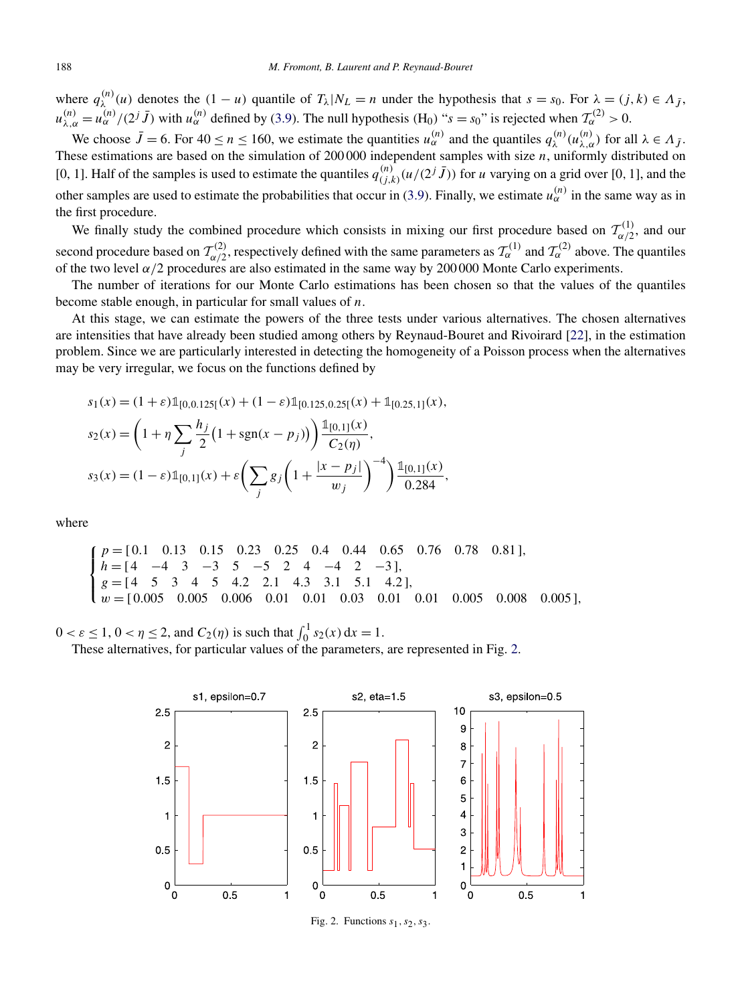where  $q_{\lambda}^{(n)}(u)$  denotes the  $(1 - u)$  quantile of  $T_{\lambda}|N_L = n$  under the hypothesis that  $s = s_0$ . For  $\lambda = (j, k) \in \Lambda_j$ ,  $u_{\lambda,\alpha}^{(n)} = u_{\alpha}^{(n)}/(2^{j} \bar{J})$  with  $u_{\alpha}^{(n)}$  defined by [\(3.9\)](#page-7-0). The null hypothesis (H<sub>0</sub>) " $s = s_0$ " is rejected when  $\mathcal{T}_{\alpha}^{(2)} > 0$ .

We choose  $\bar{J} = 6$ . For  $40 \le n \le 160$ , we estimate the quantities  $u_{\alpha}^{(n)}$  and the quantiles  $q_{\lambda}^{(n)}(u_{\lambda,\alpha}^{(n)})$  for all  $\lambda \in \Lambda_{\bar{J}}$ . These estimations are based on the simulation of 200 000 independent samples with size *n*, uniformly distributed on [0, 1]. Half of the samples is used to estimate the quantiles  $q_{(j,k)}^{(n)}(u/(2^j \bar{J}))$  for *u* varying on a grid over [0, 1], and the other samples are used to estimate the probabilities that occur in [\(3.9\)](#page-7-0). Finally, we estimate  $u_\alpha^{(n)}$  in the same way as in the first procedure.

We finally study the combined procedure which consists in mixing our first procedure based on  $\mathcal{T}_{\alpha/2}^{(1)}$ , and our second procedure based on  $T_{\alpha/2}^{(2)}$ , respectively defined with the same parameters as  $T_{\alpha}^{(1)}$  and  $T_{\alpha}^{(2)}$  above. The quantiles of the two level *α/*2 procedures are also estimated in the same way by 200 000 Monte Carlo experiments.

The number of iterations for our Monte Carlo estimations has been chosen so that the values of the quantiles become stable enough, in particular for small values of *n*.

At this stage, we can estimate the powers of the three tests under various alternatives. The chosen alternatives are intensities that have already been studied among others by Reynaud-Bouret and Rivoirard [\[22\]](#page-37-0), in the estimation problem. Since we are particularly interested in detecting the homogeneity of a Poisson process when the alternatives may be very irregular, we focus on the functions defined by

$$
s_1(x) = (1 + \varepsilon) \mathbb{1}_{[0,0.125]}(x) + (1 - \varepsilon) \mathbb{1}_{[0.125,0.25]}(x) + \mathbb{1}_{[0.25,1]}(x),
$$
  
\n
$$
s_2(x) = \left(1 + \eta \sum_j \frac{h_j}{2} \left(1 + \text{sgn}(x - p_j)\right)\right) \frac{\mathbb{1}_{[0,1]}(x)}{C_2(\eta)},
$$
  
\n
$$
s_3(x) = (1 - \varepsilon) \mathbb{1}_{[0,1]}(x) + \varepsilon \left(\sum_j g_j \left(1 + \frac{|x - p_j|}{w_j}\right)^{-4}\right) \frac{\mathbb{1}_{[0,1]}(x)}{0.284},
$$

where

$$
\begin{cases}\np = [0.1 \quad 0.13 \quad 0.15 \quad 0.23 \quad 0.25 \quad 0.4 \quad 0.44 \quad 0.65 \quad 0.76 \quad 0.78 \quad 0.81], \\
h = [4 \quad -4 \quad 3 \quad -3 \quad 5 \quad -5 \quad 2 \quad 4 \quad -4 \quad 2 \quad -3], \\
g = [4 \quad 5 \quad 3 \quad 4 \quad 5 \quad 4.2 \quad 2.1 \quad 4.3 \quad 3.1 \quad 5.1 \quad 4.2], \\
w = [0.005 \quad 0.005 \quad 0.006 \quad 0.01 \quad 0.01 \quad 0.03 \quad 0.01 \quad 0.01 \quad 0.005 \quad 0.008 \quad 0.005],\n\end{cases}
$$

 $0 < \varepsilon \le 1$ ,  $0 < \eta \le 2$ , and  $C_2(\eta)$  is such that  $\int_0^1 s_2(x) dx = 1$ .

These alternatives, for particular values of the parameters, are represented in Fig. 2.



Fig. 2. Functions *s*1*,s*2*,s*3.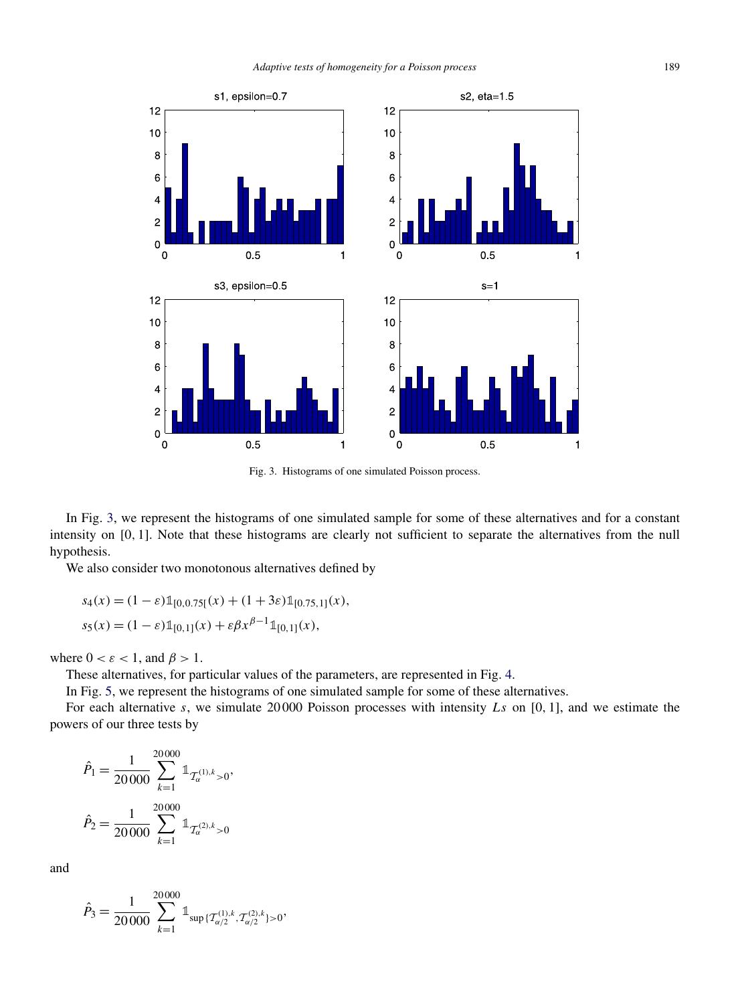

Fig. 3. Histograms of one simulated Poisson process.

In Fig. 3, we represent the histograms of one simulated sample for some of these alternatives and for a constant intensity on [0*,* 1]. Note that these histograms are clearly not sufficient to separate the alternatives from the null hypothesis.

We also consider two monotonous alternatives defined by

$$
s_4(x) = (1 - \varepsilon) \mathbb{1}_{[0, 0.75]}(x) + (1 + 3\varepsilon) \mathbb{1}_{[0.75, 1]}(x),
$$
  

$$
s_5(x) = (1 - \varepsilon) \mathbb{1}_{[0, 1]}(x) + \varepsilon \beta x^{\beta - 1} \mathbb{1}_{[0, 1]}(x),
$$

where  $0 < \varepsilon < 1$ , and  $\beta > 1$ .

These alternatives, for particular values of the parameters, are represented in Fig. [4.](#page-14-0)

In Fig. [5,](#page-14-0) we represent the histograms of one simulated sample for some of these alternatives.

For each alternative *s*, we simulate 20 000 Poisson processes with intensity *Ls* on [0*,* 1], and we estimate the powers of our three tests by

$$
\hat{P}_1 = \frac{1}{20000} \sum_{k=1}^{20000} \mathbb{1}_{\mathcal{T}_{\alpha}^{(1),k} > 0},
$$

$$
\hat{P}_2 = \frac{1}{20000} \sum_{k=1}^{20000} \mathbb{1}_{\mathcal{T}_{\alpha}^{(2),k} > 0}
$$

and

$$
\hat{P}_3 = \frac{1}{20000} \sum_{k=1}^{20000} \mathbb{1}_{\text{sup} \{T_{\alpha/2}^{(1),k}, T_{\alpha/2}^{(2),k}\} > 0},
$$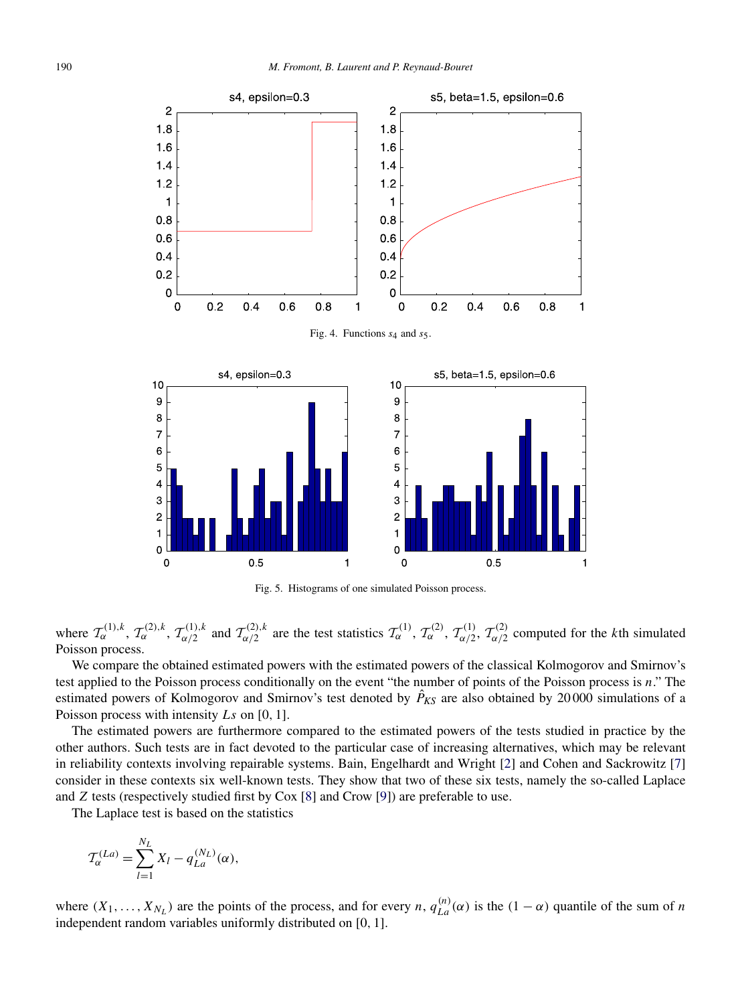<span id="page-14-0"></span>

Fig. 5. Histograms of one simulated Poisson process.

where  $\mathcal{T}_{\alpha}^{(1),k}$ ,  $\mathcal{T}_{\alpha}^{(2),k}$ ,  $\mathcal{T}_{\alpha/2}^{(1),k}$  and  $\mathcal{T}_{\alpha/2}^{(2),k}$  are the test statistics  $\mathcal{T}_{\alpha}^{(1)}, \mathcal{T}_{\alpha}^{(2)}, \mathcal{T}_{\alpha/2}^{(1)}, \mathcal{T}_{\alpha/2}^{(2)}$  computed for the kth simulated Poisson process.

We compare the obtained estimated powers with the estimated powers of the classical Kolmogorov and Smirnov's test applied to the Poisson process conditionally on the event "the number of points of the Poisson process is *n*." The estimated powers of Kolmogorov and Smirnov's test denoted by  $\hat{P}_{KS}$  are also obtained by 20000 simulations of a Poisson process with intensity *Ls* on [0*,* 1].

The estimated powers are furthermore compared to the estimated powers of the tests studied in practice by the other authors. Such tests are in fact devoted to the particular case of increasing alternatives, which may be relevant in reliability contexts involving repairable systems. Bain, Engelhardt and Wright [\[2\]](#page-36-0) and Cohen and Sackrowitz [\[7\]](#page-36-0) consider in these contexts six well-known tests. They show that two of these six tests, namely the so-called Laplace and *Z* tests (respectively studied first by Cox [\[8\]](#page-36-0) and Crow [\[9\]](#page-36-0)) are preferable to use.

The Laplace test is based on the statistics

$$
T_{\alpha}^{(La)} = \sum_{l=1}^{N_L} X_l - q_{La}^{(N_L)}(\alpha),
$$

where  $(X_1, \ldots, X_{N_L})$  are the points of the process, and for every *n*,  $q_{La}^{(n)}(\alpha)$  is the  $(1 - \alpha)$  quantile of the sum of *n* independent random variables uniformly distributed on [0*,* 1].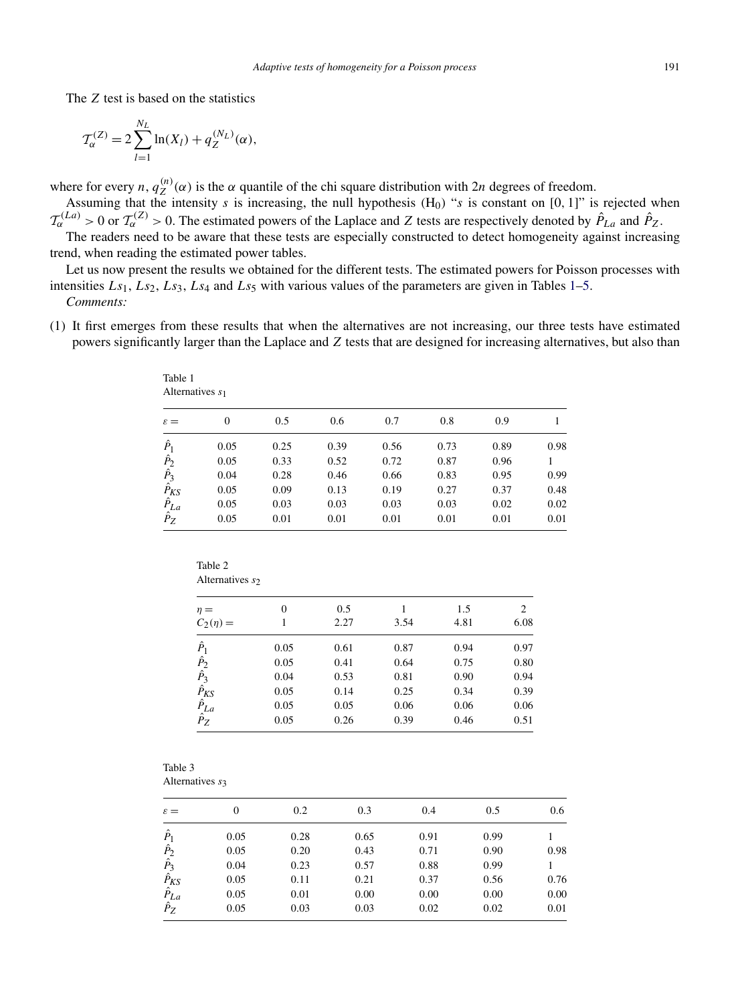The *Z* test is based on the statistics

$$
T_{\alpha}^{(Z)} = 2 \sum_{l=1}^{N_L} \ln(X_l) + q_Z^{(N_L)}(\alpha),
$$

where for every *n*,  $q_Z^{(n)}(\alpha)$  is the  $\alpha$  quantile of the chi square distribution with 2*n* degrees of freedom.

Assuming that the intensity  $s$  is increasing, the null hypothesis  $(H_0)$  " $s$  is constant on  $[0, 1]$ " is rejected when  $T_{\alpha}^{(La)} > 0$  or  $T_{\alpha}^{(Z)} > 0$ . The estimated powers of the Laplace and *Z* tests are respectively denoted by  $\hat{P}_{La}$  and  $\hat{P}_Z$ .

The readers need to be aware that these tests are especially constructed to detect homogeneity against increasing trend, when reading the estimated power tables.

Let us now present the results we obtained for the different tests. The estimated powers for Poisson processes with intensities *Ls*1, *Ls*2, *Ls*3, *Ls*<sup>4</sup> and *Ls*<sup>5</sup> with various values of the parameters are given in Tables 1[–5.](#page-16-0) *Comments:*

(1) It first emerges from these results that when the alternatives are not increasing, our three tests have estimated powers significantly larger than the Laplace and *Z* tests that are designed for increasing alternatives, but also than

| Table 1<br>Alternatives $s_1$                |              |      |      |      |      |      |      |
|----------------------------------------------|--------------|------|------|------|------|------|------|
| $\varepsilon =$                              | $\mathbf{0}$ | 0.5  | 0.6  | 0.7  | 0.8  | 0.9  |      |
| $\hat{P}_1$                                  | 0.05         | 0.25 | 0.39 | 0.56 | 0.73 | 0.89 | 0.98 |
|                                              | 0.05         | 0.33 | 0.52 | 0.72 | 0.87 | 0.96 |      |
| $\hat{P}_2$<br>$\hat{P}_3$<br>$\hat{P}_{KS}$ | 0.04         | 0.28 | 0.46 | 0.66 | 0.83 | 0.95 | 0.99 |
|                                              | 0.05         | 0.09 | 0.13 | 0.19 | 0.27 | 0.37 | 0.48 |
| $\hat{P}_{La}$                               | 0.05         | 0.03 | 0.03 | 0.03 | 0.03 | 0.02 | 0.02 |
| $\hat{P}_Z$                                  | 0.05         | 0.01 | 0.01 | 0.01 | 0.01 | 0.01 | 0.01 |

| Table 2            |  |
|--------------------|--|
| Alternatives $s_2$ |  |

| $\eta =$                                                                         | 0    | 0.5  |      | 1.5  | $\overline{c}$ |
|----------------------------------------------------------------------------------|------|------|------|------|----------------|
| $C_2(\eta) =$                                                                    |      | 2.27 | 3.54 | 4.81 | 6.08           |
|                                                                                  | 0.05 | 0.61 | 0.87 | 0.94 | 0.97           |
|                                                                                  | 0.05 | 0.41 | 0.64 | 0.75 | 0.80           |
|                                                                                  | 0.04 | 0.53 | 0.81 | 0.90 | 0.94           |
|                                                                                  | 0.05 | 0.14 | 0.25 | 0.34 | 0.39           |
| $\hat{P}_1 \hat{P}_2 \hat{P}_3 \hat{P}_{KS} \hat{P}_{La} \hat{P}_{La} \hat{P}_Z$ | 0.05 | 0.05 | 0.06 | 0.06 | 0.06           |
|                                                                                  | 0.05 | 0.26 | 0.39 | 0.46 | 0.51           |

| Table 3            |  |
|--------------------|--|
| Alternatives $s_3$ |  |

| $\varepsilon =$                  | 0    | 0.2  | 0.3  | 0.4  | 0.5  | 0.6  |
|----------------------------------|------|------|------|------|------|------|
| $\hat{P}_1$                      | 0.05 | 0.28 | 0.65 | 0.91 | 0.99 |      |
| $\hat{P}_2$                      | 0.05 | 0.20 | 0.43 | 0.71 | 0.90 | 0.98 |
|                                  | 0.04 | 0.23 | 0.57 | 0.88 | 0.99 |      |
| $\frac{\hat{P}_3}{\hat{P}_{KS}}$ | 0.05 | 0.11 | 0.21 | 0.37 | 0.56 | 0.76 |
| $\hat{P}_{La}$                   | 0.05 | 0.01 | 0.00 | 0.00 | 0.00 | 0.00 |
| $\hat{P}_Z$                      | 0.05 | 0.03 | 0.03 | 0.02 | 0.02 | 0.01 |
|                                  |      |      |      |      |      |      |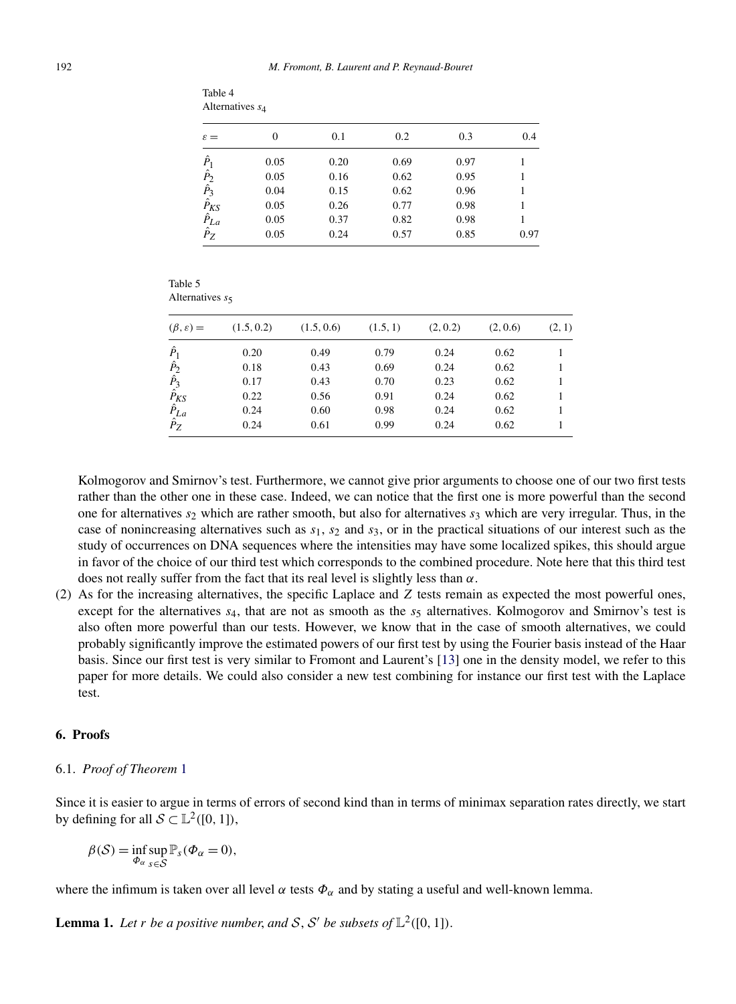#### <span id="page-16-0"></span>192 *M. Fromont, B. Laurent and P. Reynaud-Bouret*

| $\varepsilon =$                                                                    | 0    | 0.1  | 0.2  | 0.3  | 0.4  |
|------------------------------------------------------------------------------------|------|------|------|------|------|
|                                                                                    | 0.05 | 0.20 | 0.69 | 0.97 |      |
| $\hat{P}_1 \\ \hat{P}_2 \\ \hat{P}_3 \\ \hat{P}_{KS} \\ \hat{P}_{La} \\ \hat{P}_Z$ | 0.05 | 0.16 | 0.62 | 0.95 |      |
|                                                                                    | 0.04 | 0.15 | 0.62 | 0.96 |      |
|                                                                                    | 0.05 | 0.26 | 0.77 | 0.98 |      |
|                                                                                    | 0.05 | 0.37 | 0.82 | 0.98 |      |
|                                                                                    | 0.05 | 0.24 | 0.57 | 0.85 | 0.97 |

Table 4 Alternatives *s*4

| Table 5           |  |
|-------------------|--|
| Alternatives $s5$ |  |

 $\pm$  5.5  $\pm$ 

| $(\beta,\varepsilon) =$                                                                        | (1.5, 0.2) | (1.5, 0.6) | (1.5, 1) | (2, 0.2) | (2, 0.6) | (2, 1) |
|------------------------------------------------------------------------------------------------|------------|------------|----------|----------|----------|--------|
| $\hat{P}_1$                                                                                    | 0.20       | 0.49       | 0.79     | 0.24     | 0.62     |        |
|                                                                                                | 0.18       | 0.43       | 0.69     | 0.24     | 0.62     |        |
| $\begin{array}{c} \hat{P}_2 \ \hat{P}_3 \ \hat{P}_{KS} \ \hat{P}_{La} \ \hat{P}_Z \end{array}$ | 0.17       | 0.43       | 0.70     | 0.23     | 0.62     |        |
|                                                                                                | 0.22       | 0.56       | 0.91     | 0.24     | 0.62     |        |
|                                                                                                | 0.24       | 0.60       | 0.98     | 0.24     | 0.62     |        |
|                                                                                                | 0.24       | 0.61       | 0.99     | 0.24     | 0.62     |        |

Kolmogorov and Smirnov's test. Furthermore, we cannot give prior arguments to choose one of our two first tests rather than the other one in these case. Indeed, we can notice that the first one is more powerful than the second one for alternatives *s*<sup>2</sup> which are rather smooth, but also for alternatives *s*<sup>3</sup> which are very irregular. Thus, in the case of nonincreasing alternatives such as *s*1, *s*<sup>2</sup> and *s*3, or in the practical situations of our interest such as the study of occurrences on DNA sequences where the intensities may have some localized spikes, this should argue in favor of the choice of our third test which corresponds to the combined procedure. Note here that this third test does not really suffer from the fact that its real level is slightly less than *α*.

(2) As for the increasing alternatives, the specific Laplace and *Z* tests remain as expected the most powerful ones, except for the alternatives  $s_4$ , that are not as smooth as the  $s_5$  alternatives. Kolmogorov and Smirnov's test is also often more powerful than our tests. However, we know that in the case of smooth alternatives, we could probably significantly improve the estimated powers of our first test by using the Fourier basis instead of the Haar basis. Since our first test is very similar to Fromont and Laurent's [\[13\]](#page-36-0) one in the density model, we refer to this paper for more details. We could also consider a new test combining for instance our first test with the Laplace test.

## **6. Proofs**

## 6.1. *Proof of Theorem* [1](#page-3-0)

Since it is easier to argue in terms of errors of second kind than in terms of minimax separation rates directly, we start by defining for all  $S \subset \mathbb{L}^2([0,1])$ ,

$$
\beta(S) = \inf_{\Phi_{\alpha}} \sup_{s \in S} \mathbb{P}_s(\Phi_{\alpha} = 0),
$$

where the infimum is taken over all level  $\alpha$  tests  $\Phi_{\alpha}$  and by stating a useful and well-known lemma.

**Lemma 1.** Let *r* be a positive number, and  $S$ ,  $S'$  be subsets of  $\mathbb{L}^2([0,1])$ .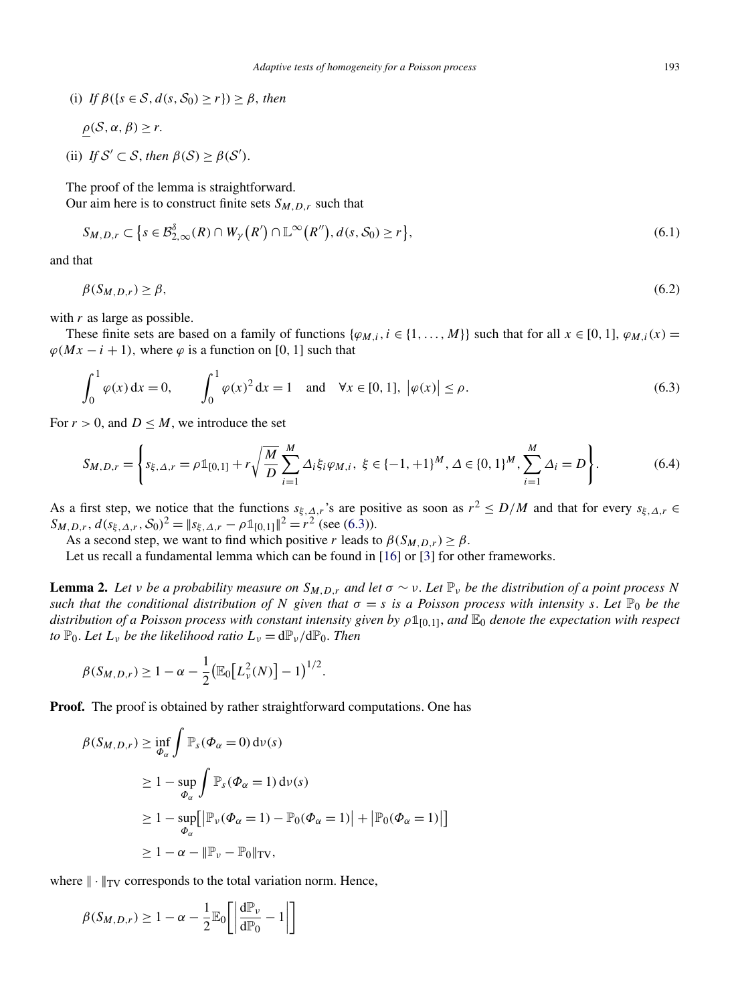<span id="page-17-0"></span>(i) If 
$$
\beta
$$
 { $s \in S, d(s, S_0) \ge r$ }  $\ge \beta$ , then

$$
\underline{\rho}(\mathcal{S}, \alpha, \beta) \geq r.
$$

(ii) *If*  $S' \subset S$ , *then*  $\beta(S) \geq \beta(S')$ .

The proof of the lemma is straightforward.

Our aim here is to construct finite sets  $S_{M,D,r}$  such that

$$
S_{M,D,r} \subset \left\{ s \in \mathcal{B}_{2,\infty}^{\delta}(R) \cap W_{\gamma}\left(R'\right) \cap \mathbb{L}^{\infty}\left(R''\right), d(s, \mathcal{S}_0) \ge r \right\},\tag{6.1}
$$

and that

$$
\beta(S_{M,D,r}) \ge \beta,\tag{6.2}
$$

with *r* as large as possible.

These finite sets are based on a family of functions  $\{\varphi_{M,i}, i \in \{1, \ldots, M\}\}\$  such that for all  $x \in [0, 1]$ ,  $\varphi_{M,i}(x) =$  $\varphi$ (*Mx* − *i* + 1), where  $\varphi$  is a function on [0, 1] such that

$$
\int_0^1 \varphi(x) dx = 0, \qquad \int_0^1 \varphi(x)^2 dx = 1 \quad \text{and} \quad \forall x \in [0, 1], \ |\varphi(x)| \le \rho.
$$
 (6.3)

For  $r > 0$ , and  $D \leq M$ , we introduce the set

$$
S_{M,D,r} = \left\{ s_{\xi,\Delta,r} = \rho \mathbb{1}_{[0,1]} + r \sqrt{\frac{M}{D}} \sum_{i=1}^{M} \Delta_i \xi_i \varphi_{M,i}, \ \xi \in \{-1, +1\}^M, \ \Delta \in \{0, 1\}^M, \sum_{i=1}^{M} \Delta_i = D \right\}.
$$
 (6.4)

As a first step, we notice that the functions  $s_{\xi, \Delta, r}$ 's are positive as soon as  $r^2 \le D/M$  and that for every  $s_{\xi, \Delta, r} \in$  $S_{M,D,r}$ ,  $d(s_{\xi,\Delta,r},\mathcal{S}_0)^2 = ||s_{\xi,\Delta,r} - \rho \mathbb{1}_{[0,1]}||^2 = r^2$  (see (6.3)).

As a second step, we want to find which positive *r* leads to  $\beta(S_{M,D,r}) \geq \beta$ .

Let us recall a fundamental lemma which can be found in [\[16\]](#page-36-0) or [\[3\]](#page-36-0) for other frameworks.

**Lemma 2.** Let *v* be a probability measure on  $S_{M,D,r}$  and let  $\sigma \sim v$ . Let  $\mathbb{P}_v$  be the distribution of a point process N *such that the conditional distribution of N* given that  $\sigma = s$  *is a Poisson process with intensity s. Let*  $\mathbb{P}_0$  *be the distribution of a Poisson process with constant intensity given by ρ***1**[0*,*1], *and* E<sup>0</sup> *denote the expectation with respect to*  $\mathbb{P}_0$ *. Let*  $L_v$  *be the likelihood ratio*  $L_v = d\mathbb{P}_v/d\mathbb{P}_0$ *. Then* 

$$
\beta(S_{M,D,r}) \ge 1 - \alpha - \frac{1}{2} \big( \mathbb{E}_0 \big[ L_v^2(N) \big] - 1 \big)^{1/2}.
$$

**Proof.** The proof is obtained by rather straightforward computations. One has

$$
\beta(S_{M,D,r}) \ge \inf_{\Phi_{\alpha}} \int \mathbb{P}_s(\Phi_{\alpha} = 0) d\nu(s)
$$
  
\n
$$
\ge 1 - \sup_{\Phi_{\alpha}} \int \mathbb{P}_s(\Phi_{\alpha} = 1) d\nu(s)
$$
  
\n
$$
\ge 1 - \sup_{\Phi_{\alpha}} \Big[ \big| \mathbb{P}_v(\Phi_{\alpha} = 1) - \mathbb{P}_0(\Phi_{\alpha} = 1) \big| + \big| \mathbb{P}_0(\Phi_{\alpha} = 1) \big| \Big]
$$
  
\n
$$
\ge 1 - \alpha - \| \mathbb{P}_v - \mathbb{P}_0 \|_{TV},
$$

where  $\|\cdot\|_{TV}$  corresponds to the total variation norm. Hence,

$$
\beta(S_{M,D,r}) \ge 1 - \alpha - \frac{1}{2} \mathbb{E}_0 \left[ \left| \frac{d\mathbb{P}_v}{d\mathbb{P}_0} - 1 \right| \right]
$$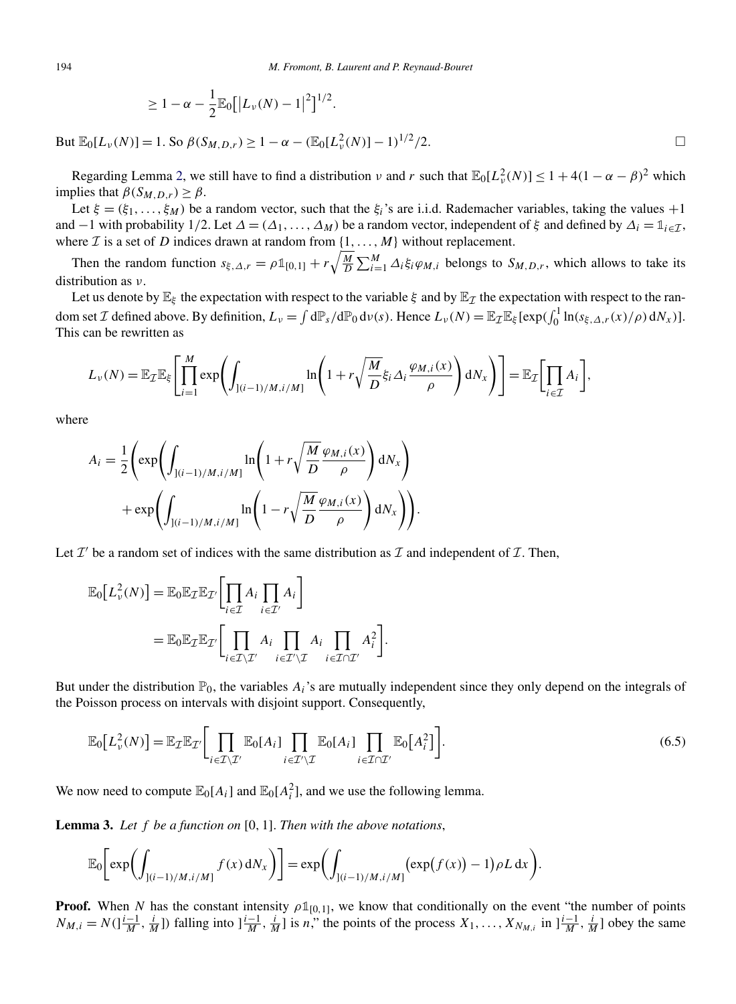$$
\geq 1 - \alpha - \frac{1}{2} \mathbb{E}_0 [ |L_{\nu}(N) - 1|^2 ]^{1/2}.
$$

<span id="page-18-0"></span> $\text{But } \mathbb{E}_0[L_v(N)] = 1. \text{ So } \beta(S_{M,D,r}) \ge 1 - \alpha - (\mathbb{E}_0[L_v^2(N)] - 1)^{1/2}/2.$ 

Regarding Lemma [2,](#page-17-0) we still have to find a distribution *ν* and *r* such that  $\mathbb{E}_0[L_v^2(N)] \leq 1 + 4(1 - \alpha - \beta)^2$  which implies that  $\beta(S_{M,D,r}) \geq \beta$ .

Let  $\xi = (\xi_1, \ldots, \xi_M)$  be a random vector, such that the  $\xi_i$ 's are i.i.d. Rademacher variables, taking the values  $+1$ and −1 with probability 1/2. Let  $\Delta = (\Delta_1, \ldots, \Delta_M)$  be a random vector, independent of  $\xi$  and defined by  $\Delta_i = \mathbb{1}_{i \in \mathcal{I}}$ , where  $\mathcal I$  is a set of  $D$  indices drawn at random from  $\{1, \ldots, M\}$  without replacement.

Then the random function  $s_{\xi,\Delta,r} = \rho \mathbb{1}_{[0,1]} + r \sqrt{\frac{M}{D}} \sum_{i=1}^{M} \Delta_i \xi_i \varphi_{M,i}$  belongs to  $S_{M,D,r}$ , which allows to take its distribution as *ν*.

Let us denote by  $\mathbb{E}_{\xi}$  the expectation with respect to the variable  $\xi$  and by  $\mathbb{E}_{\mathcal{I}}$  the expectation with respect to the random set *I* defined above. By definition,  $L_v = \int d\mathbb{P}_s/d\mathbb{P}_0 d\mathbf{v}(s)$ . Hence  $L_v(N) = \mathbb{E}_{\mathcal{I}} \mathbb{E}_{\xi} [\exp(\int_0^1 \ln(s_{\xi,\Delta,r}(x)/\rho) dN_x)].$ This can be rewritten as

$$
L_{\nu}(N) = \mathbb{E}_{\mathcal{I}} \mathbb{E}_{\xi} \left[ \prod_{i=1}^{M} \exp \left( \int_{\left] \left( i-1 \right) / M, i/M \right]} \ln \left( 1 + r \sqrt{\frac{M}{D}} \xi_i \, \Delta_i \, \frac{\varphi_{M,i}(x)}{\rho} \right) dN_x \right) \right] = \mathbb{E}_{\mathcal{I}} \left[ \prod_{i \in \mathcal{I}} A_i \right],
$$

where

$$
A_i = \frac{1}{2} \left( \exp \left( \int_{\left] \left( i-1 \right) / M, i/M \right]} \ln \left( 1 + r \sqrt{\frac{M}{D}} \frac{\varphi_{M,i}(x)}{\rho} \right) dN_x \right) + \exp \left( \int_{\left] \left( i-1 \right) / M, i/M \right]} \ln \left( 1 - r \sqrt{\frac{M}{D}} \frac{\varphi_{M,i}(x)}{\rho} \right) dN_x \right) \right).
$$

Let  $\mathcal{I}'$  be a random set of indices with the same distribution as  $\mathcal{I}$  and independent of  $\mathcal{I}$ . Then,

$$
\mathbb{E}_{0}[L_{\nu}^{2}(N)] = \mathbb{E}_{0}\mathbb{E}_{\mathcal{I}}\mathbb{E}_{\mathcal{I}'}\bigg[\prod_{i\in\mathcal{I}}A_{i}\prod_{i\in\mathcal{I}'}A_{i}\bigg]
$$
  
=  $\mathbb{E}_{0}\mathbb{E}_{\mathcal{I}}\mathbb{E}_{\mathcal{I}'}\bigg[\prod_{i\in\mathcal{I}\setminus\mathcal{I}}A_{i}\prod_{i\in\mathcal{I}'\setminus\mathcal{I}}A_{i}\prod_{i\in\mathcal{I}\cap\mathcal{I}'}A_{i}^{2}\bigg].$ 

But under the distribution  $\mathbb{P}_0$ , the variables  $A_i$ 's are mutually independent since they only depend on the integrals of the Poisson process on intervals with disjoint support. Consequently,

$$
\mathbb{E}_0\big[L_v^2(N)\big] = \mathbb{E}_{\mathcal{I}}\mathbb{E}_{\mathcal{I}'}\bigg[\prod_{i\in\mathcal{I}\setminus\mathcal{I}'}\mathbb{E}_0[A_i]\prod_{i\in\mathcal{I}'\setminus\mathcal{I}}\mathbb{E}_0[A_i]\prod_{i\in\mathcal{I}\cap\mathcal{I}'}\mathbb{E}_0\big[A_i^2\big]\bigg].\tag{6.5}
$$

We now need to compute  $\mathbb{E}_0[A_i]$  and  $\mathbb{E}_0[A_i^2]$ , and we use the following lemma.

**Lemma 3.** *Let f be a function on* [0*,* 1]. *Then with the above notations*,

$$
\mathbb{E}_0\bigg[\exp\bigg(\int_{\left] (i-1)/M, i/M\right]} f(x) dN_x\bigg)\bigg] = \exp\bigg(\int_{\left] (i-1)/M, i/M\right]} \bigg(\exp\big(f(x)\big)-1\big)\rho L\,dx\bigg).
$$

**Proof.** When *N* has the constant intensity  $\rho \mathbb{1}_{[0,1]}$ , we know that conditionally on the event "the number of points"  $N_{M,i} = N(\frac{i-1}{M}, \frac{i}{M})$  falling into  $\frac{i-1}{M}, \frac{i}{M}$  is *n*," the points of the process  $X_1, \ldots, X_{N_{M,i}}$  in  $\frac{i-1}{M}, \frac{i}{M}$  obey the same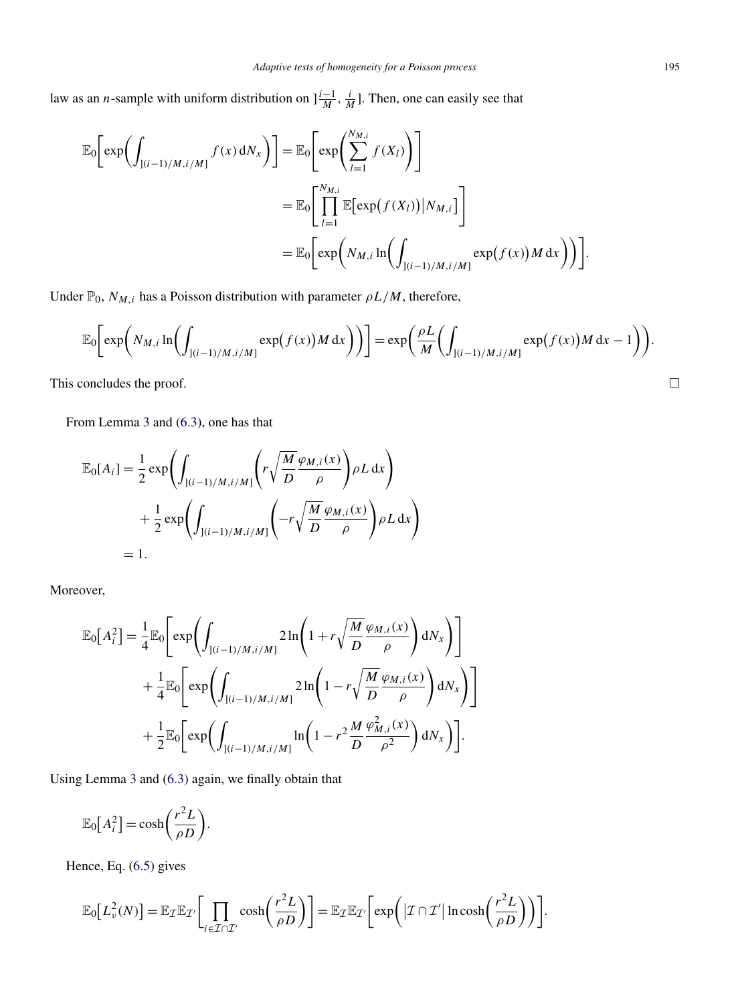law as an *n*-sample with uniform distribution on  $\frac{1-i}{M}$ ,  $\frac{i}{M}$ . Then, one can easily see that

$$
\mathbb{E}_{0}\bigg[\exp\bigg(\int_{j(i-1)/M,i/M]}f(x)\,dN_{x}\bigg)\bigg] = \mathbb{E}_{0}\bigg[\exp\bigg(\sum_{l=1}^{N_{M,i}}f(X_{l})\bigg)\bigg]
$$

$$
= \mathbb{E}_{0}\bigg[\prod_{l=1}^{N_{M,i}}\mathbb{E}[\exp(f(X_{l}))|N_{M,i}]\bigg]
$$

$$
= \mathbb{E}_{0}\bigg[\exp\bigg(N_{M,i}\ln\bigg(\int_{j(i-1)/M,i/M]}exp(f(x))M\,dx\bigg)\bigg)\bigg].
$$

Under  $\mathbb{P}_0$ ,  $N_{M,i}$  has a Poisson distribution with parameter  $\rho L/M$ , therefore,

$$
\mathbb{E}_0\bigg[\exp\bigg(N_{M,i}\ln\bigg(\int_{]({i-1})/M,i/M]}\exp\big(f(x)\bigg)M\,\mathrm{d}x\bigg)\bigg)\bigg]=\exp\bigg(\frac{\rho L}{M}\bigg(\int_{]({i-1})/M,i/M]}\exp\big(f(x)\big)M\,\mathrm{d}x-1\bigg)\bigg).
$$

This concludes the proof.

From Lemma [3](#page-18-0) and [\(6.3\)](#page-17-0), one has that

$$
\mathbb{E}_{0}[A_{i}] = \frac{1}{2} \exp \left( \int_{\left] \left( i-1 \right) / M, i/M \right]} \left( r \sqrt{\frac{M}{D}} \frac{\varphi_{M,i}(x)}{\rho} \right) \rho L \, dx \right) + \frac{1}{2} \exp \left( \int_{\left] \left( i-1 \right) / M, i/M \right]} \left( -r \sqrt{\frac{M}{D}} \frac{\varphi_{M,i}(x)}{\rho} \right) \rho L \, dx \right) = 1.
$$

Moreover,

$$
\mathbb{E}_{0}\left[A_{i}^{2}\right] = \frac{1}{4}\mathbb{E}_{0}\left[\exp\left(\int_{\left\{(i-1)/M,i/M\right\}} 2\ln\left(1+r\sqrt{\frac{M}{D}}\frac{\varphi_{M,i}(x)}{\rho}\right)dN_{x}\right)\right] + \frac{1}{4}\mathbb{E}_{0}\left[\exp\left(\int_{\left\{(i-1)/M,i/M\right\}} 2\ln\left(1-r\sqrt{\frac{M}{D}}\frac{\varphi_{M,i}(x)}{\rho}\right)dN_{x}\right)\right] + \frac{1}{2}\mathbb{E}_{0}\left[\exp\left(\int_{\left\{(i-1)/M,i/M\right\}} \ln\left(1-r^{2}\frac{M}{D}\frac{\varphi_{M,i}^{2}(x)}{\rho^{2}}\right)dN_{x}\right)\right].
$$

Using Lemma [3](#page-18-0) and [\(6.3\)](#page-17-0) again, we finally obtain that

$$
\mathbb{E}_0[A_i^2] = \cosh\left(\frac{r^2L}{\rho D}\right).
$$

Hence, Eq. [\(6.5\)](#page-18-0) gives

$$
\mathbb{E}_0[L_\nu^2(N)] = \mathbb{E}_{\mathcal{I}} \mathbb{E}_{\mathcal{I}'} \bigg[ \prod_{i \in \mathcal{I} \cap \mathcal{I}'} \cosh \bigg( \frac{r^2 L}{\rho D} \bigg) \bigg] = \mathbb{E}_{\mathcal{I}} \mathbb{E}_{\mathcal{I}'} \bigg[ \exp \bigg( \big| \mathcal{I} \cap \mathcal{I}' \big| \ln \cosh \bigg( \frac{r^2 L}{\rho D} \bigg) \bigg) \bigg].
$$

 $\Box$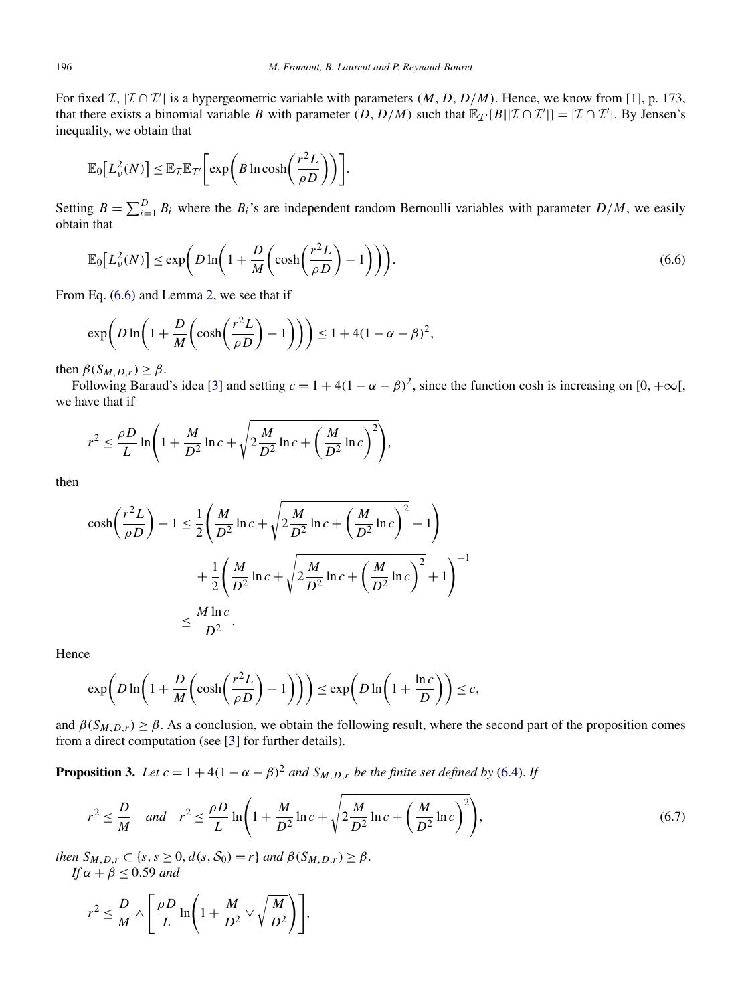<span id="page-20-0"></span>For fixed I,  $|I \cap I'|$  is a hypergeometric variable with parameters  $(M, D, D/M)$ . Hence, we know from [\[1\]](#page-36-0), p. 173, that there exists a binomial variable *B* with parameter  $(D, D/M)$  such that  $\mathbb{E}_{\mathcal{I}}[B||\mathcal{I} \cap \mathcal{I}'] = |\mathcal{I} \cap \mathcal{I}'|$ . By Jensen's inequality, we obtain that

$$
\mathbb{E}_0\big[L_v^2(N)\big] \leq \mathbb{E}_{\mathcal{I}}\mathbb{E}_{\mathcal{I}'}\bigg[\exp\bigg(B\ln\cosh\bigg(\frac{r^2L}{\rho D}\bigg)\bigg)\bigg].
$$

Setting  $B = \sum_{i=1}^{D} B_i$  where the  $B_i$ 's are independent random Bernoulli variables with parameter  $D/M$ , we easily obtain that

$$
\mathbb{E}_0\big[L_v^2(N)\big] \le \exp\bigg(D\ln\bigg(1+\frac{D}{M}\bigg(\cosh\bigg(\frac{r^2L}{\rho D}\bigg)-1\bigg)\bigg)\bigg). \tag{6.6}
$$

From Eq. (6.6) and Lemma [2,](#page-17-0) we see that if

$$
\exp\bigg(D\ln\bigg(1+\frac{D}{M}\bigg(\cosh\bigg(\frac{r^2L}{\rho D}\bigg)-1\bigg)\bigg)\bigg)\leq 1+4(1-\alpha-\beta)^2,
$$

then  $\beta(S_{M,D,r}) \geq \beta$ .

Following Baraud's idea [\[3\]](#page-36-0) and setting  $c = 1 + 4(1 - \alpha - \beta)^2$ , since the function cosh is increasing on [0, + $\infty$ [, we have that if

$$
r^2 \leq \frac{\rho D}{L} \ln \left( 1 + \frac{M}{D^2} \ln c + \sqrt{2 \frac{M}{D^2} \ln c + \left( \frac{M}{D^2} \ln c \right)^2} \right),
$$

then

$$
\cosh\left(\frac{r^2L}{\rho D}\right) - 1 \le \frac{1}{2} \left(\frac{M}{D^2} \ln c + \sqrt{2\frac{M}{D^2} \ln c + \left(\frac{M}{D^2} \ln c\right)^2} - 1\right)
$$

$$
+ \frac{1}{2} \left(\frac{M}{D^2} \ln c + \sqrt{2\frac{M}{D^2} \ln c + \left(\frac{M}{D^2} \ln c\right)^2} + 1\right)^{-1}
$$

$$
\le \frac{M \ln c}{D^2}.
$$

Hence

$$
\exp\left(D\ln\left(1+\frac{D}{M}\left(\cosh\left(\frac{r^2L}{\rho D}\right)-1\right)\right)\right)\leq \exp\left(D\ln\left(1+\frac{\ln c}{D}\right)\right)\leq c,
$$

and  $\beta(S_{M,D,r}) \geq \beta$ . As a conclusion, we obtain the following result, where the second part of the proposition comes from a direct computation (see [\[3\]](#page-36-0) for further details).

**Proposition 3.** *Let*  $c = 1 + 4(1 - \alpha - \beta)^2$  *and*  $S_{M,D,r}$  *be the finite set defined by* [\(6.4\)](#page-17-0). *If* 

$$
r^2 \le \frac{D}{M} \quad \text{and} \quad r^2 \le \frac{\rho D}{L} \ln \left( 1 + \frac{M}{D^2} \ln c + \sqrt{2 \frac{M}{D^2} \ln c + \left( \frac{M}{D^2} \ln c \right)^2} \right),\tag{6.7}
$$

*then*  $S_{M,D,r} \subset \{s, s \ge 0, d(s, S_0) = r\}$  *and*  $\beta(S_{M,D,r}) \ge \beta$ . *If α* + *β* ≤ 0*.*59 *and*

$$
r^2 \leq \frac{D}{M} \wedge \left[ \frac{\rho D}{L} \ln \left( 1 + \frac{M}{D^2} \vee \sqrt{\frac{M}{D^2}} \right) \right],
$$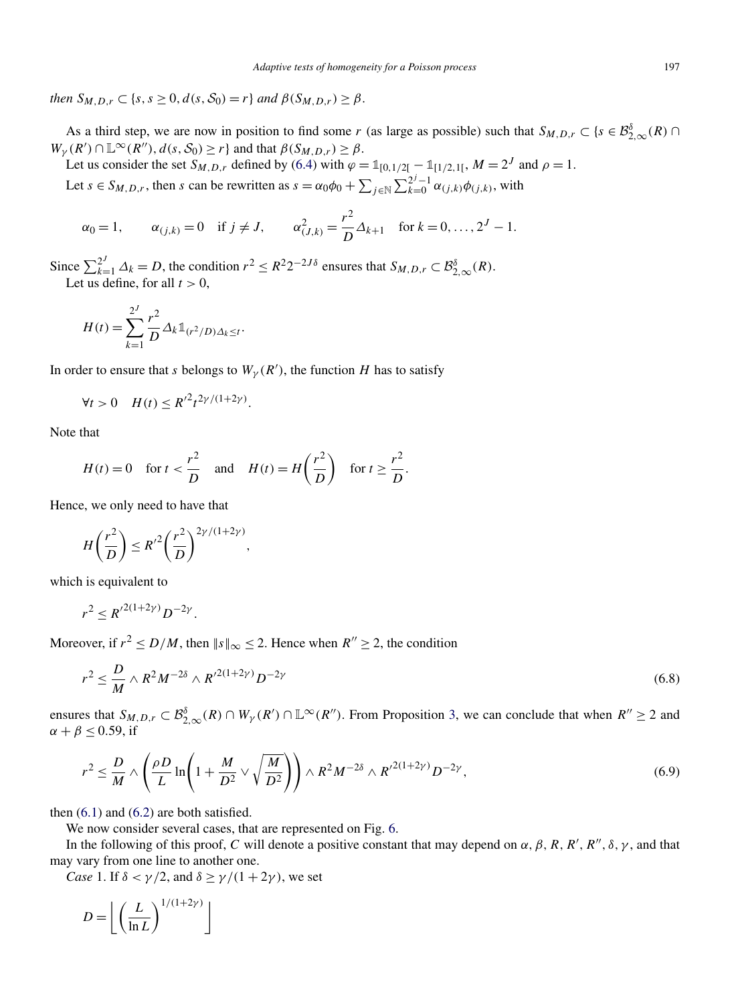*then*  $S_{M,D,r} \subset \{s, s \ge 0, d(s, S_0) = r\}$  *and*  $\beta(S_{M,D,r}) \ge \beta$ .

As a third step, we are now in position to find some *r* (as large as possible) such that  $S_{M,D,r} \subset \{s \in \mathcal{B}_{2,\infty}^{\delta}(R) \cap \mathcal{B}_{2,\infty}^{\delta}(R)\}$  $W_{\gamma}(R') \cap \mathbb{L}^{\infty}(R'')$ ,  $d(s, S_0) \geq r$  and that  $\beta(S_{M,D,r}) \geq \beta$ .

Let us consider the set  $S_{M,D,r}$  defined by [\(6.4\)](#page-17-0) with  $\varphi = \mathbb{1}_{[0,1/2]} - \mathbb{1}_{[1/2,1]}, M = 2^J$  and  $\rho = 1$ . Let  $s \in S_{M,D,r}$ , then *s* can be rewritten as  $s = \alpha_0 \phi_0 + \sum_{j \in \mathbb{N}} \sum_{k=0}^{2^j-1} \alpha_{(j,k)} \phi_{(j,k)}$ , with

$$
\alpha_0 = 1
$$
,  $\alpha_{(j,k)} = 0$  if  $j \neq J$ ,  $\alpha_{(J,k)}^2 = \frac{r^2}{D} \Delta_{k+1}$  for  $k = 0, ..., 2^J - 1$ .

Since  $\sum_{k=1}^{2^J} \Delta_k = D$ , the condition  $r^2 \leq R^2 2^{-2J\delta}$  ensures that  $S_{M,D,r} \subset \mathcal{B}_{2,\infty}^{\delta}(R)$ . Let us define, for all  $t > 0$ ,

$$
H(t) = \sum_{k=1}^{2^J} \frac{r^2}{D} \Delta_k \mathbb{1}_{(r^2/D)\Delta_k \leq t}.
$$

In order to ensure that *s* belongs to  $W_{\gamma}(R')$ , the function *H* has to satisfy

$$
\forall t > 0 \quad H(t) \leq R'^2 t^{2\gamma/(1+2\gamma)}.
$$

Note that

$$
H(t) = 0
$$
 for  $t < \frac{r^2}{D}$  and  $H(t) = H\left(\frac{r^2}{D}\right)$  for  $t \ge \frac{r^2}{D}$ .

*,*

Hence, we only need to have that

$$
H\left(\frac{r^2}{D}\right) \leq R'^2 \left(\frac{r^2}{D}\right)^{2\gamma/(1+2\gamma)}
$$

which is equivalent to

$$
r^2 \leq R'^{2(1+2\gamma)}D^{-2\gamma}.
$$

Moreover, if  $r^2 \le D/M$ , then  $||s||_{\infty} \le 2$ . Hence when  $R'' \ge 2$ , the condition

$$
r^2 \le \frac{D}{M} \wedge R^2 M^{-2\delta} \wedge R'^{2(1+2\gamma)} D^{-2\gamma} \tag{6.8}
$$

ensures that  $S_{M,D,r} \subset \mathcal{B}_{2,\infty}^{\delta}(R) \cap W_{\gamma}(R') \cap \mathbb{L}^{\infty}(R'')$ . From Proposition [3,](#page-20-0) we can conclude that when  $R'' \ge 2$  and  $\alpha + \beta \leq 0.59$ , if

$$
r^2 \le \frac{D}{M} \wedge \left(\frac{\rho D}{L} \ln\left(1 + \frac{M}{D^2} \vee \sqrt{\frac{M}{D^2}}\right)\right) \wedge R^2 M^{-2\delta} \wedge R'^{2(1+2\gamma)} D^{-2\gamma},\tag{6.9}
$$

then  $(6.1)$  and  $(6.2)$  are both satisfied.

We now consider several cases, that are represented on Fig. [6.](#page-22-0)

In the following of this proof, *C* will denote a positive constant that may depend on  $\alpha$ ,  $\beta$ ,  $R$ ,  $R'$ ,  $R''$ ,  $\delta$ ,  $\gamma$ , and that may vary from one line to another one.

*Case* 1. If  $\delta < \gamma/2$ , and  $\delta \geq \gamma/(1+2\gamma)$ , we set

$$
D = \left\lfloor \left( \frac{L}{\ln L} \right)^{1/(1+2\gamma)} \right\rfloor
$$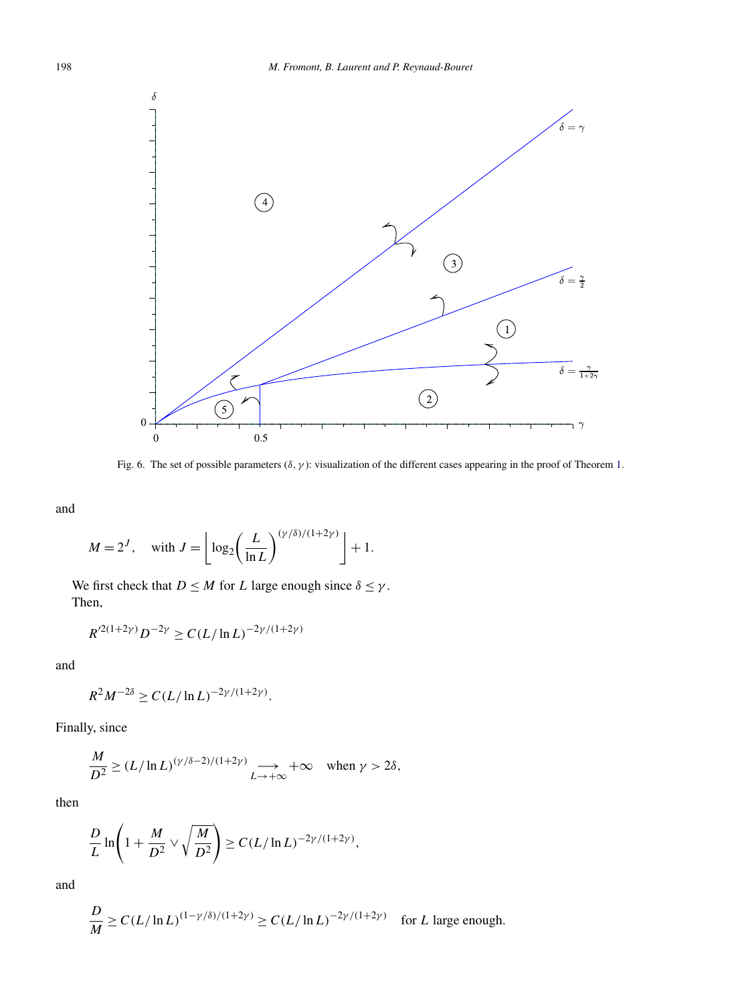<span id="page-22-0"></span>

Fig. 6. The set of possible parameters (*δ,γ* ): visualization of the different cases appearing in the proof of Theorem [1.](#page-3-0)

and

$$
M = 2J, \quad \text{with } J = \left\lfloor \log_2 \left( \frac{L}{\ln L} \right)^{(\gamma/\delta)/ (1+2\gamma)} \right\rfloor + 1.
$$

We first check that  $D \leq M$  for *L* large enough since  $\delta \leq \gamma$ . Then,

$$
R'^{2(1+2\gamma)}D^{-2\gamma} \ge C(L/\ln L)^{-2\gamma/(1+2\gamma)}
$$

and

$$
R^2 M^{-2\delta} \ge C (L/\ln L)^{-2\gamma/(1+2\gamma)}.
$$

Finally, since

$$
\frac{M}{D^2} \ge (L/\ln L)^{(\gamma/\delta - 2)/(1 + 2\gamma)} \longrightarrow_{L \to +\infty} +\infty \quad \text{when } \gamma > 2\delta,
$$

then

$$
\frac{D}{L}\ln\left(1+\frac{M}{D^2}\vee\sqrt{\frac{M}{D^2}}\right)\geq C(L/\ln L)^{-2\gamma/(1+2\gamma)},
$$

and

$$
\frac{D}{M} \ge C(L/\ln L)^{(1-\gamma/\delta)/(1+2\gamma)} \ge C(L/\ln L)^{-2\gamma/(1+2\gamma)}
$$
 for L large enough.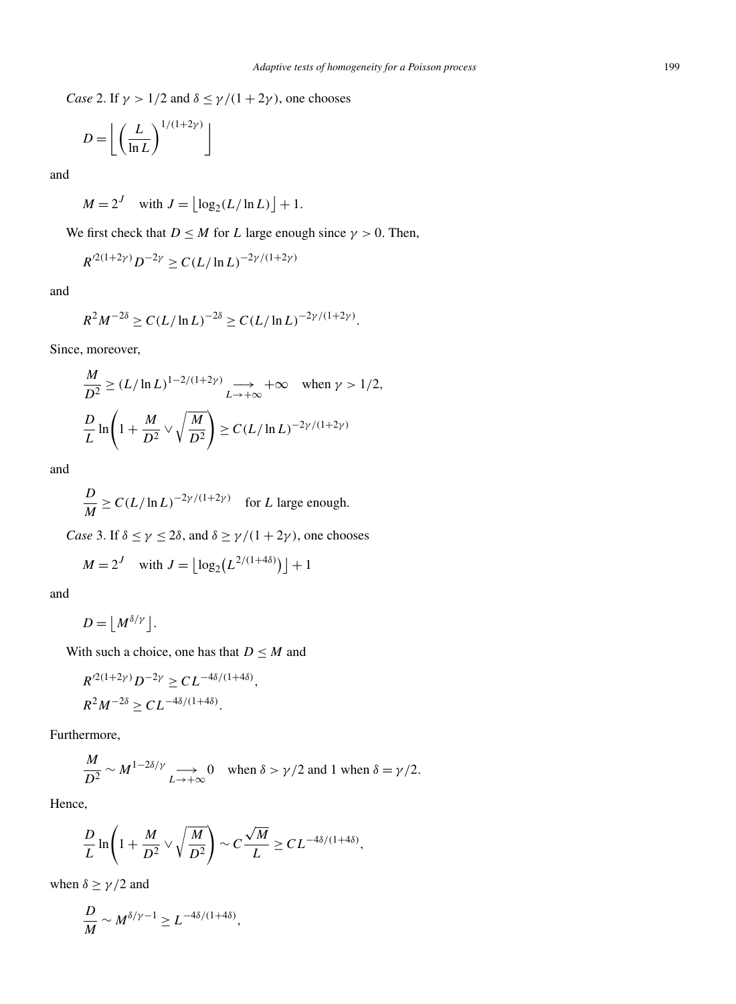$$
D = \left\lfloor \left( \frac{L}{\ln L} \right)^{1/(1+2\gamma)} \right\rfloor
$$

and

$$
M = 2J \quad \text{with } J = \lfloor \log_2(L/\ln L) \rfloor + 1.
$$

We first check that  $D \leq M$  for *L* large enough since  $\gamma > 0$ . Then,

$$
R'^{2(1+2\gamma)}D^{-2\gamma} \ge C(L/\ln L)^{-2\gamma/(1+2\gamma)}
$$

and

$$
R^2 M^{-2\delta} \ge C(L/\ln L)^{-2\delta} \ge C(L/\ln L)^{-2\gamma/(1+2\gamma)}.
$$

Since, moreover,

$$
\frac{M}{D^2} \ge (L/\ln L)^{1-2/(1+2\gamma)} \xrightarrow[L \to +\infty]{} +\infty \quad \text{when } \gamma > 1/2,
$$
  

$$
\frac{D}{L} \ln \left( 1 + \frac{M}{D^2} \vee \sqrt{\frac{M}{D^2}} \right) \ge C (L/\ln L)^{-2\gamma/(1+2\gamma)}
$$

and

$$
\frac{D}{M} \ge C(L/\ln L)^{-2\gamma/(1+2\gamma)} \quad \text{for } L \text{ large enough.}
$$

*Case* 3. If  $\delta \le \gamma \le 2\delta$ , and  $\delta \ge \gamma/(1+2\gamma)$ , one chooses

$$
M = 2J \quad \text{with } J = \lfloor \log_2(L^{2/(1+4\delta)}) \rfloor + 1
$$

and

 $D = | M^{\delta/\gamma} |$ .

With such a choice, one has that  $D \leq M$  and

$$
R'^{2(1+2\gamma)}D^{-2\gamma} \geq CL^{-4\delta/(1+4\delta)},
$$
  

$$
R^2M^{-2\delta} \geq CL^{-4\delta/(1+4\delta)}.
$$

Furthermore,

$$
\frac{M}{D^2} \sim M^{1-2\delta/\gamma} \longrightarrow_{L \to +\infty} 0 \quad \text{when } \delta > \gamma/2 \text{ and } 1 \text{ when } \delta = \gamma/2.
$$

Hence,

$$
\frac{D}{L}\ln\left(1+\frac{M}{D^2}\vee\sqrt{\frac{M}{D^2}}\right)\sim C\frac{\sqrt{M}}{L}\geq CL^{-4\delta/(1+4\delta)},
$$

when  $\delta \ge \gamma/2$  and

$$
\frac{D}{M} \sim M^{\delta/\gamma - 1} \ge L^{-4\delta/(1+4\delta)},
$$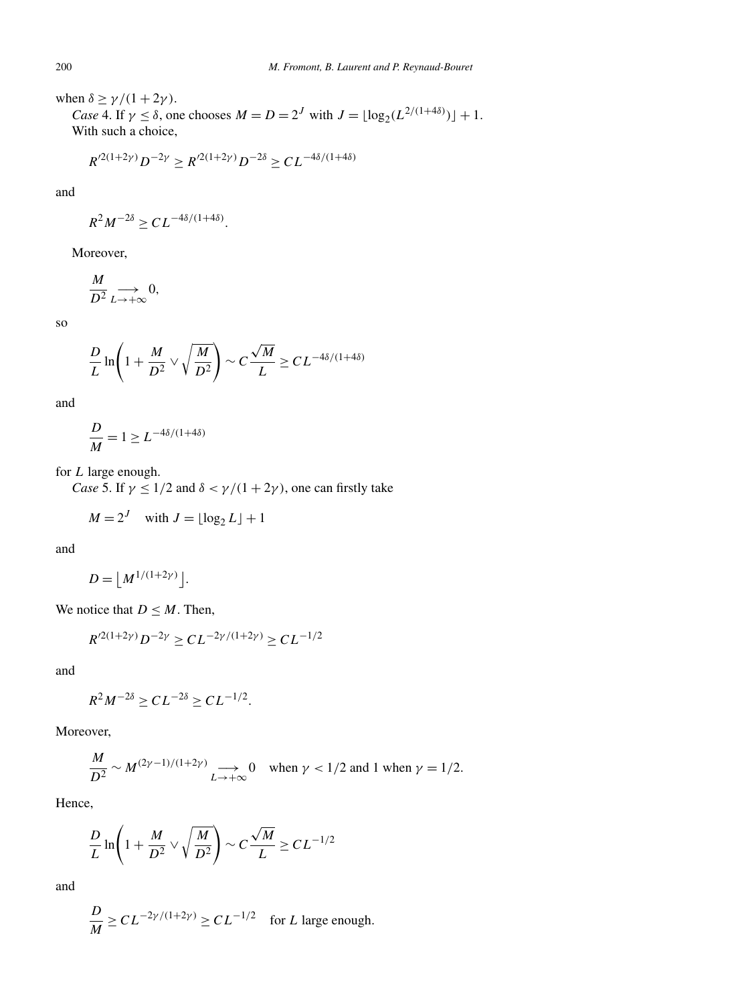when  $\delta \ge \gamma/(1+2\gamma)$ .

*Case* 4. If  $\gamma \le \delta$ , one chooses  $M = D = 2^J$  with  $J = \lfloor \log_2(L^{2/(1+4\delta)}) \rfloor + 1$ . With such a choice,

$$
R'^{2(1+2\gamma)}D^{-2\gamma} \ge R'^{2(1+2\gamma)}D^{-2\delta} \ge CL^{-4\delta/(1+4\delta)}
$$

and

$$
R^2M^{-2\delta} \geq CL^{-4\delta/(1+4\delta)}.
$$

Moreover,

$$
\frac{M}{D^2}\underset{L\to+\infty}{\longrightarrow} 0,
$$

so

$$
\frac{D}{L}\ln\left(1+\frac{M}{D^2}\vee\sqrt{\frac{M}{D^2}}\right)\sim C\frac{\sqrt{M}}{L}\geq CL^{-4\delta/(1+4\delta)}
$$

and

$$
\frac{D}{M} = 1 \ge L^{-4\delta/(1+4\delta)}
$$

for *L* large enough.

*Case* 5. If  $\gamma \leq 1/2$  and  $\delta < \gamma/(1+2\gamma)$ , one can firstly take

$$
M = 2^J \quad \text{with } J = \lfloor \log_2 L \rfloor + 1
$$

and

$$
D=\big\lfloor M^{1/(1+2\gamma)}\big\rfloor.
$$

We notice that  $D \leq M$ . Then,

$$
R'^{2(1+2\gamma)}D^{-2\gamma} \geq CL^{-2\gamma/(1+2\gamma)} \geq CL^{-1/2}
$$

and

$$
R^2 M^{-2\delta} \geq CL^{-2\delta} \geq CL^{-1/2}.
$$

Moreover,

$$
\frac{M}{D^2} \sim M^{(2\gamma - 1)/(1 + 2\gamma)} \longrightarrow_{L \to +\infty} 0 \quad \text{when } \gamma < 1/2 \text{ and } 1 \text{ when } \gamma = 1/2.
$$

Hence,

$$
\frac{D}{L}\ln\left(1+\frac{M}{D^2}\vee\sqrt{\frac{M}{D^2}}\right)\sim C\frac{\sqrt{M}}{L}\geq CL^{-1/2}
$$

and

$$
\frac{D}{M} \geq CL^{-2\gamma/(1+2\gamma)} \geq CL^{-1/2} \quad \text{for } L \text{ large enough.}
$$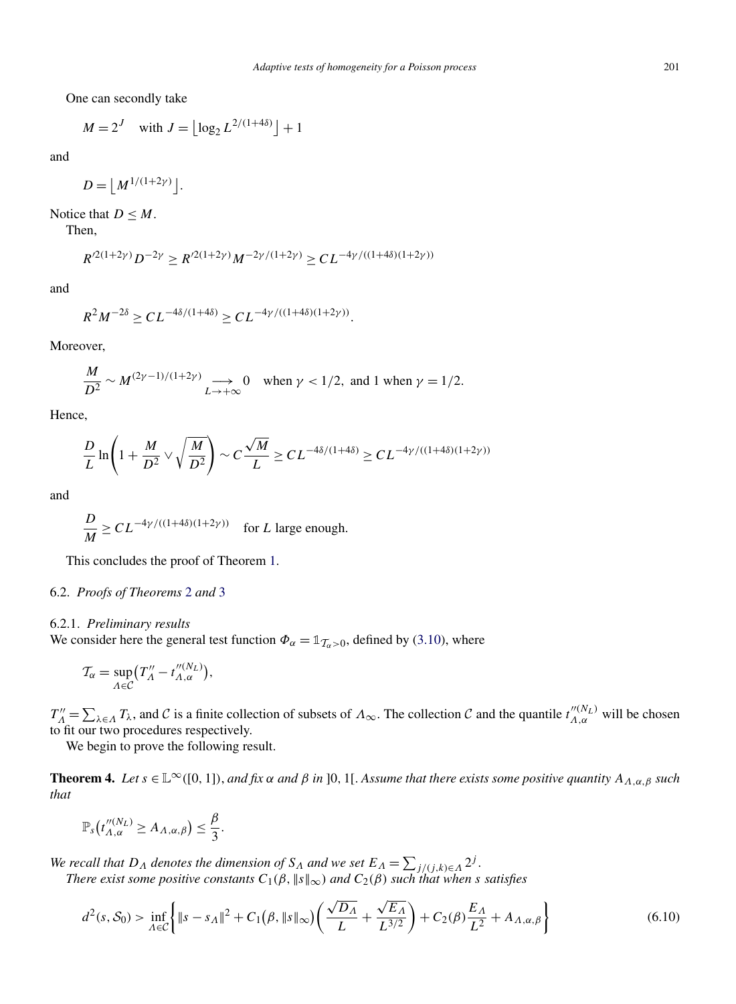<span id="page-25-0"></span>One can secondly take

$$
M = 2J \quad \text{with } J = \lfloor \log_2 L^{2/(1+4\delta)} \rfloor + 1
$$

and

$$
D=\lfloor M^{1/(1+2\gamma)}\rfloor.
$$

Notice that  $D \leq M$ .

Then,

$$
R'^{2(1+2\gamma)}D^{-2\gamma} \ge R'^{2(1+2\gamma)}M^{-2\gamma/(1+2\gamma)} \ge CL^{-4\gamma/((1+4\delta)(1+2\gamma))}
$$

and

$$
R^2 M^{-2\delta} \geq CL^{-4\delta/(1+4\delta)} \geq CL^{-4\gamma/((1+4\delta)(1+2\gamma))}.
$$

Moreover,

$$
\frac{M}{D^2} \sim M^{(2\gamma - 1)/(1 + 2\gamma)} \longrightarrow_{L \to +\infty} 0 \quad \text{when } \gamma < 1/2, \text{ and } 1 \text{ when } \gamma = 1/2.
$$

Hence,

$$
\frac{D}{L}\ln\left(1+\frac{M}{D^2}\vee\sqrt{\frac{M}{D^2}}\right)\sim C\frac{\sqrt{M}}{L}\geq CL^{-4\delta/(1+4\delta)}\geq CL^{-4\gamma/((1+4\delta)(1+2\gamma))}
$$

and

$$
\frac{D}{M} \geq CL^{-4\gamma/((1+4\delta)(1+2\gamma))}
$$
 for L large enough.

This concludes the proof of Theorem [1.](#page-3-0)

## 6.2. *Proofs of Theorems* [2](#page-8-0) *and* [3](#page-10-0)

#### 6.2.1. *Preliminary results*

We consider here the general test function  $\Phi_{\alpha} = \mathbb{1}_{T_{\alpha} > 0}$ , defined by [\(3.10\)](#page-7-0), where

$$
\mathcal{T}_{\alpha} = \sup_{\Lambda \in \mathcal{C}} \big( T''_{\Lambda} - t''^{(N_L)}_{\Lambda, \alpha} \big),
$$

 $T''_A = \sum_{\lambda \in A} T_\lambda$ , and C is a finite collection of subsets of  $\Lambda_\infty$ . The collection C and the quantile  $t''_{A,\alpha}$  will be chosen to fit our two procedures respectively.

We begin to prove the following result.

**Theorem 4.** *Let*  $s \in \mathbb{L}^{\infty}([0,1])$ *, and fix*  $\alpha$  *and*  $\beta$  *in* ]0, 1[*. Assume that there exists some positive quantity*  $A_{\Lambda,\alpha,\beta}$  *such that*

$$
\mathbb{P}_s(t''^{(N_L)}_{\Lambda,\alpha}\geq A_{\Lambda,\alpha,\beta})\leq \frac{\beta}{3}.
$$

*We recall that*  $D_A$  *denotes the dimension of*  $S_A$  *and we set*  $E_A = \sum_{j/(j,k) \in A} 2^j$ . *There exist some positive constants C*1*(β,*||*s*||∞*) and C*2*(β) such that when s satisfies*

$$
d^{2}(s, S_{0}) > \inf_{\Lambda \in \mathcal{C}} \left\{ \|s - s_{\Lambda}\|^{2} + C_{1}(\beta, \|s\|_{\infty}) \left( \frac{\sqrt{D_{\Lambda}}}{L} + \frac{\sqrt{E_{\Lambda}}}{L^{3/2}} \right) + C_{2}(\beta) \frac{E_{\Lambda}}{L^{2}} + A_{\Lambda, \alpha, \beta} \right\}
$$
(6.10)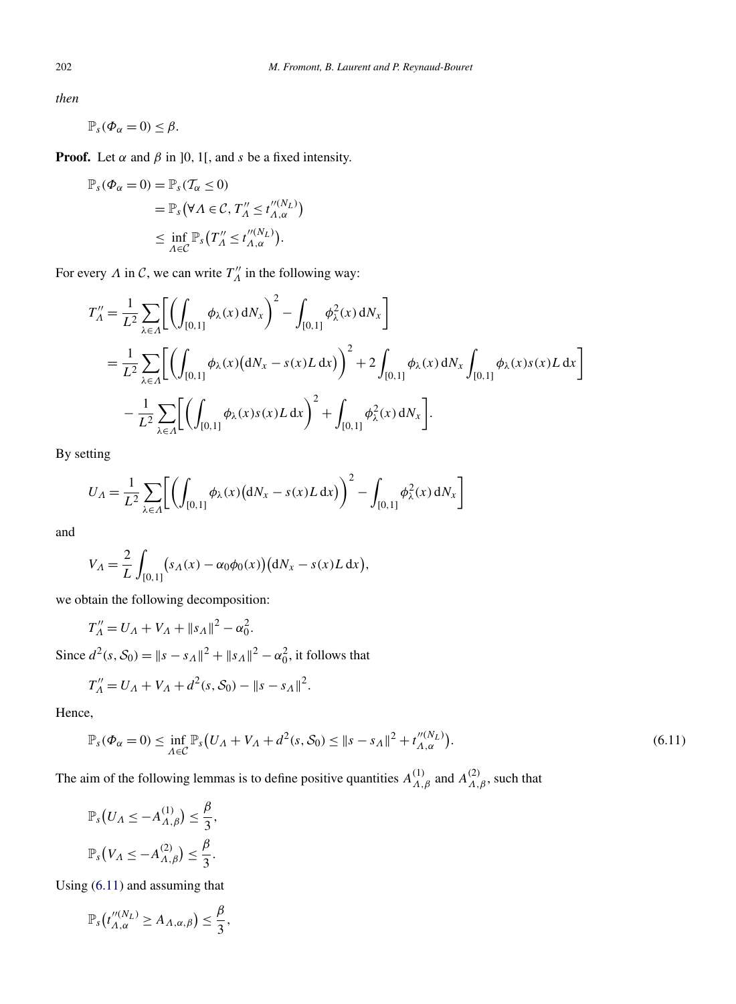*then*

 $\mathbb{P}_s(\Phi_\alpha = 0) \leq \beta.$ 

**Proof.** Let  $\alpha$  and  $\beta$  in ]0, 1[, and *s* be a fixed intensity.

$$
\mathbb{P}_s(\Phi_\alpha = 0) = \mathbb{P}_s(T_\alpha \le 0)
$$
  
= 
$$
\mathbb{P}_s(\forall \Lambda \in \mathcal{C}, T''_\Lambda \le t''^{(N_L)}_{\Lambda,\alpha})
$$
  

$$
\le \inf_{\Lambda \in \mathcal{C}} \mathbb{P}_s(T''_\Lambda \le t''^{(N_L)}_{\Lambda,\alpha}).
$$

For every  $\Lambda$  in  $\mathcal{C}$ , we can write  $T''_{\Lambda}$  in the following way:

$$
T''_{A} = \frac{1}{L^{2}} \sum_{\lambda \in \Lambda} \Biggl[ \Biggl( \int_{[0,1]} \phi_{\lambda}(x) dN_{x} \Biggr)^{2} - \int_{[0,1]} \phi_{\lambda}^{2}(x) dN_{x} \Biggr]
$$
  
= 
$$
\frac{1}{L^{2}} \sum_{\lambda \in \Lambda} \Biggl[ \Biggl( \int_{[0,1]} \phi_{\lambda}(x) (dN_{x} - s(x)L dx) \Biggr)^{2} + 2 \int_{[0,1]} \phi_{\lambda}(x) dN_{x} \int_{[0,1]} \phi_{\lambda}(x) s(x)L dx \Biggr]
$$
  
- 
$$
\frac{1}{L^{2}} \sum_{\lambda \in \Lambda} \Biggl[ \Biggl( \int_{[0,1]} \phi_{\lambda}(x) s(x)L dx \Biggr)^{2} + \int_{[0,1]} \phi_{\lambda}^{2}(x) dN_{x} \Biggr].
$$

By setting

$$
U_{\Lambda} = \frac{1}{L^2} \sum_{\lambda \in \Lambda} \Biggl[ \Biggl( \int_{[0,1]} \phi_{\lambda}(x) \bigl( dN_x - s(x) L \, dx \bigr) \Biggr)^2 - \int_{[0,1]} \phi_{\lambda}^2(x) \, dN_x \Biggr]
$$

and

$$
V_{\Lambda} = \frac{2}{L} \int_{[0,1]} (s_{\Lambda}(x) - \alpha_0 \phi_0(x)) (dN_x - s(x)L dx),
$$

we obtain the following decomposition:

$$
T''_A = U_A + V_A + ||s_A||^2 - \alpha_0^2.
$$

Since  $d^2(s, S_0) = ||s - s_A||^2 + ||s_A||^2 - \alpha_0^2$ , it follows that

$$
T''_A = U_A + V_A + d^2(s, S_0) - ||s - s_A||^2.
$$

Hence,

$$
\mathbb{P}_s(\Phi_\alpha = 0) \le \inf_{A \in \mathcal{C}} \mathbb{P}_s(U_A + V_A + d^2(s, \mathcal{S}_0) \le ||s - s_A||^2 + t_{A,\alpha}^{"(N_L)}).
$$
\n(6.11)

The aim of the following lemmas is to define positive quantities  $A_{A,\beta}^{(1)}$  and  $A_{A,\beta}^{(2)}$ , such that

$$
\mathbb{P}_s\big(U_A \le -A_{A,\beta}^{(1)}\big) \le \frac{\beta}{3},
$$
  

$$
\mathbb{P}_s\big(V_A \le -A_{A,\beta}^{(2)}\big) \le \frac{\beta}{3}.
$$

Using (6.11) and assuming that

$$
\mathbb{P}_s(t''^{(N_L)}_{\Lambda,\alpha} \geq A_{\Lambda,\alpha,\beta}) \leq \frac{\beta}{3},
$$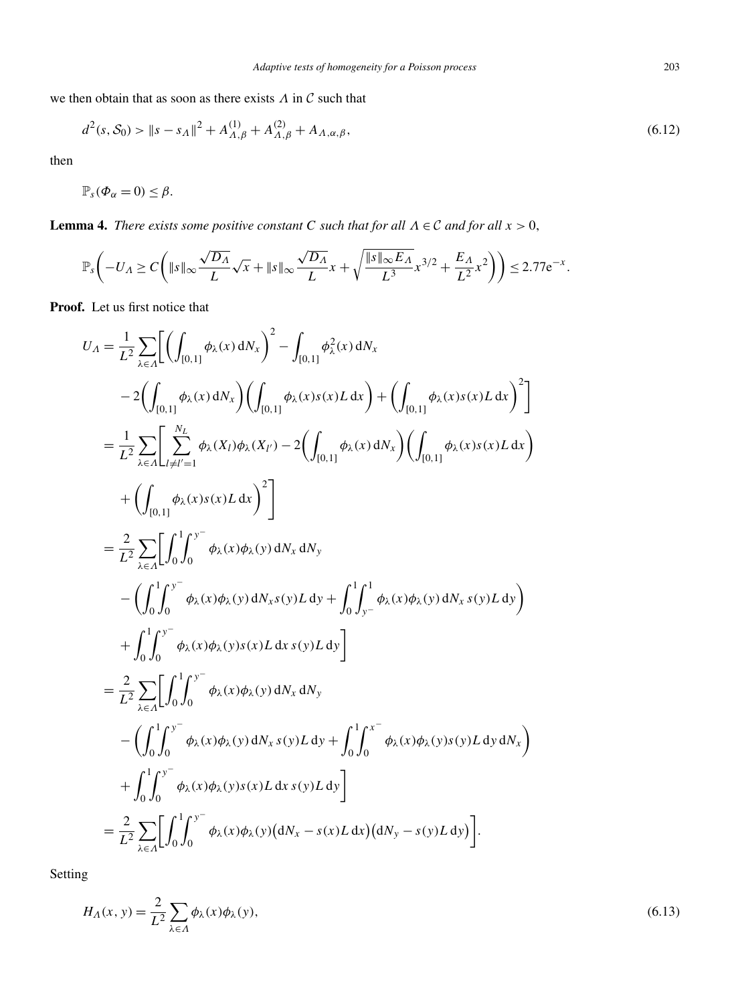<span id="page-27-0"></span>we then obtain that as soon as there exists *Λ* in C such that

$$
d^{2}(s, S_{0}) > \|s - s_{\Lambda}\|^{2} + A_{\Lambda, \beta}^{(1)} + A_{\Lambda, \beta}^{(2)} + A_{\Lambda, \alpha, \beta}, \tag{6.12}
$$

then

$$
\mathbb{P}_s(\Phi_\alpha=0)\leq\beta.
$$

**Lemma 4.** *There exists some positive constant C such that for all*  $\Lambda \in \mathcal{C}$  *and for all*  $x > 0$ ,

$$
\mathbb{P}_s\bigg(-U_A\geq C\bigg(\|s\|_\infty\frac{\sqrt{D_A}}{L}\sqrt{x}+\|s\|_\infty\frac{\sqrt{D_A}}{L}x+\sqrt{\frac{\|s\|_\infty E_A}{L^3}}x^{3/2}+\frac{E_A}{L^2}x^2\bigg)\bigg)\leq 2.77\mathrm{e}^{-x}.
$$

**Proof.** Let us first notice that

$$
U_{A} = \frac{1}{L^{2}} \sum_{\lambda \in \Lambda} \Biggl[ \Biggl( \int_{[0,1]} \phi_{\lambda}(x) dN_{x} \Biggr)^{2} - \int_{[0,1]} \phi_{\lambda}^{2}(x) dN_{x} - 2 \Biggl( \int_{[0,1]} \phi_{\lambda}(x) dN_{x} \Biggr) \Biggl( \int_{[0,1]} \phi_{\lambda}(x) s(x) L dx \Biggr) + \Biggl( \int_{[0,1]} \phi_{\lambda}(x) s(x) L dx \Biggr)^{2} \Biggr] = \frac{1}{L^{2}} \sum_{\lambda \in \Lambda} \Biggl[ \sum_{j \neq j'=1}^{N_{L}} \phi_{\lambda}(X_{j}) \phi_{\lambda}(X_{j'}) - 2 \Biggl( \int_{[0,1]} \phi_{\lambda}(x) dN_{x} \Biggr) \Biggl( \int_{[0,1]} \phi_{\lambda}(x) s(x) L dx \Biggr) + \Biggl( \int_{[0,1]} \phi_{\lambda}(x) s(x) L dx \Biggr)^{2} \Biggr] = \frac{2}{L^{2}} \sum_{\lambda \in \Lambda} \Biggl[ \int_{0}^{1} \int_{0}^{y^{-}} \phi_{\lambda}(x) \phi_{\lambda}(y) dN_{x} dN_{y} - \Biggl( \int_{0}^{1} \int_{0}^{y^{-}} \phi_{\lambda}(x) \phi_{\lambda}(y) dN_{x} s(y) L dy + \int_{0}^{1} \int_{y^{-}}^{1} \phi_{\lambda}(x) \phi_{\lambda}(y) dN_{x} s(y) L dy \Biggr) + \int_{0}^{1} \int_{0}^{y^{-}} \phi_{\lambda}(x) \phi_{\lambda}(y) s(x) L dx s(y) L dy \Biggr] = \frac{2}{L^{2}} \sum_{\lambda \in \Lambda} \Biggl[ \int_{0}^{1} \int_{0}^{y^{-}} \phi_{\lambda}(x) \phi_{\lambda}(y) dN_{x} dN_{y} - \Biggl( \int_{0}^{1} \int_{0}^{y^{-}} \phi_{\lambda}(x) \phi_{\lambda}(y) dN_{x} s(y) L dy + \int_{0}^{1} \int_{0}^{x^{-}} \phi_{\lambda}(x) \phi_{\lambda}(y) s(y) L dy dN_{x} \Biggr) + \int_{0}^{1} \int_{0}^{y^{-}} \phi_{\lambda}(x)
$$

Setting

$$
H_{\Lambda}(x, y) = \frac{2}{L^2} \sum_{\lambda \in \Lambda} \phi_{\lambda}(x) \phi_{\lambda}(y),
$$
\n(6.13)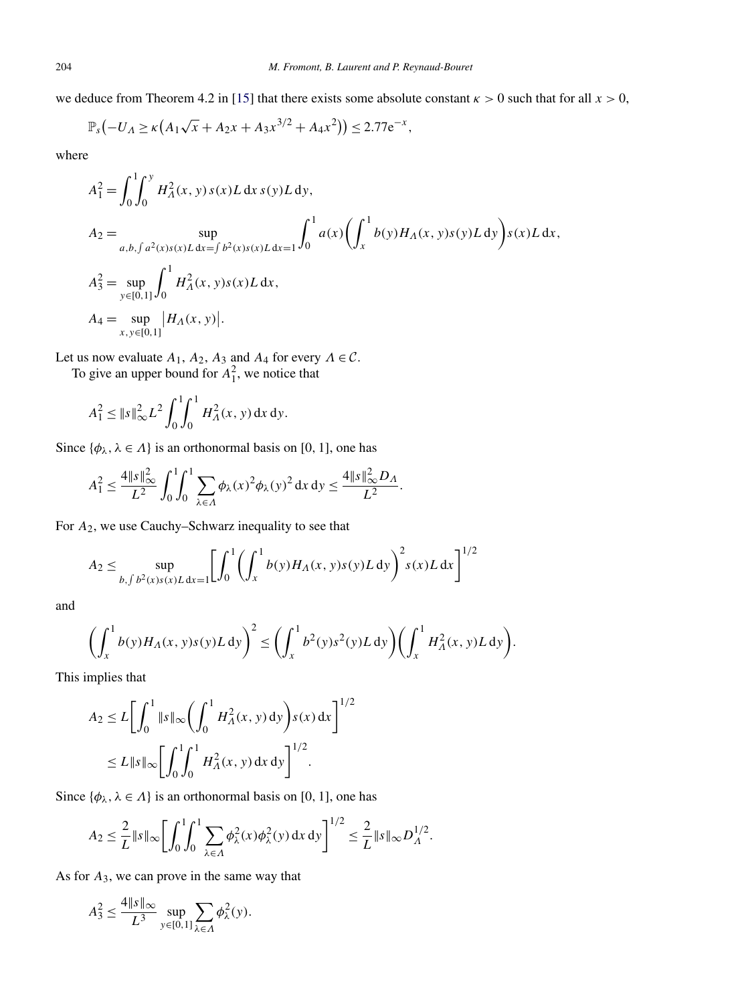we deduce from Theorem 4.2 in [\[15\]](#page-36-0) that there exists some absolute constant  $\kappa > 0$  such that for all  $x > 0$ ,

$$
\mathbb{P}_s(-U_A \ge \kappa (A_1\sqrt{x} + A_2x + A_3x^{3/2} + A_4x^2)) \le 2.77e^{-x},
$$

where

$$
A_1^2 = \int_0^1 \int_0^y H_A^2(x, y) s(x) L \, dx \, s(y) L \, dy,
$$
  
\n
$$
A_2 = \sup_{a, b, \int a^2(x) s(x) L \, dx = \int b^2(x) s(x) L \, dx = 1} \int_0^1 a(x) \left( \int_x^1 b(y) H_A(x, y) s(y) L \, dy \right) s(x) L \, dx,
$$
  
\n
$$
A_3^2 = \sup_{y \in [0, 1]} \int_0^1 H_A^2(x, y) s(x) L \, dx,
$$
  
\n
$$
A_4 = \sup_{x, y \in [0, 1]} |H_A(x, y)|.
$$

Let us now evaluate  $A_1$ ,  $A_2$ ,  $A_3$  and  $A_4$  for every  $\Lambda \in \mathcal{C}$ .

To give an upper bound for  $A_1^2$ , we notice that

$$
A_1^2 \le ||s||_{\infty}^2 L^2 \int_0^1 \int_0^1 H_A^2(x, y) \, \mathrm{d}x \, \mathrm{d}y.
$$

Since  $\{\phi_{\lambda}, \lambda \in \Lambda\}$  is an orthonormal basis on [0, 1], one has

$$
A_1^2 \le \frac{4 \|s\|_{\infty}^2}{L^2} \int_0^1 \int_0^1 \sum_{\lambda \in \Lambda} \phi_{\lambda}(x)^2 \phi_{\lambda}(y)^2 dx dy \le \frac{4 \|s\|_{\infty}^2 D_{\Lambda}}{L^2}.
$$

For *A*2, we use Cauchy–Schwarz inequality to see that

$$
A_2 \le \sup_{b, \int b^2(x)s(x)L dx = 1} \left[ \int_0^1 \left( \int_x^1 b(y) H_\Lambda(x, y)s(y)L dy \right)^2 s(x)L dx \right]^{1/2}
$$

and

$$
\left(\int_x^1 b(y)H_A(x,y)s(y)L\,dy\right)^2 \leq \left(\int_x^1 b^2(y)s^2(y)L\,dy\right)\left(\int_x^1 H_A^2(x,y)L\,dy\right).
$$

This implies that

$$
A_2 \le L \bigg[ \int_0^1 \|s\|_{\infty} \bigg( \int_0^1 H_A^2(x, y) \, dy \bigg) s(x) \, dx \bigg]^{1/2}
$$
  

$$
\le L \|s\|_{\infty} \bigg[ \int_0^1 \int_0^1 H_A^2(x, y) \, dx \, dy \bigg]^{1/2}.
$$

Since  $\{\phi_{\lambda}, \lambda \in \Lambda\}$  is an orthonormal basis on [0, 1], one has

$$
A_2 \leq \frac{2}{L} \|s\|_{\infty} \bigg[ \int_0^1 \!\!\! \int_0^1 \sum_{\lambda \in \Lambda} \phi_\lambda^2(x) \phi_\lambda^2(y) \, \mathrm{d}x \, \mathrm{d}y \bigg]^{1/2} \leq \frac{2}{L} \|s\|_{\infty} D_{\Lambda}^{1/2}.
$$

As for *A*3, we can prove in the same way that

$$
A_3^2 \le \frac{4\|s\|_{\infty}}{L^3} \sup_{y \in [0,1]} \sum_{\lambda \in \Lambda} \phi_{\lambda}^2(y).
$$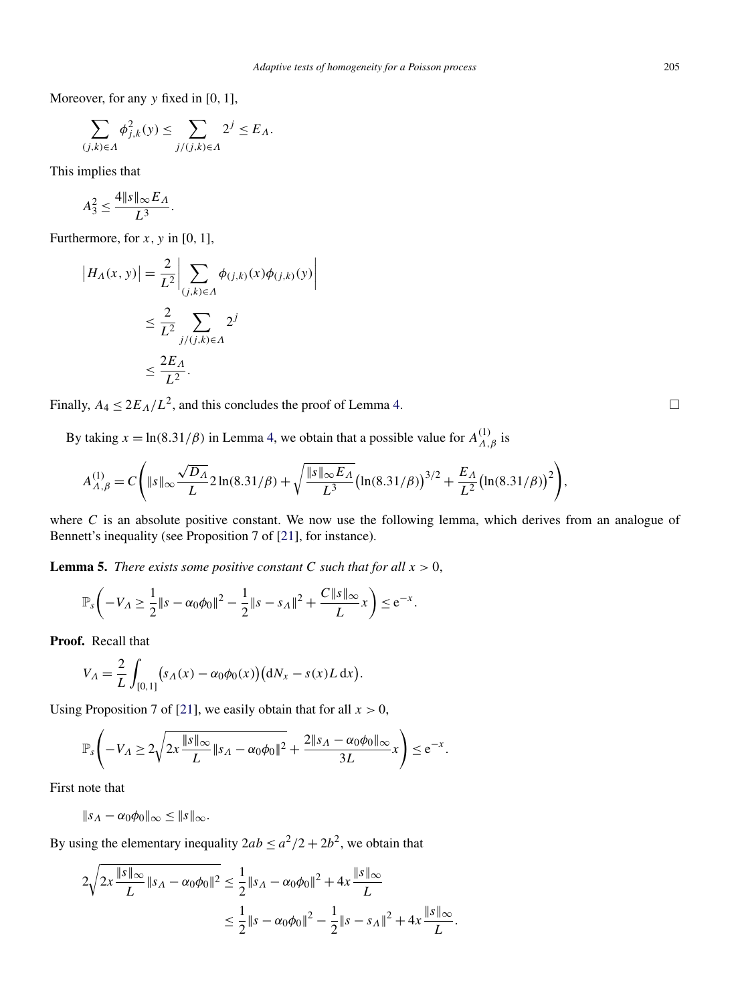<span id="page-29-0"></span>Moreover, for any *y* fixed in [0*,* 1],

$$
\sum_{(j,k)\in\varLambda}\phi_{j,k}^2(y)\leq\sum_{j/(j,k)\in\varLambda}2^j\leq E_\varLambda.
$$

This implies that

$$
A_3^2 \le \frac{4 \|s\|_{\infty} E_A}{L^3}.
$$

Furthermore, for  $x$ ,  $y$  in [0, 1],

$$
|H_{\Lambda}(x, y)| = \frac{2}{L^2} \Big| \sum_{(j,k)\in\Lambda} \phi_{(j,k)}(x)\phi_{(j,k)}(y)\Big|
$$
  

$$
\leq \frac{2}{L^2} \sum_{j/(j,k)\in\Lambda} 2^j
$$
  

$$
\leq \frac{2E_{\Lambda}}{L^2}.
$$

Finally,  $A_4 \leq 2E_A/L^2$ , and this concludes the proof of Lemma [4.](#page-27-0)

By taking  $x = \ln(8.31/\beta)$  in Lemma [4,](#page-27-0) we obtain that a possible value for  $A_{\Lambda,\beta}^{(1)}$  is

$$
A_{\Lambda,\beta}^{(1)} = C \Bigg( \|s\|_{\infty} \frac{\sqrt{D_{\Lambda}}}{L} 2 \ln(8.31/\beta) + \sqrt{\frac{\|s\|_{\infty} E_{\Lambda}}{L^3}} \big(\ln(8.31/\beta)\big)^{3/2} + \frac{E_{\Lambda}}{L^2} \big(\ln(8.31/\beta)\big)^{2} \Bigg),
$$

where *C* is an absolute positive constant. We now use the following lemma, which derives from an analogue of Bennett's inequality (see Proposition 7 of [\[21\]](#page-36-0), for instance).

**Lemma 5.** *There exists some positive constant*  $C$  *such that for all*  $x > 0$ ,

$$
\mathbb{P}_{s}\bigg(-V_A \geq \frac{1}{2} \|s - \alpha_0 \phi_0\|^2 - \frac{1}{2} \|s - s_A\|^2 + \frac{C\|s\|_{\infty}}{L} x\bigg) \leq e^{-x}.
$$

**Proof.** Recall that

$$
V_A = \frac{2}{L} \int_{[0,1]} (s_A(x) - \alpha_0 \phi_0(x)) (dN_x - s(x)L dx).
$$

Using Proposition 7 of [\[21\]](#page-36-0), we easily obtain that for all  $x > 0$ ,

$$
\mathbb{P}_{s}\left(-V_{A} \ge 2\sqrt{2x\frac{\|s\|_{\infty}}{L}\|s_{A} - \alpha_{0}\phi_{0}\|^{2}} + \frac{2\|s_{A} - \alpha_{0}\phi_{0}\|_{\infty}}{3L}x\right) \le e^{-x}.
$$

First note that

 $||s_A - \alpha_0 \phi_0||_{\infty} \le ||s||_{\infty}$ .

By using the elementary inequality  $2ab \le a^2/2 + 2b^2$ , we obtain that

$$
2\sqrt{2x \frac{\|s\|_{\infty}}{L} \|s_A - \alpha_0 \phi_0\|^2} \le \frac{1}{2} \|s_A - \alpha_0 \phi_0\|^2 + 4x \frac{\|s\|_{\infty}}{L}
$$
  

$$
\le \frac{1}{2} \|s - \alpha_0 \phi_0\|^2 - \frac{1}{2} \|s - s_A\|^2 + 4x \frac{\|s\|_{\infty}}{L}.
$$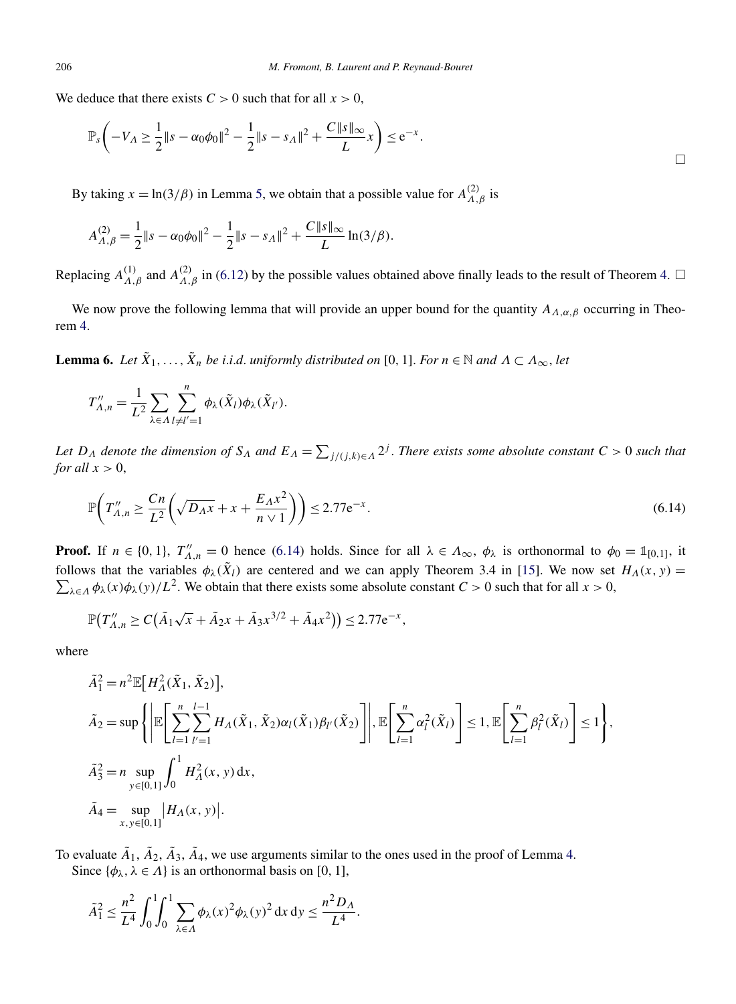<span id="page-30-0"></span>We deduce that there exists  $C > 0$  such that for all  $x > 0$ ,

$$
\mathbb{P}_s\bigg(-V_A \ge \frac{1}{2} \|s - \alpha_0 \phi_0\|^2 - \frac{1}{2} \|s - s_A\|^2 + \frac{C \|s\|_{\infty}}{L} x\bigg) \le e^{-x}.
$$

By taking  $x = \ln(3/\beta)$  in Lemma [5,](#page-29-0) we obtain that a possible value for  $A_{A,\beta}^{(2)}$  is

$$
A_{\Lambda,\beta}^{(2)} = \frac{1}{2} \|s - \alpha_0 \phi_0\|^2 - \frac{1}{2} \|s - s_\Lambda\|^2 + \frac{C \|s\|_\infty}{L} \ln(3/\beta).
$$

Replacing  $A_{A,\beta}^{(1)}$  and  $A_{A,\beta}^{(2)}$  in [\(6.12\)](#page-27-0) by the possible values obtained above finally leads to the result of Theorem [4.](#page-25-0)  $\Box$ 

We now prove the following lemma that will provide an upper bound for the quantity *A<sub>Λ,α,β</sub>* occurring in Theorem [4.](#page-25-0)

**Lemma 6.** *Let*  $\tilde{X}_1, \ldots, \tilde{X}_n$  *be i.i.d. uniformly distributed on* [0, 1]. *For*  $n \in \mathbb{N}$  *and*  $\Lambda \subset \Lambda_\infty$ *, let* 

$$
T''_{\Lambda,n} = \frac{1}{L^2} \sum_{\lambda \in \Lambda} \sum_{l \neq l'=1}^n \phi_{\lambda}(\tilde{X}_l) \phi_{\lambda}(\tilde{X}_{l'}).
$$

Let  $D_A$  denote the dimension of  $S_A$  and  $E_A = \sum_{j/(j,k)\in A} 2^j$ . There exists some absolute constant  $C > 0$  such that *for all*  $x > 0$ ,

$$
\mathbb{P}\left(T''_{A,n} \ge \frac{Cn}{L^2} \left(\sqrt{D_A x} + x + \frac{E_A x^2}{n \vee 1}\right)\right) \le 2.77 e^{-x}.\tag{6.14}
$$

**Proof.** If  $n \in \{0, 1\}$ ,  $T''_{A,n} = 0$  hence (6.14) holds. Since for all  $\lambda \in \Lambda_{\infty}$ ,  $\phi_{\lambda}$  is orthonormal to  $\phi_0 = \mathbb{1}_{[0,1]}$ , it follows that the variables  $\phi_{\lambda}(\tilde{X}_l)$  are centered and we can apply Theorem 3.4 in [\[15\]](#page-36-0). We now set  $H_{\Lambda}(x, y) = \sum_{\lambda \in \Lambda} \phi_{\lambda}(x) \phi_{\lambda}(y) / L^2$ . We obtain that there exists some absolute constant  $C > 0$  such that for  $\sum_{\lambda \in \Lambda} \phi_{\lambda}(x) \phi_{\lambda}(y) / L^2$ . We obtain that there exists some absolute constant *C* > 0 such that for all *x* > 0,

$$
\mathbb{P}(T''_{A,n} \ge C(\tilde{A}_1\sqrt{x} + \tilde{A}_2x + \tilde{A}_3x^{3/2} + \tilde{A}_4x^2)) \le 2.77e^{-x},
$$

where

$$
\tilde{A}_1^2 = n^2 \mathbb{E} \Big[ H_A^2(\tilde{X}_1, \tilde{X}_2) \Big],
$$
\n
$$
\tilde{A}_2 = \sup \left\{ \Bigg| \mathbb{E} \Bigg[ \sum_{l=1}^n \sum_{l'=1}^{l-1} H_A(\tilde{X}_1, \tilde{X}_2) \alpha_l(\tilde{X}_1) \beta_{l'}(\tilde{X}_2) \Bigg] \Bigg|, \mathbb{E} \Bigg[ \sum_{l=1}^n \alpha_l^2(\tilde{X}_l) \Bigg] \le 1, \mathbb{E} \Bigg[ \sum_{l=1}^n \beta_l^2(\tilde{X}_l) \Bigg] \le 1 \Bigg\},
$$
\n
$$
\tilde{A}_3^2 = n \sup_{y \in [0,1]} \int_0^1 H_A^2(x, y) dx,
$$
\n
$$
\tilde{A}_4 = \sup_{x, y \in [0,1]} |H_A(x, y)|.
$$

To evaluate  $\tilde{A}_1$ ,  $\tilde{A}_2$ ,  $\tilde{A}_3$ ,  $\tilde{A}_4$ , we use arguments similar to the ones used in the proof of Lemma [4.](#page-27-0) Since  $\{\phi_{\lambda}, \lambda \in \Lambda\}$  is an orthonormal basis on [0, 1],

$$
\tilde{A}_1^2 \le \frac{n^2}{L^4} \int_0^1 \int_0^1 \sum_{\lambda \in \Lambda} \phi_\lambda(x)^2 \phi_\lambda(y)^2 dx dy \le \frac{n^2 D_\Lambda}{L^4}.
$$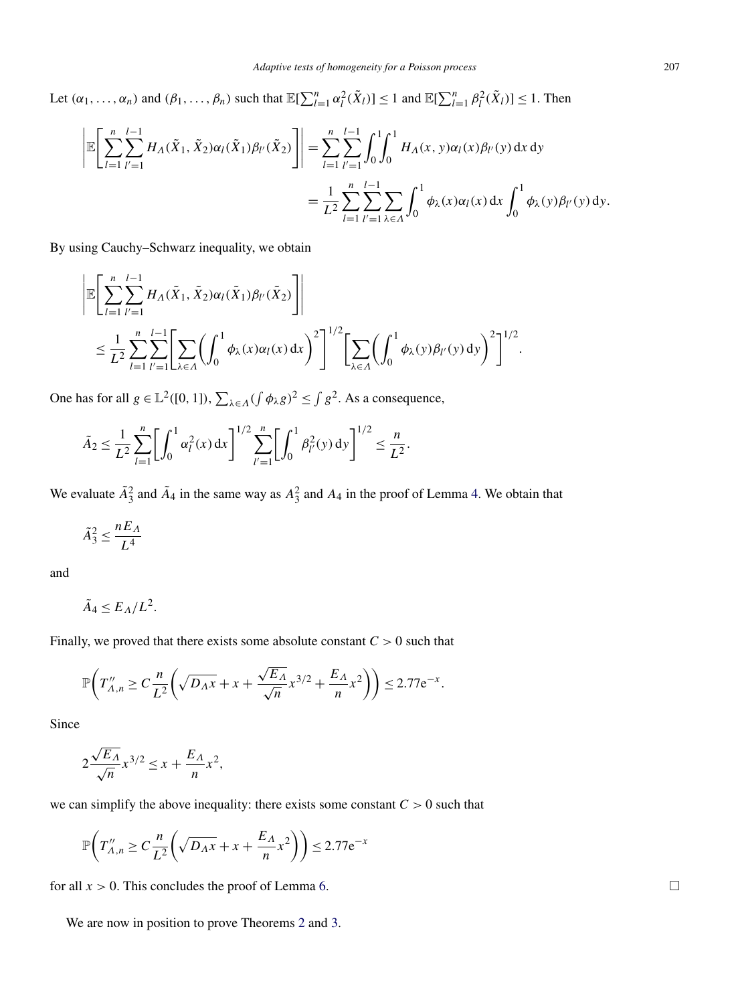Let  $(\alpha_1, \ldots, \alpha_n)$  and  $(\beta_1, \ldots, \beta_n)$  such that  $\mathbb{E}[\sum_{l=1}^n \alpha_l^2(\tilde{X}_l)] \le 1$  and  $\mathbb{E}[\sum_{l=1}^n \beta_l^2(\tilde{X}_l)] \le 1$ . Then

$$
\left| \mathbb{E} \left[ \sum_{l=1}^{n} \sum_{l'=1}^{l-1} H_{\Lambda}(\tilde{X}_{1}, \tilde{X}_{2}) \alpha_{l}(\tilde{X}_{1}) \beta_{l'}(\tilde{X}_{2}) \right] \right| = \sum_{l=1}^{n} \sum_{l'=1}^{l-1} \int_{0}^{1} \int_{0}^{1} H_{\Lambda}(x, y) \alpha_{l}(x) \beta_{l'}(y) dx dy
$$
  
= 
$$
\frac{1}{L^{2}} \sum_{l=1}^{n} \sum_{l'=1}^{l-1} \sum_{\lambda \in \Lambda} \int_{0}^{1} \phi_{\lambda}(x) \alpha_{l}(x) dx \int_{0}^{1} \phi_{\lambda}(y) \beta_{l'}(y) dy.
$$

By using Cauchy–Schwarz inequality, we obtain

$$
\left| \mathbb{E} \left[ \sum_{l=1}^{n} \sum_{l'=1}^{l-1} H_{\Lambda}(\tilde{X}_{1}, \tilde{X}_{2}) \alpha_{l}(\tilde{X}_{1}) \beta_{l'}(\tilde{X}_{2}) \right] \right|
$$
  
 
$$
\leq \frac{1}{L^{2}} \sum_{l=1}^{n} \sum_{l'=1}^{l-1} \left[ \sum_{\lambda \in \Lambda} \left( \int_{0}^{1} \phi_{\lambda}(x) \alpha_{l}(x) dx \right)^{2} \right]^{1/2} \left[ \sum_{\lambda \in \Lambda} \left( \int_{0}^{1} \phi_{\lambda}(y) \beta_{l'}(y) dy \right)^{2} \right]^{1/2}.
$$

One has for all  $g \in \mathbb{L}^2([0, 1])$ ,  $\sum_{\lambda \in \Lambda} (\int \phi_{\lambda} g)^2 \le \int g^2$ . As a consequence,

$$
\tilde{A}_2 \le \frac{1}{L^2} \sum_{l=1}^n \left[ \int_0^1 \alpha_l^2(x) \, \mathrm{d}x \right]^{1/2} \sum_{l'=1}^n \left[ \int_0^1 \beta_{l'}^2(y) \, \mathrm{d}y \right]^{1/2} \le \frac{n}{L^2}.
$$

We evaluate  $\tilde{A}_3^2$  and  $\tilde{A}_4$  in the same way as  $A_3^2$  and  $A_4$  in the proof of Lemma [4.](#page-27-0) We obtain that

$$
\tilde{A}_3^2 \le \frac{nE_A}{L^4}
$$

and

$$
\tilde{A}_4 \leq E_A/L^2.
$$

Finally, we proved that there exists some absolute constant *C >* 0 such that

$$
\mathbb{P}\bigg(T''_{A,n}\geq C\frac{n}{L^2}\bigg(\sqrt{D_Ax}+x+\frac{\sqrt{E_A}}{\sqrt{n}}x^{3/2}+\frac{E_A}{n}x^2\bigg)\bigg)\leq 2.77e^{-x}.
$$

Since

$$
2\frac{\sqrt{E_A}}{\sqrt{n}}x^{3/2} \le x + \frac{E_A}{n}x^2,
$$

we can simplify the above inequality: there exists some constant  $C > 0$  such that

$$
\mathbb{P}\bigg(T''_{A,n} \ge C\frac{n}{L^2}\bigg(\sqrt{D_Ax} + x + \frac{E_A}{n}x^2\bigg)\bigg) \le 2.77\mathrm{e}^{-x}
$$

for all  $x > 0$ . This concludes the proof of Lemma [6.](#page-30-0)

We are now in position to prove Theorems [2](#page-8-0) and [3.](#page-10-0)

 $\Box$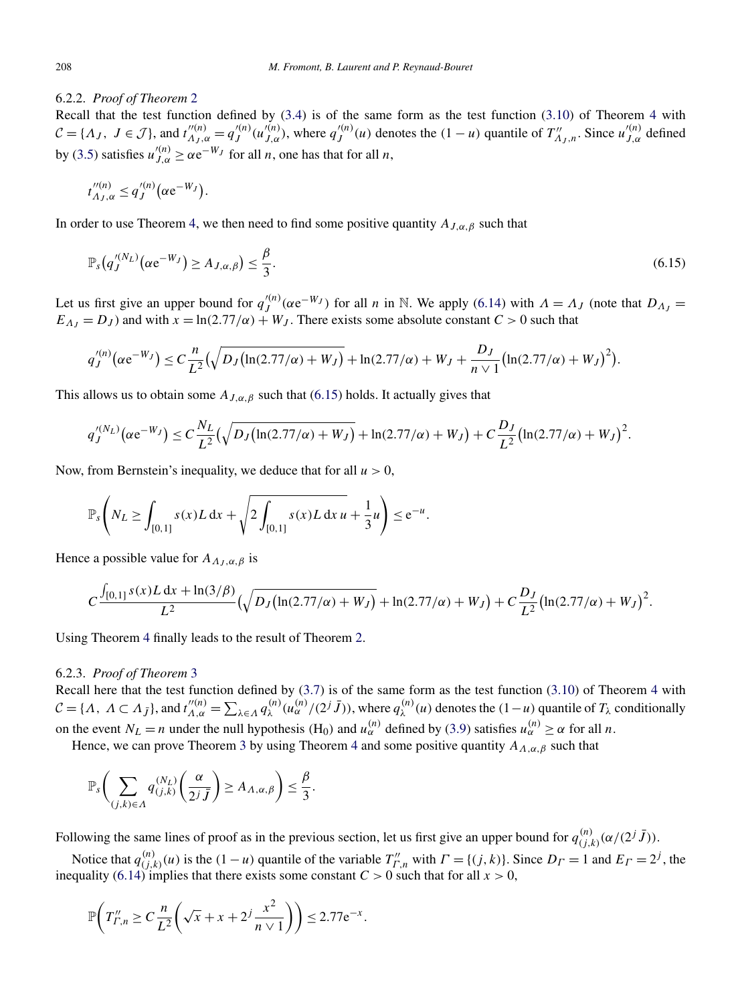#### 6.2.2. *Proof of Theorem* [2](#page-8-0)

Recall that the test function defined by [\(3.4\)](#page-5-0) is of the same form as the test function [\(3.10\)](#page-7-0) of Theorem [4](#page-25-0) with  $\mathcal{C} = \{\Lambda_J, J \in \mathcal{J}\}\$ , and  $t_{\Lambda_J,\alpha}''^{(n)} = q_J^{\prime(n)}(u_{J,\alpha}''^{(n)})$ , where  $q_J^{\prime(n)}(u)$  denotes the  $(1-u)$  quantile of  $T_{\Lambda_J,n}''$ . Since  $u_{J,\alpha}^{\prime(n)}$  defined by [\(3.5\)](#page-6-0) satisfies  $u_{J,\alpha}^{\prime(n)} \ge \alpha e^{-W_J}$  for all *n*, one has that for all *n*,

$$
t_{\Lambda_J,\alpha}^{\prime\prime(n)} \leq q_J^{\prime(n)}\big(\alpha e^{-W_J}\big).
$$

In order to use Theorem [4,](#page-25-0) we then need to find some positive quantity  $A_{J,\alpha,\beta}$  such that

$$
\mathbb{P}_s\big(q_j^{\prime(N_L)}\big(\alpha e^{-W_J}\big) \ge A_{J,\alpha,\beta}\big) \le \frac{\beta}{3}.\tag{6.15}
$$

Let us first give an upper bound for  $q_J^{\prime(n)}(\alpha e^{-W_J})$  for all *n* in N. We apply [\(6.14\)](#page-30-0) with  $A = A_J$  (note that  $D_{A_J} =$  $E_{\Lambda} = D_J$  and with  $x = \ln(2.77/\alpha) + W_J$ . There exists some absolute constant  $C > 0$  such that

$$
q'^{(n)}_J(\alpha e^{-W_J}) \leq C \frac{n}{L^2} \left(\sqrt{D_J(\ln(2.77/\alpha) + W_J)} + \ln(2.77/\alpha) + W_J + \frac{D_J}{n \vee 1} (\ln(2.77/\alpha) + W_J)^2\right).
$$

This allows us to obtain some  $A_{J,\alpha,\beta}$  such that (6.15) holds. It actually gives that

$$
q'^{(N_L)}_J(\alpha e^{-W_J}) \le C \frac{N_L}{L^2} \left(\sqrt{D_J(\ln(2.77/\alpha) + W_J)} + \ln(2.77/\alpha) + W_J\right) + C \frac{D_J}{L^2} \left(\ln(2.77/\alpha) + W_J\right)^2.
$$

Now, from Bernstein's inequality, we deduce that for all  $u > 0$ ,

$$
\mathbb{P}_{s}\left(N_{L}\geq \int_{[0,1]}s(x)L\,dx+\sqrt{2\int_{[0,1]}s(x)L\,dx\,u}+\frac{1}{3}u\right)\leq e^{-u}.
$$

Hence a possible value for  $A_{\Lambda_J, \alpha, \beta}$  is

$$
C\frac{\int_{[0,1]}s(x)L\,dx+\ln(3/\beta)}{L^2}\left(\sqrt{D_J\left(\ln(2.77/\alpha)+W_J\right)}+\ln(2.77/\alpha)+W_J\right)+C\frac{D_J}{L^2}\left(\ln(2.77/\alpha)+W_J\right)^2.
$$

Using Theorem [4](#page-25-0) finally leads to the result of Theorem [2.](#page-8-0)

#### 6.2.3. *Proof of Theorem* [3](#page-10-0)

Recall here that the test function defined by [\(3.7\)](#page-7-0) is of the same form as the test function [\(3.10\)](#page-7-0) of Theorem [4](#page-25-0) with  $C = \{A, A \subset A_{\bar{J}}\}$ , and  $t''^{(n)}_{A,\alpha} = \sum_{\lambda \in A} q_{\lambda}^{(n)}(u_{\alpha}^{(n)}/(2^{j}\bar{J}))$ , where  $q_{\lambda}^{(n)}(u)$  denotes the  $(1-u)$  quantile of  $T_{\lambda}$  conditionally on the event  $N_L = n$  under the null hypothesis  $(H_0)$  and  $u_\alpha^{(n)}$  defined by [\(3.9\)](#page-7-0) satisfies  $u_\alpha^{(n)} \ge \alpha$  for all *n*.

Hence, we can prove Theorem [3](#page-10-0) by using Theorem [4](#page-25-0) and some positive quantity  $A_{\Lambda,\alpha,\beta}$  such that

$$
\mathbb{P}_{s}\bigg(\sum_{(j,k)\in\Lambda}q_{(j,k)}^{(N_L)}\bigg(\frac{\alpha}{2^j\bar{J}}\bigg)\geq A_{\Lambda,\alpha,\beta}\bigg)\leq\frac{\beta}{3}.
$$

Following the same lines of proof as in the previous section, let us first give an upper bound for  $q_{(j,k)}^{(n)}(\alpha/(2^j\bar{J}))$ .

Notice that  $q_{(j,k)}^{(n)}(u)$  is the  $(1-u)$  quantile of the variable  $T''_{\Gamma,n}$  with  $\Gamma = \{(j,k)\}\$ . Since  $D_{\Gamma} = 1$  and  $E_{\Gamma} = 2^j$ , the inequality [\(6.14\)](#page-30-0) implies that there exists some constant  $C > 0$  such that for all  $x > 0$ ,

$$
\mathbb{P}\bigg(T''_{\Gamma,n}\geq C\frac{n}{L^2}\bigg(\sqrt{x}+x+2^j\frac{x^2}{n\vee 1}\bigg)\bigg)\leq 2.77e^{-x}.
$$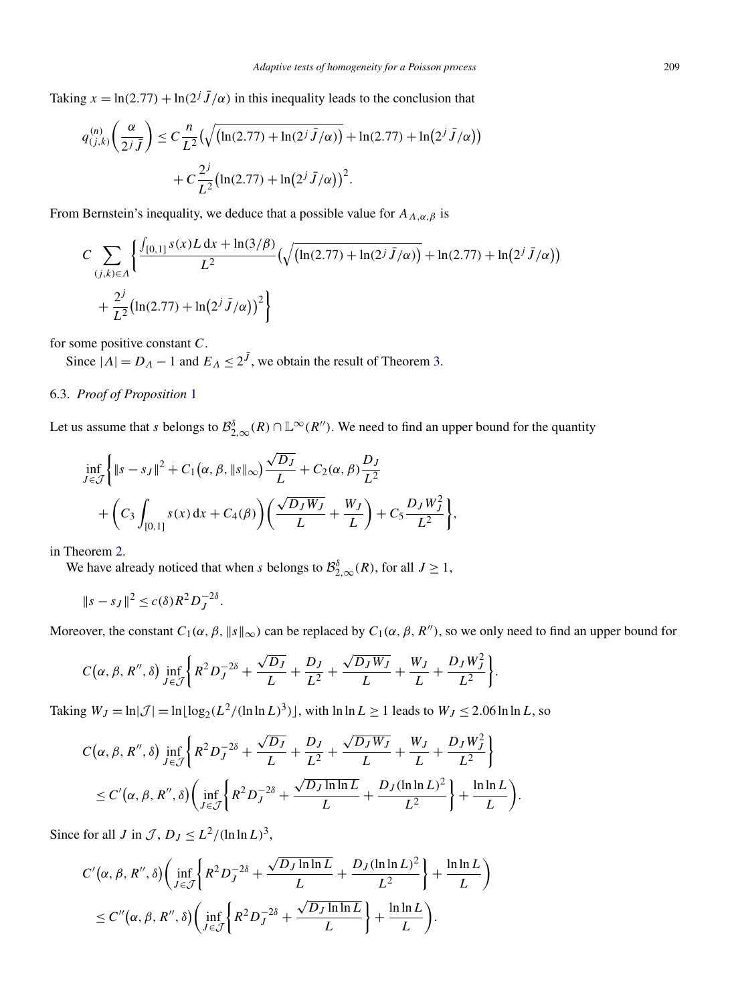Taking  $x = \ln(2.77) + \ln(2^{j} \bar{J}/\alpha)$  in this inequality leads to the conclusion that

$$
q_{(j,k)}^{(n)}\left(\frac{\alpha}{2^j \bar{J}}\right) \le C \frac{n}{L^2} \left(\sqrt{\left(\ln(2.77) + \ln(2^j \bar{J}/\alpha)\right)} + \ln(2.77) + \ln(2^j \bar{J}/\alpha)\right) + C \frac{2^j}{L^2} \left(\ln(2.77) + \ln(2^j \bar{J}/\alpha)\right)^2.
$$

From Bernstein's inequality, we deduce that a possible value for  $A_{\Lambda,\alpha,\beta}$  is

$$
C \sum_{(j,k)\in\Lambda} \left\{ \frac{\int_{[0,1]} s(x)L dx + \ln(3/\beta)}{L^2} \left( \sqrt{\left(\ln(2.77) + \ln(2^j \bar{J}/\alpha)\right)} + \ln(2.77) + \ln(2^j \bar{J}/\alpha) \right) + \frac{2^j}{L^2} \left( \ln(2.77) + \ln(2^j \bar{J}/\alpha) \right)^2 \right\}
$$

for some positive constant *C*.

Since  $|A| = D_A - 1$  and  $E_A \le 2^{\bar{J}}$ , we obtain the result of Theorem [3.](#page-10-0)

# 6.3. *Proof of Proposition* [1](#page-9-0)

Let us assume that *s* belongs to  $\mathcal{B}^{\delta}_{2,\infty}(R) \cap \mathbb{L}^{\infty}(R'')$ . We need to find an upper bound for the quantity

$$
\inf_{J \in \mathcal{J}} \Biggl\{ \|s - s_J\|^2 + C_1(\alpha, \beta, \|s\|_{\infty}) \frac{\sqrt{D_J}}{L} + C_2(\alpha, \beta) \frac{D_J}{L^2} + C_3(\alpha, \beta) \frac{\sqrt{D_J}}{L^2} + \left(C_3 \int_{[0,1]} s(x) dx + C_4(\beta) \right) \left( \frac{\sqrt{D_J W_J}}{L} + \frac{W_J}{L} \right) + C_5 \frac{D_J W_J^2}{L^2} \Biggr\},\
$$

in Theorem [2.](#page-8-0)

We have already noticed that when *s* belongs to  $\mathcal{B}_{2,\infty}^{\delta}(R)$ , for all  $J \geq 1$ ,

$$
||s - s_J||^2 \le c(\delta) R^2 D_J^{-2\delta}.
$$

Moreover, the constant  $C_1(\alpha, \beta, \|s\|_{\infty})$  can be replaced by  $C_1(\alpha, \beta, R'')$ , so we only need to find an upper bound for

$$
C(\alpha, \beta, R'', \delta) \inf_{J \in \mathcal{J}} \left\{ R^2 D_J^{-2\delta} + \frac{\sqrt{D_J}}{L} + \frac{D_J}{L^2} + \frac{\sqrt{D_J W_J}}{L} + \frac{W_J}{L} + \frac{D_J W_J^2}{L^2} \right\}.
$$

Taking  $W_J = \ln|\mathcal{J}| = \ln[\log_2(L^2/(\ln \ln L)^3)]$ , with  $\ln \ln L \ge 1$  leads to  $W_J \le 2.06 \ln \ln L$ , so

$$
C(\alpha, \beta, R'', \delta) \inf_{J \in \mathcal{J}} \left\{ R^2 D_J^{-2\delta} + \frac{\sqrt{D_J}}{L} + \frac{D_J}{L^2} + \frac{\sqrt{D_J W_J}}{L} + \frac{W_J}{L} + \frac{D_J W_J^2}{L^2} \right\}
$$
  

$$
\leq C'(\alpha, \beta, R'', \delta) \left( \inf_{J \in \mathcal{J}} \left\{ R^2 D_J^{-2\delta} + \frac{\sqrt{D_J \ln \ln L}}{L} + \frac{D_J (\ln \ln L)^2}{L^2} \right\} + \frac{\ln \ln L}{L} \right).
$$

Since for all *J* in  $\mathcal{J}, D_J \leq L^2/(\ln \ln L)^3$ ,

$$
C'(\alpha, \beta, R'', \delta) \left( \inf_{J \in \mathcal{J}} \left\{ R^2 D_J^{-2\delta} + \frac{\sqrt{D_J \ln \ln L}}{L} + \frac{D_J (\ln \ln L)^2}{L^2} \right\} + \frac{\ln \ln L}{L} \right)
$$
  

$$
\leq C''(\alpha, \beta, R'', \delta) \left( \inf_{J \in \mathcal{J}} \left\{ R^2 D_J^{-2\delta} + \frac{\sqrt{D_J \ln \ln L}}{L} \right\} + \frac{\ln \ln L}{L} \right).
$$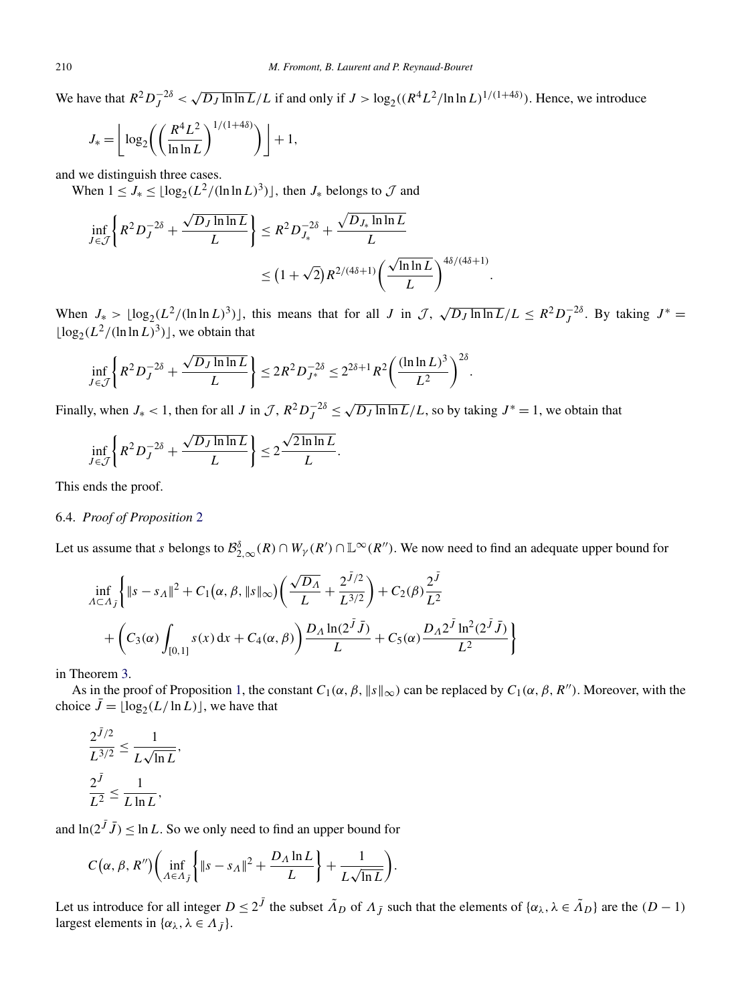We have that  $R^2 D_J^{-2\delta} < \sqrt{D_J \ln \ln L}/L$  if and only if  $J > \log_2((R^4 L^2/\ln \ln L)^{1/(1+4\delta)})$ . Hence, we introduce

$$
J_* = \left\lfloor \log_2 \left( \left( \frac{R^4 L^2}{\ln \ln L} \right)^{1/(1+4\delta)} \right) \right\rfloor + 1,
$$

and we distinguish three cases.

When  $1 \leq J_* \leq \lfloor \log_2(L^2/(\ln \ln L)^3) \rfloor$ , then  $J_*$  belongs to  $\mathcal J$  and

$$
\inf_{J \in \mathcal{J}} \left\{ R^2 D_J^{-2\delta} + \frac{\sqrt{D_J \ln \ln L}}{L} \right\} \le R^2 D_{J_*}^{-2\delta} + \frac{\sqrt{D_{J_*} \ln \ln L}}{L}
$$

$$
\le (1 + \sqrt{2}) R^{2/(4\delta + 1)} \left( \frac{\sqrt{\ln \ln L}}{L} \right)^{4\delta/(4\delta + 1)}
$$

When  $J_* > \lfloor \log_2(L^2/(\ln \ln L)^3) \rfloor$ , this means that for all *J* in  $\mathcal{J}, \sqrt{D_J \ln \ln L}/L \leq R^2 D_J^{-2\delta}$ . By taking  $J^* =$  $\lfloor \log_2(L^2/(\ln \ln L)^3) \rfloor$ , we obtain that

*.*

$$
\inf_{J \in \mathcal{J}} \left\{ R^2 D_J^{-2\delta} + \frac{\sqrt{D_J \ln \ln L}}{L} \right\} \le 2R^2 D_{J^*}^{-2\delta} \le 2^{2\delta + 1} R^2 \left( \frac{(\ln \ln L)^3}{L^2} \right)^{2\delta}.
$$

Finally, when  $J_* < 1$ , then for all *J* in  $J$ ,  $R^2 D_J^{-2\delta} \le \sqrt{D_J \ln \ln L}/L$ , so by taking  $J^* = 1$ , we obtain that

$$
\inf_{J \in \mathcal{J}} \left\{ R^2 D_J^{-2\delta} + \frac{\sqrt{D_J \ln \ln L}}{L} \right\} \le 2 \frac{\sqrt{2 \ln \ln L}}{L}.
$$

This ends the proof.

## 6.4. *Proof of Proposition* [2](#page-10-0)

Let us assume that *s* belongs to  $\mathcal{B}^{\delta}_{2,\infty}(R) \cap W_{\gamma}(R') \cap \mathbb{L}^{\infty}(R'')$ . We now need to find an adequate upper bound for

$$
\inf_{\Lambda \subset A_{\tilde{J}}} \left\{ \|s - s_{\Lambda}\|^2 + C_1(\alpha, \beta, \|s\|_{\infty}) \left( \frac{\sqrt{D_{\Lambda}}}{L} + \frac{2^{\tilde{J}/2}}{L^{3/2}} \right) + C_2(\beta) \frac{2^{\tilde{J}}}{L^2} + \left( C_3(\alpha) \int_{[0,1]} s(x) dx + C_4(\alpha, \beta) \right) \frac{D_{\Lambda} \ln(2^{\tilde{J}} \tilde{J})}{L} + C_5(\alpha) \frac{D_{\Lambda} 2^{\tilde{J}} \ln^2(2^{\tilde{J}} \tilde{J})}{L^2} \right\}
$$

in Theorem [3.](#page-10-0)

As in the proof of Proposition [1,](#page-9-0) the constant  $C_1(\alpha, \beta, \|s\|_{\infty})$  can be replaced by  $C_1(\alpha, \beta, R'')$ . Moreover, with the choice  $\bar{J} = \lfloor \log_2(L/\ln L) \rfloor$ , we have that

$$
\frac{2^{\bar{J}/2}}{L^{3/2}} \le \frac{1}{L\sqrt{\ln L}},
$$

$$
\frac{2^{\bar{J}}}{L^2} \le \frac{1}{L\ln L},
$$

and  $\ln(2^{\bar{J}} \bar{J}) \leq \ln L$ . So we only need to find an upper bound for

$$
C(\alpha, \beta, R'') \bigg( \inf_{A \in \Lambda_{\tilde{J}}} \bigg\{ \|s - s_A\|^2 + \frac{D_A \ln L}{L} \bigg\} + \frac{1}{L\sqrt{\ln L}} \bigg).
$$

Let us introduce for all integer  $D \le 2^{\bar{J}}$  the subset  $\tilde{\Lambda}_D$  of  $\Lambda_{\bar{J}}$  such that the elements of  $\{\alpha_\lambda, \lambda \in \tilde{\Lambda}_D\}$  are the  $(D-1)$ largest elements in  $\{\alpha_{\lambda}, \lambda \in \Lambda_{\overline{I}}\}.$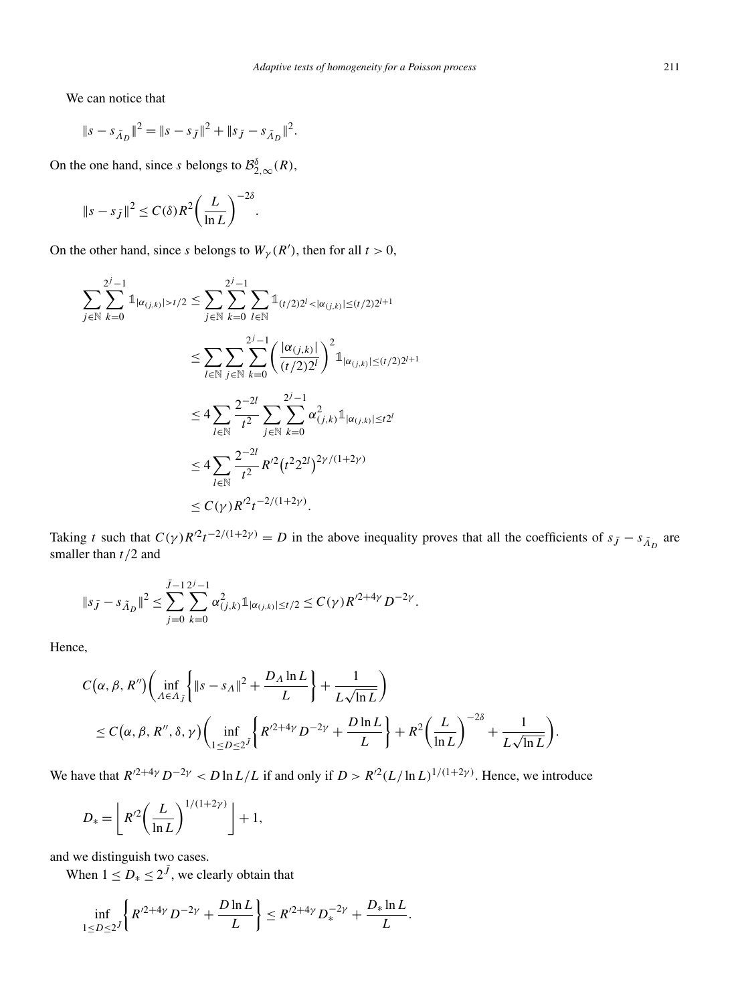We can notice that

$$
\|s - s_{\tilde{A}_D}\|^2 = \|s - s_{\bar{J}}\|^2 + \|s_{\bar{J}} - s_{\tilde{A}_D}\|^2.
$$

On the one hand, since *s* belongs to  $\mathcal{B}_{2,\infty}^{\delta}(R)$ ,

$$
||s - s_{\bar{J}}||^2 \le C(\delta) R^2 \bigg(\frac{L}{\ln L}\bigg)^{-2\delta}.
$$

On the other hand, since *s* belongs to  $W_{\gamma}(R')$ , then for all  $t > 0$ ,

$$
\sum_{j \in \mathbb{N}} \sum_{k=0}^{2^{j}-1} \mathbb{1}_{|\alpha_{(j,k)}| > t/2} \leq \sum_{j \in \mathbb{N}} \sum_{k=0}^{2^{j}-1} \sum_{l \in \mathbb{N}} \mathbb{1}_{(t/2)2^{l} < |\alpha_{(j,k)}| \leq (t/2)2^{l+1}}
$$
\n
$$
\leq \sum_{l \in \mathbb{N}} \sum_{j \in \mathbb{N}} \sum_{k=0}^{2^{j}-1} \left( \frac{|\alpha_{(j,k)}|}{(t/2)2^{l}} \right)^{2} \mathbb{1}_{|\alpha_{(j,k)}| \leq (t/2)2^{l+1}}
$$
\n
$$
\leq 4 \sum_{l \in \mathbb{N}} \frac{2^{-2l}}{t^{2}} \sum_{j \in \mathbb{N}} \sum_{k=0}^{2^{j}-1} \alpha_{(j,k)}^{2} \mathbb{1}_{|\alpha_{(j,k)}| \leq t2^{l}}
$$
\n
$$
\leq 4 \sum_{l \in \mathbb{N}} \frac{2^{-2l}}{t^{2}} R'^{2} (t^{2} 2^{2l})^{2\gamma/(1+2\gamma)}
$$
\n
$$
\leq C(\gamma) R'^{2} t^{-2/(1+2\gamma)}.
$$

Taking *t* such that  $C(\gamma)R^2t^{-2/(1+2\gamma)} = D$  in the above inequality proves that all the coefficients of  $s_{\bar{J}} - s_{\tilde{A}_D}$  are smaller than *t/*2 and

$$
\|s_{\bar{J}}-s_{\tilde{A}_D}\|^2\leq \sum_{j=0}^{\bar{J}-1}\sum_{k=0}^{2^j-1}\alpha_{(j,k)}^21_{|\alpha_{(j,k)}|\leq t/2}\leq C(\gamma)R^{2+4\gamma}D^{-2\gamma}.
$$

Hence,

$$
C(\alpha, \beta, R'') \left( \inf_{A \in \Lambda_{\tilde{J}}} \left\{ \|s - s_A\|^2 + \frac{D_A \ln L}{L} \right\} + \frac{1}{L\sqrt{\ln L}} \right)
$$
  
 
$$
\leq C(\alpha, \beta, R'', \delta, \gamma) \left( \inf_{1 \leq D \leq 2^{\tilde{J}}} \left\{ R'^{2+4\gamma} D^{-2\gamma} + \frac{D \ln L}{L} \right\} + R^2 \left( \frac{L}{\ln L} \right)^{-2\delta} + \frac{1}{L\sqrt{\ln L}} \right).
$$

We have that  $R'^{2+4\gamma} D^{-2\gamma} < D \ln L/L$  if and only if  $D > R'^{2}(L/\ln L)^{1/(1+2\gamma)}$ . Hence, we introduce

$$
D_* = \left\lfloor R'^2 \left( \frac{L}{\ln L} \right)^{1/(1+2\gamma)} \right\rfloor + 1,
$$

and we distinguish two cases.

When  $1 \le D_* \le 2^{\overline{J}}$ , we clearly obtain that

$$
\inf_{1 \leq D \leq 2^{\bar{J}}} \left\{ R'^{2+4\gamma} D^{-2\gamma} + \frac{D \ln L}{L} \right\} \leq R'^{2+4\gamma} D_*^{-2\gamma} + \frac{D_* \ln L}{L}.
$$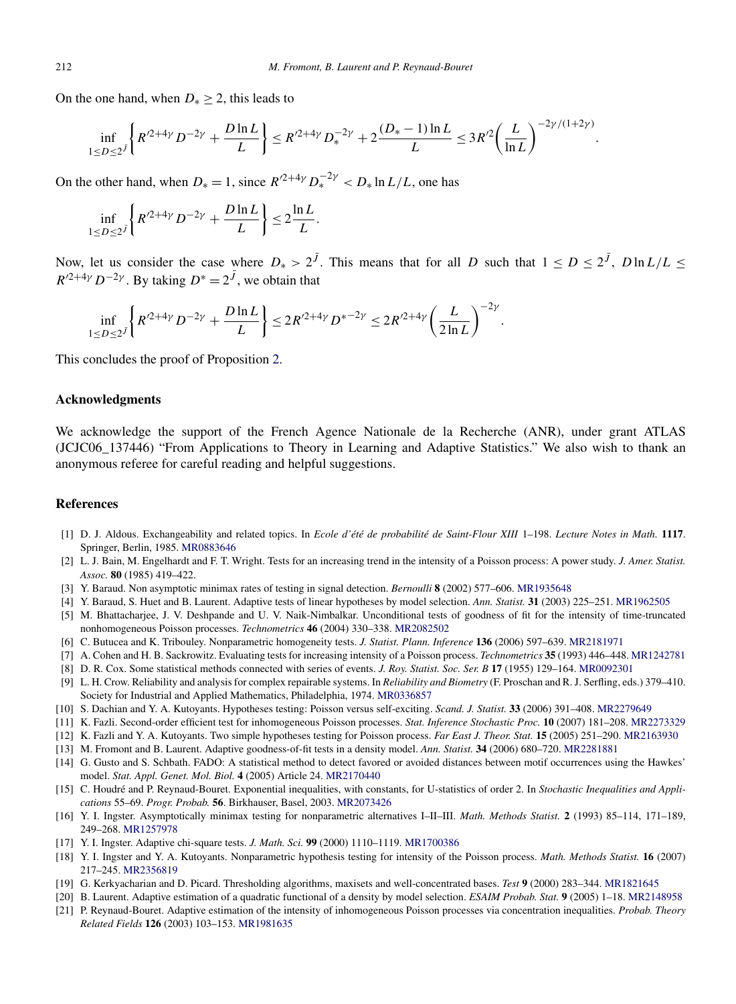<span id="page-36-0"></span>On the one hand, when  $D_* \geq 2$ , this leads to

$$
\inf_{1 \leq D \leq 2^{\bar{J}}} \left\{ R'^{2+4\gamma} D^{-2\gamma} + \frac{D \ln L}{L} \right\} \leq R'^{2+4\gamma} D_*^{-2\gamma} + 2 \frac{(D_* - 1) \ln L}{L} \leq 3R'^2 \left( \frac{L}{\ln L} \right)^{-2\gamma/(1+2\gamma)}.
$$

On the other hand, when  $D_* = 1$ , since  $R'^{2+4\gamma} D_*^{-2\gamma} < D_* \ln L/L$ , one has

$$
\inf_{1 \le D \le 2^{\bar{J}}} \left\{ R'^{2+4\gamma} D^{-2\gamma} + \frac{D \ln L}{L} \right\} \le 2 \frac{\ln L}{L}.
$$

Now, let us consider the case where  $D_* > 2^{\bar{J}}$ . This means that for all *D* such that  $1 \leq D \leq 2^{\bar{J}}$ ,  $D \ln L/L \leq$  $R^{2+4\gamma} D^{-2\gamma}$ . By taking  $D^* = 2^{\bar{J}}$ , we obtain that

$$
\inf_{1 \le D \le 2^{\tilde{J}}} \left\{ R'^{2+4\gamma} D^{-2\gamma} + \frac{D \ln L}{L} \right\} \le 2R'^{2+4\gamma} D^{*-2\gamma} \le 2R'^{2+4\gamma} \left( \frac{L}{2 \ln L} \right)^{-2\gamma}.
$$

This concludes the proof of Proposition [2.](#page-10-0)

#### **Acknowledgments**

We acknowledge the support of the French Agence Nationale de la Recherche (ANR), under grant ATLAS (JCJC06\_137446) "From Applications to Theory in Learning and Adaptive Statistics." We also wish to thank an anonymous referee for careful reading and helpful suggestions.

#### **References**

- [1] D. J. Aldous. Exchangeability and related topics. In *Ecole d'été de probabilité de Saint-Flour XIII* 1–198. *Lecture Notes in Math.* **1117**. Springer, Berlin, 1985. [MR0883646](http://www.ams.org/mathscinet-getitem?mr=0883646)
- [2] L. J. Bain, M. Engelhardt and F. T. Wright. Tests for an increasing trend in the intensity of a Poisson process: A power study. *J. Amer. Statist. Assoc.* **80** (1985) 419–422.
- [3] Y. Baraud. Non asymptotic minimax rates of testing in signal detection. *Bernoulli* **8** (2002) 577–606. [MR1935648](http://www.ams.org/mathscinet-getitem?mr=1935648)
- [4] Y. Baraud, S. Huet and B. Laurent. Adaptive tests of linear hypotheses by model selection. *Ann. Statist.* **31** (2003) 225–251. [MR1962505](http://www.ams.org/mathscinet-getitem?mr=1962505)
- [5] M. Bhattacharjee, J. V. Deshpande and U. V. Naik-Nimbalkar. Unconditional tests of goodness of fit for the intensity of time-truncated nonhomogeneous Poisson processes. *Technometrics* **46** (2004) 330–338. [MR2082502](http://www.ams.org/mathscinet-getitem?mr=2082502)
- [6] C. Butucea and K. Tribouley. Nonparametric homogeneity tests. *J. Statist. Plann. Inference* **136** (2006) 597–639. [MR2181971](http://www.ams.org/mathscinet-getitem?mr=2181971)
- [7] A. Cohen and H. B. Sackrowitz. Evaluating tests for increasing intensity of a Poisson process. *Technometrics* **35** (1993) 446–448. [MR1242781](http://www.ams.org/mathscinet-getitem?mr=1242781)
- [8] D. R. Cox. Some statistical methods connected with series of events. *J. Roy. Statist. Soc. Ser. B* **17** (1955) 129–164. [MR0092301](http://www.ams.org/mathscinet-getitem?mr=0092301)
- [9] L. H. Crow. Reliability and analysis for complex repairable systems. In *Reliability and Biometry* (F. Proschan and R. J. Serfling, eds.) 379–410. Society for Industrial and Applied Mathematics, Philadelphia, 1974. [MR0336857](http://www.ams.org/mathscinet-getitem?mr=0336857)
- [10] S. Dachian and Y. A. Kutoyants. Hypotheses testing: Poisson versus self-exciting. *Scand. J. Statist.* **33** (2006) 391–408. [MR2279649](http://www.ams.org/mathscinet-getitem?mr=2279649)
- [11] K. Fazli. Second-order efficient test for inhomogeneous Poisson processes. *Stat. Inference Stochastic Proc.* **10** (2007) 181–208. [MR2273329](http://www.ams.org/mathscinet-getitem?mr=2273329)
- [12] K. Fazli and Y. A. Kutoyants. Two simple hypotheses testing for Poisson process. *Far East J. Theor. Stat.* **15** (2005) 251–290. [MR2163930](http://www.ams.org/mathscinet-getitem?mr=2163930)
- [13] M. Fromont and B. Laurent. Adaptive goodness-of-fit tests in a density model. *Ann. Statist.* **34** (2006) 680–720. [MR2281881](http://www.ams.org/mathscinet-getitem?mr=2281881)
- [14] G. Gusto and S. Schbath. FADO: A statistical method to detect favored or avoided distances between motif occurrences using the Hawkes' model. *Stat. Appl. Genet. Mol. Biol.* **4** (2005) Article 24. [MR2170440](http://www.ams.org/mathscinet-getitem?mr=2170440)
- [15] C. Houdré and P. Reynaud-Bouret. Exponential inequalities, with constants, for U-statistics of order 2. In *Stochastic Inequalities and Applications* 55–69. *Progr. Probab.* **56**. Birkhauser, Basel, 2003. [MR2073426](http://www.ams.org/mathscinet-getitem?mr=2073426)
- [16] Y. I. Ingster. Asymptotically minimax testing for nonparametric alternatives I–II–III. *Math. Methods Statist.* **2** (1993) 85–114, 171–189, 249–268. [MR1257978](http://www.ams.org/mathscinet-getitem?mr=1257978)
- [17] Y. I. Ingster. Adaptive chi-square tests. *J. Math. Sci.* **99** (2000) 1110–1119. [MR1700386](http://www.ams.org/mathscinet-getitem?mr=1700386)
- [18] Y. I. Ingster and Y. A. Kutoyants. Nonparametric hypothesis testing for intensity of the Poisson process. *Math. Methods Statist.* **16** (2007) 217–245. [MR2356819](http://www.ams.org/mathscinet-getitem?mr=2356819)
- [19] G. Kerkyacharian and D. Picard. Thresholding algorithms, maxisets and well-concentrated bases. *Test* **9** (2000) 283–344. [MR1821645](http://www.ams.org/mathscinet-getitem?mr=1821645)
- [20] B. Laurent. Adaptive estimation of a quadratic functional of a density by model selection. *ESAIM Probab. Stat.* **9** (2005) 1–18. [MR2148958](http://www.ams.org/mathscinet-getitem?mr=2148958)
- [21] P. Reynaud-Bouret. Adaptive estimation of the intensity of inhomogeneous Poisson processes via concentration inequalities. *Probab. Theory Related Fields* **126** (2003) 103–153. [MR1981635](http://www.ams.org/mathscinet-getitem?mr=1981635)